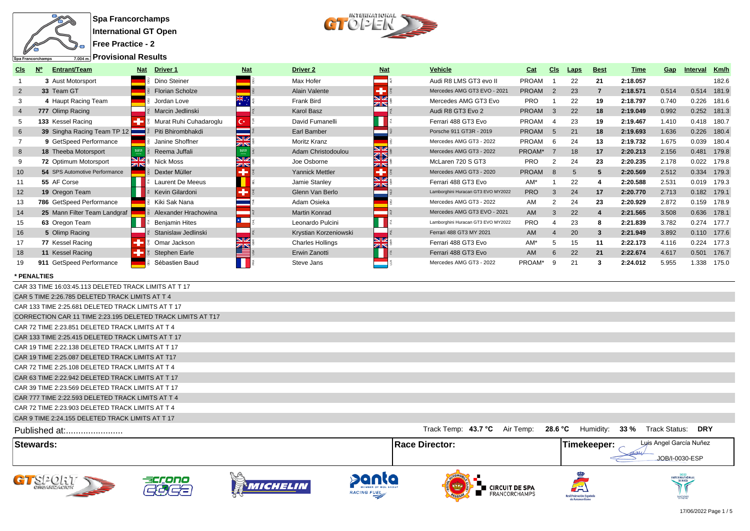

 $\begin{picture}(120,140)(-0.00,0.00) \put(0,0){\line(1,0){15}} \put(15,0){\line(1,0){15}} \put(15,0){\line(1,0){15}} \put(15,0){\line(1,0){15}} \put(15,0){\line(1,0){15}} \put(15,0){\line(1,0){15}} \put(15,0){\line(1,0){15}} \put(15,0){\line(1,0){15}} \put(15,0){\line(1,0){15}} \put(15,0){\line(1,0){15}} \put(15,0){\line(1,0){15$ 

**Provisional Results**

|                | opa riancorchamps<br>$1.004$ m. $\sim 100$ . The state is the state $\sim 100$ |     |                         |                  |                         |                              |                                    |              |                |             |                         |          |                         |          |             |
|----------------|--------------------------------------------------------------------------------|-----|-------------------------|------------------|-------------------------|------------------------------|------------------------------------|--------------|----------------|-------------|-------------------------|----------|-------------------------|----------|-------------|
| Cls            | $N^{\circ}$<br><b>Entrant/Team</b>                                             | Nat | Driver 1                | <b>Nat</b>       | Driver <sub>2</sub>     | <b>Nat</b>                   | <b>Vehicle</b>                     | Cat          | Cls            | <b>Laps</b> | <b>Best</b>             | Time     | <u>Gap</u>              | Interval | Km/h        |
| -1             | 3 Aust Motorsport                                                              |     | Dino Steiner            |                  | Max Hofer               | ═                            | Audi R8 LMS GT3 evo II             | <b>PROAM</b> | $\overline{1}$ | 22          | 21                      | 2:18.057 |                         |          | 182.6       |
| $\overline{2}$ | 33 Team GT                                                                     |     | <b>Florian Scholze</b>  |                  | Alain Valente           | Ŧ                            | Mercedes AMG GT3 EVO - 2021        | <b>PROAM</b> | 2              | 23          | $\overline{7}$          | 2:18.571 | 0.514                   |          | 0.514 181.9 |
| 3              | 4 Haupt Racing Team                                                            |     | Jordan Love             |                  | <b>Frank Bird</b>       | NØ<br>ZK                     | Mercedes AMG GT3 Evo               | <b>PRO</b>   | $\overline{1}$ | 22          | 19                      | 2:18.797 | 0.740                   | 0.226    | 181.6       |
| $\overline{4}$ | 777 Olimp Racing                                                               |     | Marcin Jedlinski        |                  | <b>Karol Basz</b>       |                              | Audi R8 GT3 Evo 2                  | <b>PROAM</b> | $\overline{3}$ | 22          | 18                      | 2:19.049 | 0.992                   |          | 0.252 181.3 |
| 5              | 133 Kessel Racing                                                              | ÷   | Murat Ruhi Cuhadaroglu  | $\mathbf{C}^*$   | David Fumanelli         |                              | Ferrari 488 GT3 Evo                | <b>PROAM</b> | $\overline{4}$ | 23          | 19                      | 2:19.467 | 1.410                   |          | 0.418 180.7 |
| 6              | 39 Singha Racing Team TP 12                                                    |     | Piti Bhirombhakdi       |                  | Earl Bamber             |                              | Porsche 911 GT3R - 2019            | <b>PROAM</b> | 5              | 21          | 18                      | 2:19.693 | 1.636                   |          | 0.226 180.4 |
| $\overline{7}$ | 9 GetSpeed Performance                                                         |     | Janine Shoffner         | 9K               | <b>Moritz Kranz</b>     |                              | Mercedes AMG GT3 - 2022            | PROAM        | 6              | 24          | 13                      | 2:19.732 | 1.675                   |          | 0.039 180.4 |
| 8              | 18 Theeba Motorsport                                                           | 589 | Reema Juffali           | $\frac{N}{2}$    | Adam Christodoulou      | NZ<br>32                     | Mercedes AMG GT3 - 2022            | PROAM*       | $\overline{7}$ | 18          | 17                      | 2:20.213 | 2.156                   |          | 0.481 179.8 |
| 9              | 72 Optimum Motorsport                                                          | ZK  | <b>Nick Moss</b>        | SK<br><b>ZIN</b> | Joe Osborne             | ZN                           | McLaren 720 S GT3                  | <b>PRO</b>   | 2              | 24          | 23                      | 2:20.235 | 2.178                   |          | 0.022 179.8 |
| 10             | 54 SPS Automotive Performance                                                  |     | Dexter Müller           | ٠                | Yannick Mettler         | ٠                            | Mercedes AMG GT3 - 2020            | <b>PROAM</b> | 8              | 5           | 5                       | 2:20.569 | 2.512                   |          | 0.334 179.3 |
| 11             | 55 AF Corse                                                                    |     | <b>Laurent De Meeus</b> |                  | Jamie Stanley           | NØ<br>ZK                     | Ferrari 488 GT3 Evo                | AM*          | $\overline{1}$ | 22          | $\overline{\mathbf{4}}$ | 2:20.588 | 2.531                   |          | 0.019 179.3 |
| 12             | 19 Oregon Team                                                                 |     | Kevin Gilardoni         | ٠                | Glenn Van Berlo         |                              | Lamborghini Huracan GT3 EVO MY2022 | <b>PRO</b>   | $\mathbf{3}$   | 24          | 17                      | 2:20.770 | 2.713                   |          | 0.182 179.1 |
| 13             | 786 GetSpeed Performance                                                       |     | Kiki Sak Nana           |                  | Adam Osieka             |                              | Mercedes AMG GT3 - 2022            | AM           | $\overline{2}$ | 24          | 23                      | 2:20.929 | 2.872                   |          | 0.159 178.9 |
| 14             | 25 Mann Filter Team Landgraf                                                   |     | Alexander Hrachowina    |                  | <b>Martin Konrad</b>    |                              | Mercedes AMG GT3 EVO - 2021        | AM           | $\mathbf{3}$   | 22          | $\overline{4}$          | 2:21.565 | 3.508                   |          | 0.636 178.1 |
| 15             | 63 Oregon Team                                                                 |     | <b>Benjamin Hites</b>   | $\mathbf{r}$     | Leonardo Pulcini        |                              | Lamborghini Huracan GT3 EVO MY2022 | <b>PRO</b>   | $\overline{4}$ | 23          | 8                       | 2:21.839 | 3.782                   |          | 0.274 177.7 |
| 16             | 5 Olimp Racing                                                                 |     | Stanislaw Jedlinski     |                  | Krystian Korzeniowski   |                              | Ferrari 488 GT3 MY 2021            | AM           | $\overline{4}$ | 20          | $\mathbf{3}$            | 2:21.949 | 3.892                   |          | 0.110 177.6 |
| 17             | 77 Kessel Racing                                                               |     | Omar Jackson            | NK<br>Ang        | <b>Charles Hollings</b> | V<br>$\overline{\mathbb{Z}}$ | Ferrari 488 GT3 Evo                | AM*          | 5              | 15          | 11                      | 2:22.173 | 4.116                   |          | 0.224 177.3 |
| 18             | 11 Kessel Racing                                                               |     | <b>Stephen Earle</b>    |                  | Erwin Zanotti           |                              | Ferrari 488 GT3 Evo                | AM           | 6              | 22          | 21                      | 2:22.674 | 4.617                   |          | 0.501 176.7 |
| 19             | 911 GetSpeed Performance                                                       |     | Sébastien Baud          | $\mathbf 0$      | Steve Jans              |                              | Mercedes AMG GT3 - 2022            | PROAM*       | 9              | 21          | 3                       | 2:24.012 | 5.955                   |          | 1.338 175.0 |
|                | * PENALTIES                                                                    |     |                         |                  |                         |                              |                                    |              |                |             |                         |          |                         |          |             |
|                | CAR 33 TIME 16:03:45.113 DELETED TRACK LIMITS AT T 17                          |     |                         |                  |                         |                              |                                    |              |                |             |                         |          |                         |          |             |
|                | CAR 5 TIME 2:26.785 DELETED TRACK LIMITS AT T 4                                |     |                         |                  |                         |                              |                                    |              |                |             |                         |          |                         |          |             |
|                | CAR 133 TIME 2:25.681 DELETED TRACK LIMITS AT T 17                             |     |                         |                  |                         |                              |                                    |              |                |             |                         |          |                         |          |             |
|                | CORRECTION CAR 11 TIME 2:23.195 DELETED TRACK LIMITS AT T17                    |     |                         |                  |                         |                              |                                    |              |                |             |                         |          |                         |          |             |
|                | CAR 72 TIME 2:23.851 DELETED TRACK LIMITS AT T 4                               |     |                         |                  |                         |                              |                                    |              |                |             |                         |          |                         |          |             |
|                | CAR 133 TIME 2:25.415 DELETED TRACK LIMITS AT T 17                             |     |                         |                  |                         |                              |                                    |              |                |             |                         |          |                         |          |             |
|                | CAR 19 TIME 2:22.138 DELETED TRACK LIMITS AT T 17                              |     |                         |                  |                         |                              |                                    |              |                |             |                         |          |                         |          |             |
|                | CAR 19 TIME 2:25.087 DELETED TRACK LIMITS AT T17                               |     |                         |                  |                         |                              |                                    |              |                |             |                         |          |                         |          |             |
|                | CAR 72 TIME 2:25.108 DELETED TRACK LIMITS AT T 4                               |     |                         |                  |                         |                              |                                    |              |                |             |                         |          |                         |          |             |
|                | CAR 63 TIME 2:22.942 DELETED TRACK LIMITS AT T 17                              |     |                         |                  |                         |                              |                                    |              |                |             |                         |          |                         |          |             |
|                | CAR 39 TIME 2:23.569 DELETED TRACK LIMITS AT T 17                              |     |                         |                  |                         |                              |                                    |              |                |             |                         |          |                         |          |             |
|                | CAR 777 TIME 2:22.593 DELETED TRACK LIMITS AT T 4                              |     |                         |                  |                         |                              |                                    |              |                |             |                         |          |                         |          |             |
|                | CAR 72 TIME 2:23.903 DELETED TRACK LIMITS AT T 4                               |     |                         |                  |                         |                              |                                    |              |                |             |                         |          |                         |          |             |
|                | CAR 9 TIME 2:24.155 DELETED TRACK LIMITS AT T 17                               |     |                         |                  |                         |                              |                                    |              |                |             |                         |          |                         |          |             |
|                | Published at:                                                                  |     |                         |                  |                         |                              | Track Temp: 43.7 °C Air Temp:      |              |                |             | 28.6 °C Humidity:       |          | 33 % Track Status:      | DRY      |             |
|                | <b>Stewards:</b>                                                               |     |                         |                  |                         |                              | <b>Race Director:</b>              |              |                |             | Timekeeper:             |          | Luis Angel García Nuñez |          |             |
|                |                                                                                |     |                         |                  |                         |                              |                                    |              |                |             |                         | tan      | JOB/I-0030-ESP          |          |             |













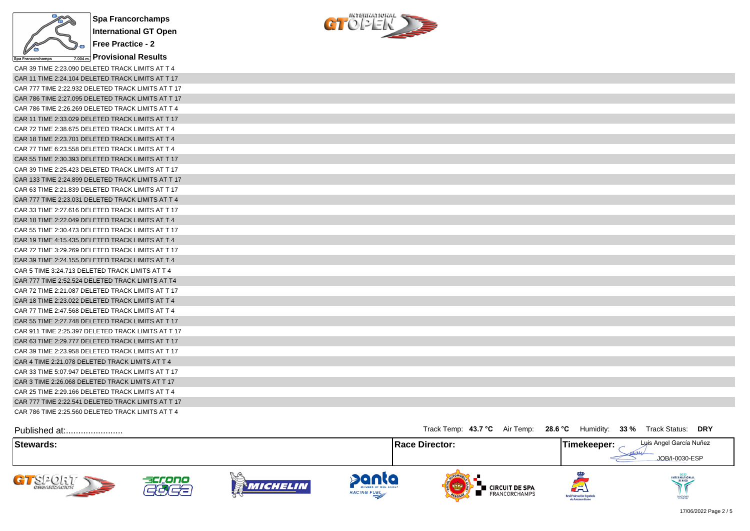

 $\begin{array}{c} \text{interference} \\ \text{C} \\ \end{array}$ 

| CAR 39 TIME 2:23.090 DELETED TRACK LIMITS AT T 4   |
|----------------------------------------------------|
| CAR 11 TIME 2:24.104 DELETED TRACK LIMITS AT T 17  |
| CAR 777 TIME 2:22.932 DELETED TRACK LIMITS AT T 17 |
| CAR 786 TIME 2:27.095 DELETED TRACK LIMITS AT T 17 |
| CAR 786 TIME 2:26.269 DELETED TRACK LIMITS AT T 4  |
| CAR 11 TIME 2:33.029 DELETED TRACK LIMITS AT T 17  |
| CAR 72 TIME 2:38.675 DELETED TRACK LIMITS AT T 4   |
| CAR 18 TIME 2:23.701 DELETED TRACK LIMITS AT T 4   |
| CAR 77 TIME 6:23.558 DELETED TRACK LIMITS AT T 4   |
| CAR 55 TIME 2:30.393 DELETED TRACK LIMITS AT T 17  |
| CAR 39 TIME 2:25.423 DELETED TRACK LIMITS AT T 17  |
| CAR 133 TIME 2:24.899 DELETED TRACK LIMITS AT T 17 |
| CAR 63 TIME 2:21.839 DELETED TRACK LIMITS AT T 17  |
| CAR 777 TIME 2:23.031 DELETED TRACK LIMITS AT T 4  |
| CAR 33 TIME 2:27.616 DELETED TRACK LIMITS AT T 17  |
| CAR 18 TIME 2:22.049 DELETED TRACK LIMITS AT T 4   |
| CAR 55 TIME 2:30.473 DELETED TRACK LIMITS AT T 17  |
| CAR 19 TIME 4:15.435 DELETED TRACK LIMITS AT T 4   |
| CAR 72 TIME 3:29.269 DELETED TRACK LIMITS AT T 17  |
| CAR 39 TIME 2:24.155 DELETED TRACK LIMITS AT T 4   |
| CAR 5 TIME 3:24.713 DELETED TRACK LIMITS AT T 4    |
| CAR 777 TIME 2:52.524 DELETED TRACK LIMITS AT T4   |
| CAR 72 TIME 2:21.087 DELETED TRACK LIMITS AT T 17  |
| CAR 18 TIME 2:23.022 DELETED TRACK LIMITS AT T 4   |
| CAR 77 TIME 2:47.568 DELETED TRACK LIMITS AT T 4   |
| CAR 55 TIME 2:27.748 DELETED TRACK LIMITS AT T 17  |
| CAR 911 TIME 2:25.397 DELETED TRACK LIMITS AT T 17 |
| CAR 63 TIME 2:29.777 DELETED TRACK LIMITS AT T 17  |
| CAR 39 TIME 2:23.958 DELETED TRACK LIMITS AT T 17  |
| CAR 4 TIME 2:21.078 DELETED TRACK LIMITS AT T 4    |
| CAR 33 TIME 5:07.947 DELETED TRACK LIMITS AT T 17  |
| CAR 3 TIME 2:26.068 DELETED TRACK LIMITS AT T 17   |
| CAR 25 TIME 2:29.166 DELETED TRACK LIMITS AT T 4   |
| CAR 777 TIME 2:22.541 DELETED TRACK LIMITS AT T 17 |
| CAR 786 TIME 2:25.560 DELETED TRACK LIMITS AT T 4  |

| Published at:              |        |          |                                                    | Track Temp: 43.7 °C Air Temp: 28.6 °C Humidity: 33 % Track Status: DRY |                                                     |                                           |
|----------------------------|--------|----------|----------------------------------------------------|------------------------------------------------------------------------|-----------------------------------------------------|-------------------------------------------|
| Stewards:                  |        |          |                                                    | <b>Race Director:</b>                                                  | Timekeeper:                                         | Luis Angel García Nuñez<br>JOB/I-0030-ESP |
| GT SPORT<br><b>SEPTENT</b> | accono | Michelin | panta<br>MEMBER OF MOL GROUP<br><b>RACING FUEL</b> | ∎ CIRCUIT DE SPA<br><b>FRANCORCHAMPS</b><br><b>OFLOW</b>               | لظم<br>Real Federación Española<br>de Automovilismo | INTERNATIONAL<br>SANCTIONED               |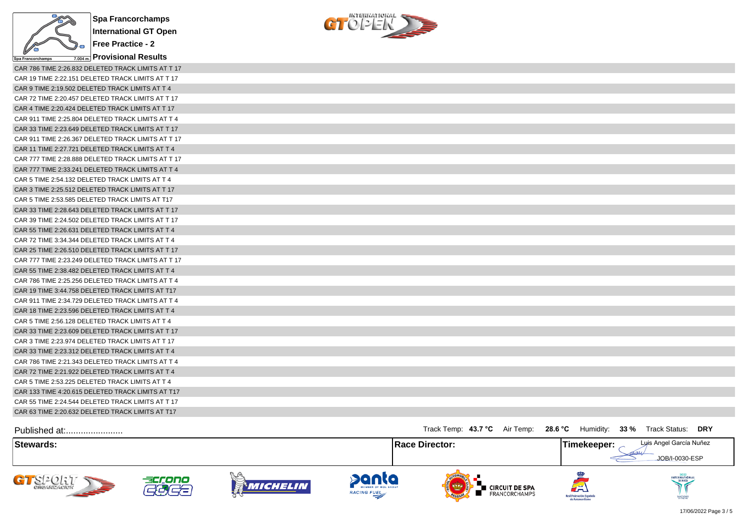

**Free Practice - 2**

**Provisional Results** 

 $C122E$ 

| CAR 786 TIME 2:26.832 DELETED TRACK LIMITS AT T 17 |
|----------------------------------------------------|
| CAR 19 TIME 2:22.151 DELETED TRACK LIMITS AT T 17  |
| CAR 9 TIME 2:19.502 DELETED TRACK LIMITS AT T 4    |
| CAR 72 TIME 2:20.457 DELETED TRACK LIMITS AT T 17  |
| CAR 4 TIME 2:20.424 DELETED TRACK LIMITS AT T 17   |
| CAR 911 TIME 2:25.804 DELETED TRACK LIMITS AT T 4  |
| CAR 33 TIME 2:23.649 DELETED TRACK LIMITS AT T 17  |
| CAR 911 TIME 2:26.367 DELETED TRACK LIMITS AT T 17 |
| CAR 11 TIME 2:27.721 DELETED TRACK LIMITS AT T 4   |
| CAR 777 TIME 2:28.888 DELETED TRACK LIMITS AT T 17 |
| CAR 777 TIME 2:33.241 DELETED TRACK LIMITS AT T 4  |
| CAR 5 TIME 2:54.132 DELETED TRACK LIMITS AT T 4    |
| CAR 3 TIME 2:25.512 DELETED TRACK LIMITS AT T 17   |
| CAR 5 TIME 2:53.585 DELETED TRACK LIMITS AT T17    |
| CAR 33 TIME 2:28.643 DELETED TRACK LIMITS AT T 17  |
| CAR 39 TIME 2:24.502 DELETED TRACK LIMITS AT T 17  |
| CAR 55 TIME 2:26.631 DELETED TRACK LIMITS AT T 4   |
| CAR 72 TIME 3:34.344 DELETED TRACK LIMITS AT T 4   |
| CAR 25 TIME 2:26.510 DELETED TRACK LIMITS AT T 17  |
| CAR 777 TIME 2:23.249 DELETED TRACK LIMITS AT T 17 |
| CAR 55 TIME 2:38.482 DELETED TRACK LIMITS AT T 4   |
| CAR 786 TIME 2:25.256 DELETED TRACK LIMITS AT T 4  |
| CAR 19 TIME 3:44.758 DELETED TRACK LIMITS AT T17   |
| CAR 911 TIME 2:34.729 DELETED TRACK LIMITS AT T 4  |
| CAR 18 TIME 2:23.596 DELETED TRACK LIMITS AT T 4   |
| CAR 5 TIME 2:56.128 DELETED TRACK LIMITS AT T 4    |
| CAR 33 TIME 2:23.609 DELETED TRACK LIMITS AT T 17  |
| CAR 3 TIME 2:23.974 DELETED TRACK LIMITS AT T 17   |
| CAR 33 TIME 2:23.312 DELETED TRACK LIMITS AT T 4   |
| CAR 786 TIME 2:21.343 DELETED TRACK LIMITS AT T 4  |
| CAR 72 TIME 2:21.922 DELETED TRACK LIMITS AT T 4   |
| CAR 5 TIME 2:53.225 DELETED TRACK LIMITS AT T 4    |
| CAR 133 TIME 4:20.615 DELETED TRACK LIMITS AT T17  |
| CAR 55 TIME 2:24.544 DELETED TRACK LIMITS AT T 17  |
| CAR 63 TIME 2:20.632 DELETED TRACK LIMITS AT T17   |

| Published at:                                |                                    |                        |                                             | Track Temp: 43.7 °C Air Temp: 28.6 °C                | Humidity:                                           | $33\%$<br>DRY<br>Track Status:            |
|----------------------------------------------|------------------------------------|------------------------|---------------------------------------------|------------------------------------------------------|-----------------------------------------------------|-------------------------------------------|
| Stewards:                                    |                                    |                        | <b>Race Director:</b>                       |                                                      | Timekeeper:                                         | Luis Angel García Nuñez<br>JOB/I-0030-ESP |
| CTST<br><b>CHCANZACION</b><br><b>SEPTENT</b> | accono<br>$\overline{\phantom{a}}$ | ベルト<br><b>MICHELIN</b> | panta<br>MEMBER OF MOL GROUP<br>RACING FUEL | <b>E</b> CIRCUIT DE SPA<br>FRANCORCHAMPS<br>OFLORIDA | لصة<br>Real Federación Española<br>de Automovilismo | INTERNATIONAL<br>SANCTIONED               |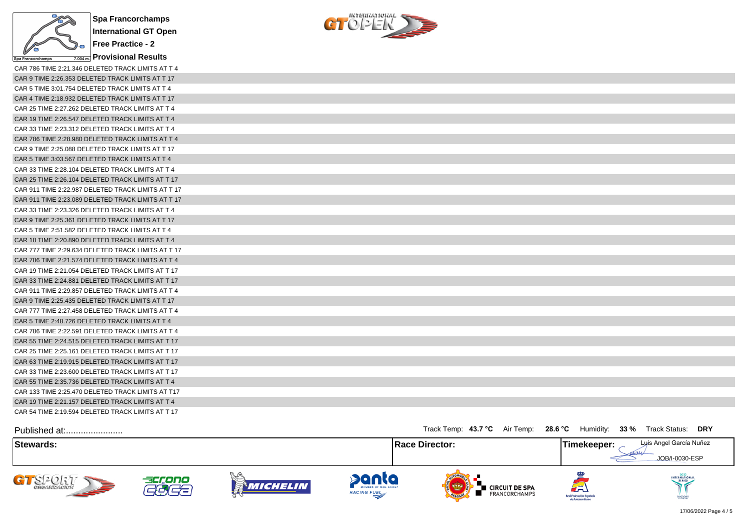

**Provisional Results**

CAR 786 TIME 2:21.346 DELETED TRACK LIMITS AT T 4 CAR 9 TIME 2:26.353 DELETED TRACK LIMITS AT T 17 CAR 5 TIME 3:01.754 DELETED TRACK LIMITS AT T 4 CAR 4 TIME 2:18.932 DELETED TRACK LIMITS AT T 17 CAR 25 TIME 2:27.262 DELETED TRACK LIMITS AT T 4 CAR 19 TIME 2:26.547 DELETED TRACK LIMITS AT T 4 CAR 33 TIME 2:23.312 DELETED TRACK LIMITS AT T 4 CAR 786 TIME 2:28.980 DELETED TRACK LIMITS AT T 4 CAR 9 TIME 2:25.088 DELETED TRACK LIMITS AT T 17 CAR 5 TIME 3:03.567 DELETED TRACK LIMITS AT T 4 CAR 33 TIME 2:28.104 DELETED TRACK LIMITS AT T 4 CAR 25 TIME 2:26.104 DELETED TRACK LIMITS AT T 17 CAR 911 TIME 2:22.987 DELETED TRACK LIMITS AT T 17 CAR 911 TIME 2:23.089 DELETED TRACK LIMITS AT T 17 CAR 33 TIME 2:23.326 DELETED TRACK LIMITS AT T 4 CAR 9 TIME 2:25.361 DELETED TRACK LIMITS AT T 17 CAR 5 TIME 2:51.582 DELETED TRACK LIMITS AT T 4 CAR 18 TIME 2:20.890 DELETED TRACK LIMITS AT T 4 CAR 777 TIME 2:29.634 DELETED TRACK LIMITS AT T 17 CAR 786 TIME 2:21.574 DELETED TRACK LIMITS AT T 4 CAR 19 TIME 2:21.054 DELETED TRACK LIMITS AT T 17 CAR 33 TIME 2:24.881 DELETED TRACK LIMITS AT T 17 CAR 911 TIME 2:29.857 DELETED TRACK LIMITS AT T 4 CAR 9 TIME 2:25.435 DELETED TRACK LIMITS AT T 17 CAR 777 TIME 2:27.458 DELETED TRACK LIMITS AT T 4 CAR 5 TIME 2:48.726 DELETED TRACK LIMITS AT T 4 CAR 786 TIME 2:22.591 DELETED TRACK LIMITS AT T 4 CAR 55 TIME 2:24.515 DELETED TRACK LIMITS AT T 17 CAR 25 TIME 2:25.161 DELETED TRACK LIMITS AT T 17 CAR 63 TIME 2:19.915 DELETED TRACK LIMITS AT T 17 CAR 33 TIME 2:23.600 DELETED TRACK LIMITS AT T 17 CAR 55 TIME 2:35.736 DELETED TRACK LIMITS AT T 4 CAR 133 TIME 2:25.470 DELETED TRACK LIMITS AT T17 CAR 19 TIME 2:21.157 DELETED TRACK LIMITS AT T 4 CAR 54 TIME 2:19.594 DELETED TRACK LIMITS AT T 17



| CAR 9 TIME 2:26.353 DELETED TRACK LIMITS AT T 17   |
|----------------------------------------------------|
| CAR 5 TIME 3:01.754 DELETED TRACK LIMITS AT T 4    |
| CAR 4 TIME 2:18.932 DELETED TRACK LIMITS AT T 17   |
| CAR 25 TIME 2:27.262 DELETED TRACK LIMITS AT T 4   |
| CAR 19 TIME 2:26.547 DELETED TRACK LIMITS AT T 4   |
| CAR 33 TIME 2:23.312 DELETED TRACK LIMITS AT T 4   |
| CAR 786 TIME 2:28.980 DELETED TRACK LIMITS AT T 4  |
| CAR 9 TIME 2:25.088 DELETED TRACK LIMITS AT T 17   |
| CAR 5 TIME 3:03.567 DELETED TRACK LIMITS AT T 4    |
| CAR 33 TIME 2:28.104 DELETED TRACK LIMITS AT T 4   |
| CAR 25 TIME 2:26.104 DELETED TRACK LIMITS AT T 17  |
| CAR 911 TIME 2:22.987 DELETED TRACK LIMITS AT T 17 |
| CAR 911 TIME 2:23.089 DELETED TRACK LIMITS AT T 17 |
| CAR 33 TIME 2:23.326 DELETED TRACK LIMITS AT T 4   |
| CAR 9 TIME 2:25.361 DELETED TRACK LIMITS AT T 17   |
| CAR 5 TIME 2:51.582 DELETED TRACK LIMITS AT T 4    |
| CAR 18 TIME 2:20.890 DELETED TRACK LIMITS AT T 4   |
| CAR 777 TIME 2:29.634 DELETED TRACK LIMITS AT T 17 |
| CAR 786 TIME 2:21.574 DELETED TRACK LIMITS AT T 4  |
| CAR 19 TIME 2:21.054 DELETED TRACK LIMITS AT T 17  |
| CAR 33 TIME 2:24.881 DELETED TRACK LIMITS AT T 17  |
| CAR 911 TIME 2:29.857 DELETED TRACK LIMITS AT T 4  |
| CAR 9 TIME 2:25.435 DELETED TRACK LIMITS AT T 17   |
| CAR 777 TIME 2:27.458 DELETED TRACK LIMITS AT T 4  |
| CAR 5 TIME 2:48.726 DELETED TRACK LIMITS AT T 4    |
| CAR 786 TIME 2:22.591 DELETED TRACK LIMITS AT T 4  |
| CAR 55 TIME 2:24.515 DELETED TRACK LIMITS AT T 17  |
| CAR 25 TIME 2:25.161 DELETED TRACK LIMITS AT T 17  |
| CAR 63 TIME 2:19.915 DELETED TRACK LIMITS AT T 17  |
| CAR 33 TIME 2:23,600 DELETED TRACK LIMITS AT T 17  |
| CAR 55 TIME 2:35.736 DELETED TRACK LIMITS AT T 4   |
| CAR 133 TIME 2:25.470 DELETED TRACK LIMITS AT T17  |
| CAR 19 TIME 2:21.157 DELETED TRACK LIMITS AT T 4   |

| Published at:                 |        |                        |                                                    | Track Temp: 43.7 °C Air Temp: 28.6 °C                     | Humidity:                                           | 33 %<br>Track Status: DRY                 |
|-------------------------------|--------|------------------------|----------------------------------------------------|-----------------------------------------------------------|-----------------------------------------------------|-------------------------------------------|
| Stewards:                     |        |                        |                                                    | <b>Race Director:</b>                                     | Timekeeper: .                                       | Luis Angel García Nuñez<br>JOB/I-0030-ESP |
| CREAMZACIÓN<br><b>SEPTENT</b> | accono | $\sim$ (0)<br>Michelin | panta<br>MEMBER OF MOL GROUP<br><b>RACING FUEL</b> | <b>CIRCUIT DE SPA</b><br><b>FRANCORCHAMPS</b><br>OFLORIDA | لظم<br>Real Federación Española<br>de Automovilismo | 2022<br>INTERNATIONA<br>SANCTIONED        |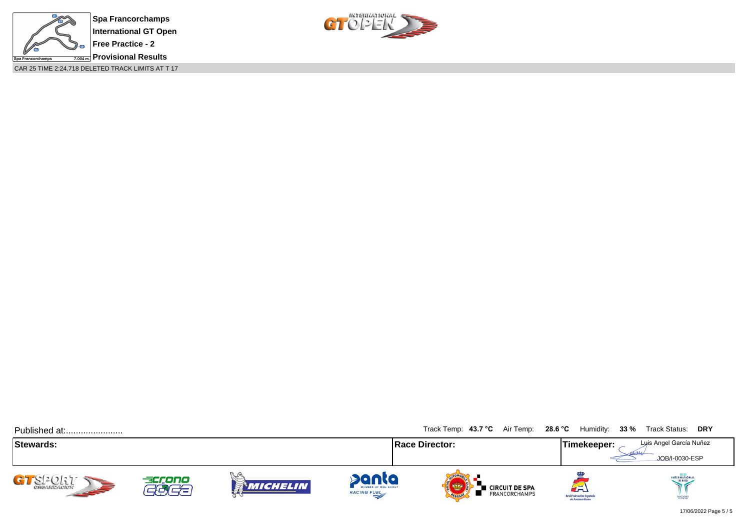

CAR 25 TIME 2:24.718 DELETED TRACK LIMITS AT T 17



| Published at:           |                                    |                                         |                                                    | Track Temp: 43.7 °C Air Temp: 28.6 °C |                                            | Humidity: 33 %                                      | Track Status: DRY                         |
|-------------------------|------------------------------------|-----------------------------------------|----------------------------------------------------|---------------------------------------|--------------------------------------------|-----------------------------------------------------|-------------------------------------------|
| <b>Stewards:</b>        |                                    |                                         |                                                    | <b>Race Director:</b>                 |                                            | Timekeeper:                                         | Luis Angel García Nuñez<br>JOB/I-0030-ESP |
| CI-CL1<br><b>SEPTER</b> | accono<br>$\overline{\phantom{a}}$ | $\mathcal{F}(\mathfrak{g})$<br>Michelin | panta<br>MEMBER OF MOL GROUP<br><b>RACING FUEL</b> | <b>OFLORID</b>                        | <b>E</b> CIRCUIT DE SPA<br>E FRANCORCHAMPS | لطة<br>Real Federación Española<br>de Automovilismo | INTERNATIONAL<br>SANCTIONED               |

17/06/2022 Page 5 / 5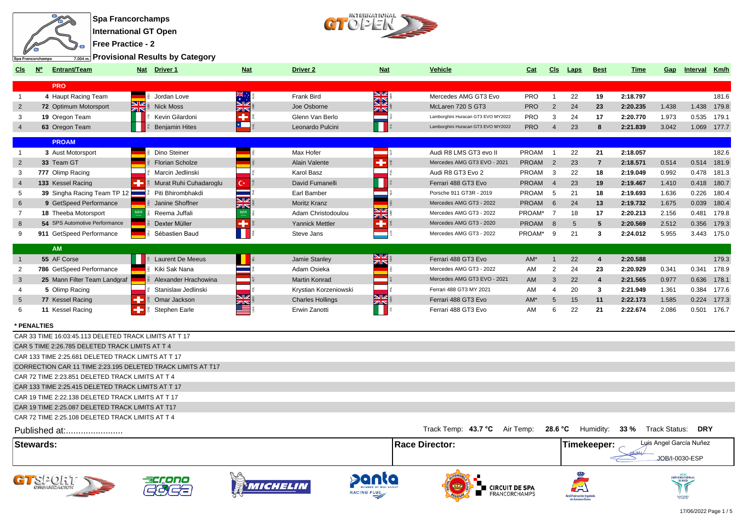

 $\begin{array}{c} \text{interference} \\ \text{C} \\ \end{array}$ 

**Provisional Results by Category**

| Cls             | $\underline{\mathsf{N}^{\circ}}$<br><b>Entrant/Team</b>     | Nat Driver 1           | <b>Nat</b>              | Driver <sub>2</sub>     | <b>Nat</b>                      | <b>Vehicle</b>                     | Cat          | Cls            | <b>Laps</b>                            | <b>Best</b>             | <b>Time</b>                  | Gap   | <u>Interval Km/h</u>    |             |
|-----------------|-------------------------------------------------------------|------------------------|-------------------------|-------------------------|---------------------------------|------------------------------------|--------------|----------------|----------------------------------------|-------------------------|------------------------------|-------|-------------------------|-------------|
|                 | <b>PRO</b>                                                  |                        |                         |                         |                                 |                                    |              |                |                                        |                         |                              |       |                         |             |
| $\overline{1}$  | 4 Haupt Racing Team                                         | Jordan Love            |                         | <b>Frank Bird</b>       | <u>ene</u><br>Ka                | Mercedes AMG GT3 Evo               | PRO          | $\mathbf{1}$   | 22                                     | 19                      | 2:18.797                     |       |                         | 181.6       |
| 2               | <b>72 Optimum Motorsport</b>                                | NZ<br><b>Nick Moss</b> | NZ                      | Joe Osborne             | ar                              | McLaren 720 S GT3                  | <b>PRO</b>   | 2              | 24                                     | 23                      | 2:20.235                     | 1.438 |                         | 1.438 179.8 |
| 3               | 19 Oregon Team                                              | ZIN<br>Kevin Gilardoni | K                       | Glenn Van Berlo         |                                 | Lamborghini Huracan GT3 EVO MY2022 | <b>PRO</b>   | 3              | 24                                     | 17                      | 2:20.770                     | 1.973 | 0.535                   | 179.1       |
|                 | 63 Oregon Team                                              | <b>Benjamin Hites</b>  | $\mathbf{z}$            | Leonardo Pulcini        |                                 | Lamborghini Huracan GT3 EVO MY2022 | <b>PRO</b>   | $\overline{4}$ | 23                                     | 8                       | 2:21.839                     | 3.042 |                         | 1.069 177.7 |
|                 | <b>PROAM</b>                                                |                        |                         |                         |                                 |                                    |              |                |                                        |                         |                              |       |                         |             |
| $\overline{1}$  | 3 Aust Motorsport                                           | Dino Steiner           |                         | Max Hofer               |                                 | Audi R8 LMS GT3 evo II             | PROAM        | $\overline{1}$ | 22                                     | 21                      | 2:18.057                     |       |                         | 182.6       |
| $\overline{2}$  | 33 Team GT                                                  | <b>Florian Scholze</b> |                         | Alain Valente           | ٠                               | Mercedes AMG GT3 EVO - 2021        | <b>PROAM</b> | 2              | 23                                     | $\overline{7}$          | 2:18.571                     | 0.514 |                         | 0.514 181.9 |
| 3               | 777 Olimp Racing                                            | Marcin Jedlinski       |                         | Karol Basz              |                                 | Audi R8 GT3 Evo 2                  | PROAM        | 3              | 22                                     | 18                      | 2:19.049                     | 0.992 | 0.478                   | 181.3       |
| $\overline{4}$  | 133 Kessel Racing                                           | Murat Ruhi Cuhadaroglu | с×                      | David Fumanelli         |                                 | Ferrari 488 GT3 Evo                | <b>PROAM</b> | $\overline{4}$ | 23                                     | 19                      | 2:19.467                     | 1.410 | 0.418                   | 180.7       |
| 5               | 39 Singha Racing Team TP 12                                 | Piti Bhirombhakdi      |                         | Earl Bamber             |                                 | Porsche 911 GT3R - 2019            | PROAM        | 5              | 21                                     | 18                      | 2:19.693                     | 1.636 | 0.226                   | 180.4       |
| 6               | 9 GetSpeed Performance                                      | Janine Shoffner        | $\overline{\mathbf{w}}$ | <b>Moritz Kranz</b>     |                                 | Mercedes AMG GT3 - 2022            | <b>PROAM</b> | 6              | 24                                     | 13                      | 2:19.732                     | 1.675 | 0.039                   | 180.4       |
| $\overline{7}$  | 18 Theeba Motorsport                                        | Reema Juffali          | Øß<br>1811              | Adam Christodoulou      | V<br>ZIN                        | Mercedes AMG GT3 - 2022            | PROAM*       | $\overline{7}$ | 18                                     | 17                      | 2:20.213                     | 2.156 | 0.481                   | 179.8       |
| 8               | <b>54</b> SPS Automotive Performance                        | Dexter Müller          | ۰                       | <b>Yannick Mettler</b>  | ÷                               | Mercedes AMG GT3 - 2020            | <b>PROAM</b> | $\mathsf{R}$   | $5\overline{)}$                        | 5                       | 2:20.569                     | 2.512 | 0.356                   | 179.3       |
| 9               | 911 GetSpeed Performance                                    | Sébastien Baud         |                         | Steve Jans              |                                 | Mercedes AMG GT3 - 2022            | PROAM*       | 9              | 21                                     | 3                       | 2:24.012                     | 5.955 |                         | 3.443 175.0 |
|                 | <b>AM</b>                                                   |                        |                         |                         |                                 |                                    |              |                |                                        |                         |                              |       |                         |             |
| $\overline{1}$  | 55 AF Corse                                                 | Laurent De Meeus       |                         | Jamie Stanley           | $\frac{\mathbf{N}}{\mathbf{N}}$ | Ferrari 488 GT3 Evo                | AM*          | $\mathbf{1}$   | 22                                     | $\overline{\mathbf{4}}$ | 2:20.588                     |       |                         | 179.3       |
| $\overline{2}$  | 786 GetSpeed Performance                                    | Kiki Sak Nana          |                         | Adam Osieka             |                                 | Mercedes AMG GT3 - 2022            | AM           | 2              | 24                                     | 23                      | 2:20.929                     | 0.341 | 0.341                   | 178.9       |
| $\mathbf{3}$    | 25 Mann Filter Team Landgraf                                | Alexander Hrachowina   |                         | <b>Martin Konrad</b>    |                                 | Mercedes AMG GT3 EVO - 2021        | AM           | 3              | 22                                     | $\overline{4}$          | 2:21.565                     | 0.977 | 0.636                   | 178.1       |
| $\overline{4}$  | 5 Olimp Racing                                              | Stanislaw Jedlinski    |                         | Krystian Korzeniowski   |                                 | Ferrari 488 GT3 MY 2021            | AM           | $\overline{4}$ | 20                                     | 3                       | 2:21.949                     | 1.361 | 0.384                   | 177.6       |
| $5\overline{)}$ | 77 Kessel Racing                                            | Omar Jackson           | NZ                      | <b>Charles Hollings</b> | <u>NK</u>                       | Ferrari 488 GT3 Evo                | AM*          | 5              | 15                                     | 11                      | 2:22.173                     | 1.585 | 0.224                   | 177.3       |
| 6               | 11 Kessel Racing                                            | Stephen Earle          | $\frac{2\pi}{2}$        | Erwin Zanotti           |                                 | Ferrari 488 GT3 Evo                | AM           | 6              | 22                                     | 21                      | 2:22.674                     | 2.086 |                         | 0.501 176.7 |
|                 | * PENALTIES                                                 |                        |                         |                         |                                 |                                    |              |                |                                        |                         |                              |       |                         |             |
|                 | CAR 33 TIME 16:03:45.113 DELETED TRACK LIMITS AT T 17       |                        |                         |                         |                                 |                                    |              |                |                                        |                         |                              |       |                         |             |
|                 | CAR 5 TIME 2:26.785 DELETED TRACK LIMITS AT T 4             |                        |                         |                         |                                 |                                    |              |                |                                        |                         |                              |       |                         |             |
|                 | CAR 133 TIME 2:25.681 DELETED TRACK LIMITS AT T 17          |                        |                         |                         |                                 |                                    |              |                |                                        |                         |                              |       |                         |             |
|                 | CORRECTION CAR 11 TIME 2:23.195 DELETED TRACK LIMITS AT T17 |                        |                         |                         |                                 |                                    |              |                |                                        |                         |                              |       |                         |             |
|                 | CAR 72 TIME 2:23.851 DELETED TRACK LIMITS AT T 4            |                        |                         |                         |                                 |                                    |              |                |                                        |                         |                              |       |                         |             |
|                 | CAR 133 TIME 2:25.415 DELETED TRACK LIMITS AT T 17          |                        |                         |                         |                                 |                                    |              |                |                                        |                         |                              |       |                         |             |
|                 | CAR 19 TIME 2:22.138 DELETED TRACK LIMITS AT T 17           |                        |                         |                         |                                 |                                    |              |                |                                        |                         |                              |       |                         |             |
|                 | CAR 19 TIME 2:25.087 DELETED TRACK LIMITS AT T17            |                        |                         |                         |                                 |                                    |              |                |                                        |                         |                              |       |                         |             |
|                 | CAR 72 TIME 2:25.108 DELETED TRACK LIMITS AT T 4            |                        |                         |                         |                                 |                                    |              |                |                                        |                         |                              |       |                         |             |
|                 | Published at:                                               |                        |                         |                         |                                 | Track Temp: 43.7 °C                | Air Temp:    | 28.6 °C        |                                        |                         | Humidity: 33 % Track Status: |       | <b>DRY</b>              |             |
|                 | <b>Stewards:</b>                                            |                        |                         |                         |                                 | <b>Race Director:</b>              |              |                |                                        | Timekeeper:             |                              |       | Luis Angel García Nuñez |             |
|                 |                                                             |                        |                         |                         |                                 |                                    |              |                |                                        |                         |                              |       | JOB/I-0030-ESP          |             |
|                 |                                                             |                        |                         |                         |                                 |                                    |              |                |                                        |                         |                              |       |                         |             |
|                 | GTSPORT                                                     |                        | <i>MICHEL</i>           |                         | <b>RACING FUEL</b>              | <b>CIRCUIT DE SPA</b>              |              |                |                                        |                         |                              |       |                         |             |
|                 |                                                             |                        |                         |                         |                                 | FRANCORCHAMPS                      |              |                | Real Federación Españ<br>de Automovili |                         |                              |       |                         |             |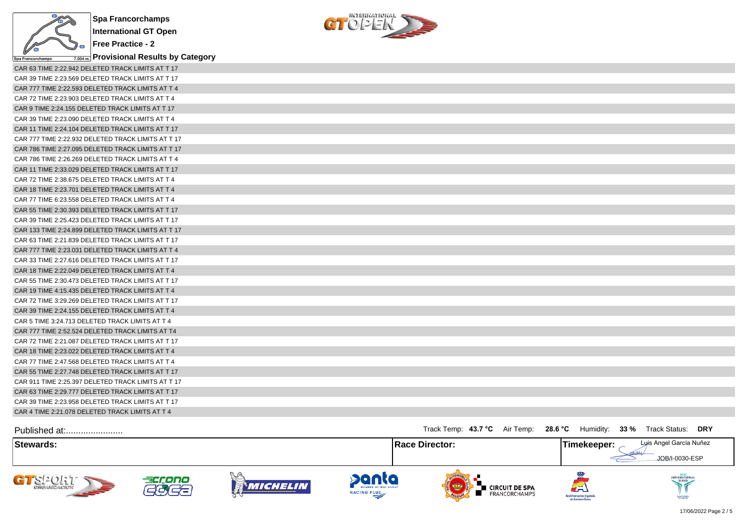



| $\vee$<br>Spa Francorchamps | $_{\overline{{\rm 7.004\,m}}}$ Provisional Results by Category |
|-----------------------------|----------------------------------------------------------------|
|                             | CAR 63 TIME 2:22.942 DELETED TRACK LIMITS AT T 17              |
|                             | CAR 39 TIME 2:23.569 DELETED TRACK LIMITS AT T 17              |
|                             | CAR 777 TIME 2:22.593 DELETED TRACK LIMITS AT T 4              |
|                             | CAR 72 TIME 2:23.903 DELETED TRACK LIMITS AT T 4               |
|                             | CAR 9 TIME 2:24.155 DELETED TRACK LIMITS AT T 17               |
|                             | CAR 39 TIME 2:23.090 DELETED TRACK LIMITS AT T 4               |
|                             | CAR 11 TIME 2:24.104 DELETED TRACK LIMITS AT T 17              |
|                             | CAR 777 TIME 2:22.932 DELETED TRACK LIMITS AT T 17             |
|                             | CAR 786 TIME 2:27.095 DELETED TRACK LIMITS AT T 17             |
|                             | CAR 786 TIME 2:26.269 DELETED TRACK LIMITS AT T 4              |
|                             | CAR 11 TIME 2:33.029 DELETED TRACK LIMITS AT T 17              |
|                             | CAR 72 TIME 2:38.675 DELETED TRACK LIMITS AT T 4               |
|                             | CAR 18 TIME 2:23.701 DELETED TRACK LIMITS AT T 4               |
|                             | CAR 77 TIME 6:23.558 DELETED TRACK LIMITS AT T 4               |
|                             | CAR 55 TIME 2:30.393 DELETED TRACK LIMITS AT T 17              |
|                             | CAR 39 TIME 2:25.423 DELETED TRACK LIMITS AT T 17              |
|                             | CAR 133 TIME 2:24.899 DELETED TRACK LIMITS AT T 17             |
|                             | CAR 63 TIME 2:21.839 DELETED TRACK LIMITS AT T 17              |
|                             | CAR 777 TIME 2:23.031 DELETED TRACK LIMITS AT T 4              |
|                             | CAR 33 TIME 2:27.616 DELETED TRACK LIMITS AT T 17              |
|                             | CAR 18 TIME 2:22.049 DELETED TRACK LIMITS AT T 4               |
|                             | CAR 55 TIME 2:30.473 DELETED TRACK LIMITS AT T 17              |
|                             | CAR 19 TIME 4:15.435 DELETED TRACK LIMITS AT T 4               |
|                             | CAR 72 TIME 3:29.269 DELETED TRACK LIMITS AT T 17              |
|                             | CAR 39 TIME 2:24.155 DELETED TRACK LIMITS AT T 4               |
|                             | CAR 5 TIME 3:24.713 DELETED TRACK LIMITS AT T 4                |
|                             | CAR 777 TIME 2:52.524 DELETED TRACK LIMITS AT T4               |
|                             | CAR 72 TIME 2:21.087 DELETED TRACK LIMITS AT T 17              |
|                             | CAR 18 TIME 2:23.022 DELETED TRACK LIMITS AT T 4               |
|                             | CAR 77 TIME 2:47.568 DELETED TRACK LIMITS AT T 4               |
|                             | CAR 55 TIME 2:27.748 DELETED TRACK LIMITS AT T 17              |
|                             | CAR 911 TIME 2:25.397 DELETED TRACK LIMITS AT T 17             |
|                             | CAR 63 TIME 2:29.777 DELETED TRACK LIMITS AT T 17              |
|                             | CAR 39 TIME 2:23.958 DELETED TRACK LIMITS AT T 17              |
|                             | CAR 4 TIME 2:21.078 DELETED TRACK LIMITS AT T 4                |

| Published at:                        |             |          |                                             | Track Temp: 43.7 °C Air Temp: 28.6 °C Humidity: 33 % Track Status: |                                                     | <b>DRY</b>                                |
|--------------------------------------|-------------|----------|---------------------------------------------|--------------------------------------------------------------------|-----------------------------------------------------|-------------------------------------------|
| <b>Stewards:</b>                     |             |          |                                             | <b>Race Director:</b>                                              | Timekeeper:                                         | Luis Angel García Nuñez<br>JOB/I-0030-ESP |
| <b>SEPTE</b><br><b>CHICANIZACION</b> | accono<br>æ | MICHELIN | panta<br>MEMBER OF MOL GROUP<br>RACING FUEL | <b>CIRCUIT DE SPA</b><br>FRANCORCHAMPS<br><b>OFLONIA</b>           | لطة<br>Real Federación Española<br>de Automovilismo | INTERNATIONAL<br>SANCTIONED               |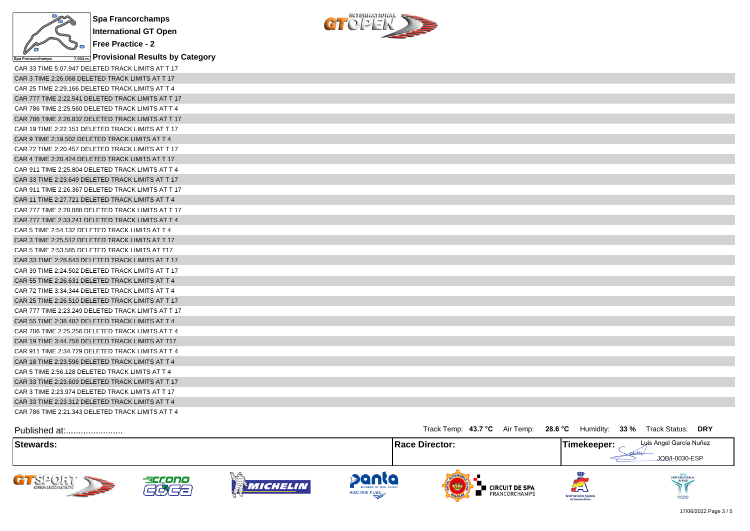

**Free Practice - 2 Provisional Results by Category**



| CAR 33 TIME 5:07.947 DELETED TRACK LIMITS AT T 17  |
|----------------------------------------------------|
| CAR 3 TIME 2:26.068 DELETED TRACK LIMITS AT T 17   |
| CAR 25 TIME 2:29.166 DELETED TRACK LIMITS AT T 4   |
| CAR 777 TIME 2:22.541 DELETED TRACK LIMITS AT T 17 |
| CAR 786 TIME 2:25.560 DELETED TRACK LIMITS AT T 4  |
| CAR 786 TIME 2:26.832 DELETED TRACK LIMITS AT T 17 |
| CAR 19 TIME 2:22.151 DELETED TRACK LIMITS AT T 17  |
| CAR 9 TIME 2:19.502 DELETED TRACK LIMITS AT T 4    |
| CAR 72 TIME 2:20.457 DELETED TRACK LIMITS AT T 17  |
| CAR 4 TIME 2:20.424 DELETED TRACK LIMITS AT T 17   |
| CAR 911 TIME 2:25.804 DELETED TRACK LIMITS AT T 4  |
| CAR 33 TIME 2:23.649 DELETED TRACK LIMITS AT T 17  |
| CAR 911 TIME 2:26.367 DELETED TRACK LIMITS AT T 17 |
| CAR 11 TIME 2:27.721 DELETED TRACK LIMITS AT T 4   |
| CAR 777 TIME 2:28.888 DELETED TRACK LIMITS AT T 17 |
| CAR 777 TIME 2:33.241 DELETED TRACK LIMITS AT T 4  |
| CAR 5 TIME 2:54.132 DELETED TRACK LIMITS AT T 4    |
| CAR 3 TIME 2:25.512 DELETED TRACK LIMITS AT T 17   |
| CAR 5 TIME 2:53.585 DELETED TRACK LIMITS AT T17    |
| CAR 33 TIME 2:28.643 DELETED TRACK LIMITS AT T 17  |
| CAR 39 TIME 2:24.502 DELETED TRACK LIMITS AT T 17  |
| CAR 55 TIME 2:26.631 DELETED TRACK LIMITS AT T 4   |
| CAR 72 TIME 3:34.344 DELETED TRACK LIMITS AT T 4   |
| CAR 25 TIME 2:26.510 DELETED TRACK LIMITS AT T 17  |
| CAR 777 TIME 2:23.249 DELETED TRACK LIMITS AT T 17 |
| CAR 55 TIME 2:38.482 DELETED TRACK LIMITS AT T 4   |
| CAR 786 TIME 2:25.256 DELETED TRACK LIMITS AT T 4  |
| CAR 19 TIME 3:44.758 DELETED TRACK LIMITS AT T17   |
| CAR 911 TIME 2:34.729 DELETED TRACK LIMITS AT T 4  |
| CAR 18 TIME 2:23.596 DELETED TRACK LIMITS AT T 4   |
| CAR 5 TIME 2:56.128 DELETED TRACK LIMITS AT T 4    |
| CAR 33 TIME 2:23.609 DELETED TRACK LIMITS AT T 17  |
| CAR 3 TIME 2:23.974 DELETED TRACK LIMITS AT T 17   |
| CAR 33 TIME 2:23.312 DELETED TRACK LIMITS AT T 4   |
| CAR 786 TIME 2:21.343 DELETED TRACK LIMITS AT T 4  |

| Published at:         |                                    |                      |                                             | Track Temp: 43.7 °C Air Temp: 28.6 °C             | Humidity:                                                                  | $33\%$<br>Track Status:<br>DRY            |
|-----------------------|------------------------------------|----------------------|---------------------------------------------|---------------------------------------------------|----------------------------------------------------------------------------|-------------------------------------------|
| Stewards:             |                                    |                      |                                             | Race Director:                                    | Timekeeper:                                                                | Luis Angel García Nuñez<br>JOB/I-0030-ESP |
| CI-CLIL<br><b>SEP</b> | accono<br>$\overline{\phantom{a}}$ | $Q_+(e)$<br>Michelin | panta<br>MEMBER OF MOL GROUP<br>RACING FUEL | ■ CIRCUIT DE SPA<br>FRANCORCHAMPS<br><b>OFLOW</b> | $\mathcal{L}^{\mathbb{Z}}$<br>Real Federación Española<br>de Automovilismo | <b>INTERNATIONAL</b><br>SANCRONED         |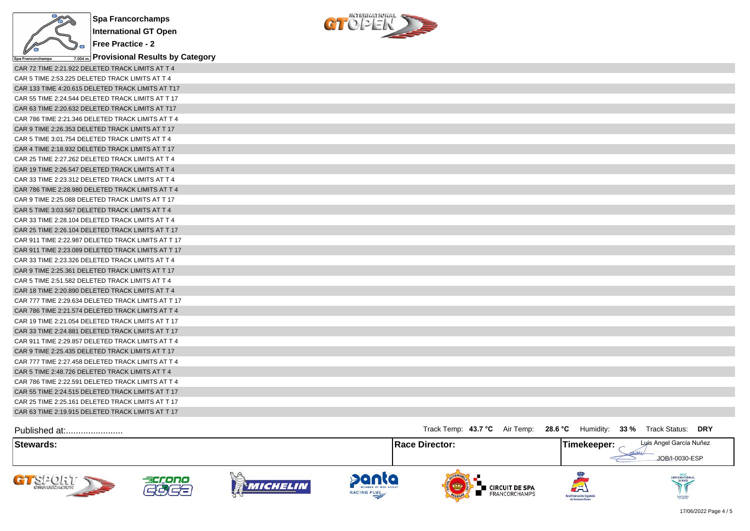



| $\sim$ $-$<br>Spa Francorchamps                    |  |
|----------------------------------------------------|--|
| CAR 72 TIME 2:21.922 DELETED TRACK LIMITS AT T 4   |  |
| CAR 5 TIME 2:53.225 DELETED TRACK LIMITS AT T 4    |  |
| CAR 133 TIME 4:20.615 DELETED TRACK LIMITS AT T17  |  |
| CAR 55 TIME 2:24.544 DELETED TRACK LIMITS AT T 17  |  |
| CAR 63 TIME 2:20.632 DELETED TRACK LIMITS AT T17   |  |
| CAR 786 TIME 2:21.346 DELETED TRACK LIMITS AT T 4  |  |
| CAR 9 TIME 2:26.353 DELETED TRACK LIMITS AT T 17   |  |
| CAR 5 TIME 3:01.754 DELETED TRACK LIMITS AT T 4    |  |
| CAR 4 TIME 2:18.932 DELETED TRACK LIMITS AT T 17   |  |
| CAR 25 TIME 2:27.262 DELETED TRACK LIMITS AT T 4   |  |
| CAR 19 TIME 2:26.547 DELETED TRACK LIMITS AT T 4   |  |
| CAR 33 TIME 2:23.312 DELETED TRACK LIMITS AT T 4   |  |
| CAR 786 TIME 2:28.980 DELETED TRACK LIMITS AT T 4  |  |
| CAR 9 TIME 2:25.088 DELETED TRACK LIMITS AT T 17   |  |
| CAR 5 TIME 3:03.567 DELETED TRACK LIMITS AT T 4    |  |
| CAR 33 TIME 2:28.104 DELETED TRACK LIMITS AT T 4   |  |
| CAR 25 TIME 2:26.104 DELETED TRACK LIMITS AT T 17  |  |
| CAR 911 TIME 2:22.987 DELETED TRACK LIMITS AT T 17 |  |
| CAR 911 TIME 2:23.089 DELETED TRACK LIMITS AT T 17 |  |
| CAR 33 TIME 2:23.326 DELETED TRACK LIMITS AT T 4   |  |
| CAR 9 TIME 2:25.361 DELETED TRACK LIMITS AT T 17   |  |
| CAR 5 TIME 2:51.582 DELETED TRACK LIMITS AT T 4    |  |
| CAR 18 TIME 2:20.890 DELETED TRACK LIMITS AT T 4   |  |
| CAR 777 TIME 2:29.634 DELETED TRACK LIMITS AT T 17 |  |
| CAR 786 TIME 2:21.574 DELETED TRACK LIMITS AT T 4  |  |
| CAR 19 TIME 2:21.054 DELETED TRACK LIMITS AT T 17  |  |
| CAR 33 TIME 2:24.881 DELETED TRACK LIMITS AT T 17  |  |
| CAR 911 TIME 2:29.857 DELETED TRACK LIMITS AT T 4  |  |
| CAR 9 TIME 2:25.435 DELETED TRACK LIMITS AT T 17   |  |
| CAR 777 TIME 2:27.458 DELETED TRACK LIMITS AT T 4  |  |
| CAR 5 TIME 2:48.726 DELETED TRACK LIMITS AT T 4    |  |
| CAR 786 TIME 2:22.591 DELETED TRACK LIMITS AT T 4  |  |
| CAR 55 TIME 2:24.515 DELETED TRACK LIMITS AT T 17  |  |
| CAR 25 TIME 2:25.161 DELETED TRACK LIMITS AT T 17  |  |
| CAR 63 TIME 2:19.915 DELETED TRACK LIMITS AT T 17  |  |

| Published at:                                   |              |                  |                                                    | Track Temp: 43.7 °C Air Temp: 28.6 °C               | Humidity:                                           | 33 % Track Status:<br><b>DRY</b>          |
|-------------------------------------------------|--------------|------------------|----------------------------------------------------|-----------------------------------------------------|-----------------------------------------------------|-------------------------------------------|
| Stewards:                                       |              |                  |                                                    | <b>Race Director:</b>                               | Timekeeper:                                         | Luis Angel García Nuñez<br>JOB/I-0030-ESP |
| GTSPORT<br><b>CHCANZACION</b><br><b>SEPTENT</b> | accono<br>22 | V. G<br>Michelin | danta<br>MEMBER OF MOL GROUP<br><b>RACING FUEL</b> | I CIRCUIT DE SPA<br>FRANCORCHAMPS<br><b>OFLONIA</b> | لظم<br>Real Federación Española<br>de Automovilismo | INTERNATIONAL<br>SANCTIONED               |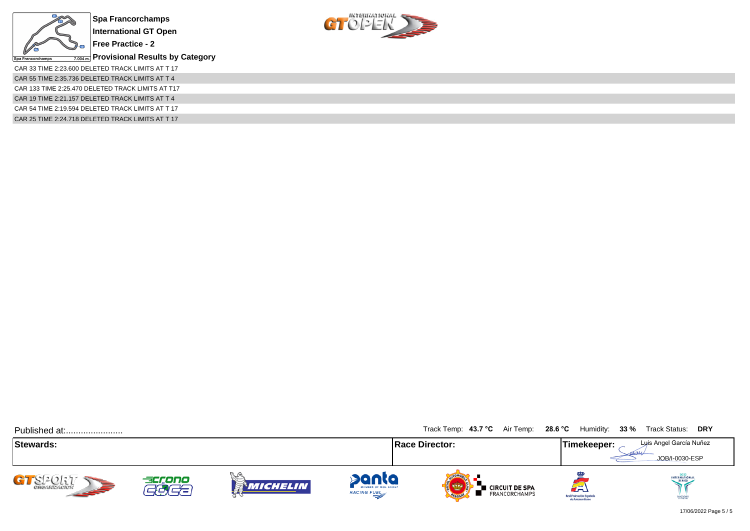



CAR 33 TIME 2:23.600 DELETED TRACK LIMITS AT T 17 CAR 55 TIME 2:35.736 DELETED TRACK LIMITS AT T 4 CAR 133 TIME 2:25.470 DELETED TRACK LIMITS AT T17 CAR 19 TIME 2:21.157 DELETED TRACK LIMITS AT T 4 CAR 54 TIME 2:19.594 DELETED TRACK LIMITS AT T 17 CAR 25 TIME 2:24.718 DELETED TRACK LIMITS AT T 17

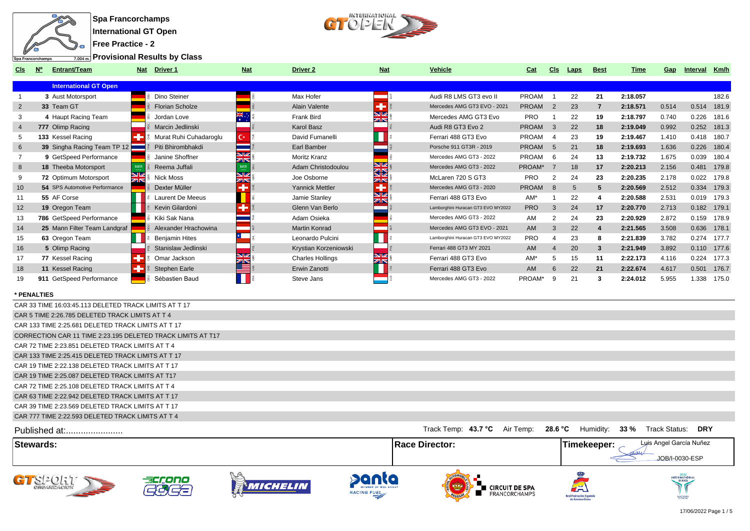



**Free Practice - 2**

**Provisional Results by Class**

| CIS             | <b>Entrant/Team</b><br><b>N°</b> | <b>Nat</b> | Driver 1               | <b>Nat</b>                    | <b>Driver 2</b>         | <b>Nat</b> | Vehicle                            | Cat          | <b>CIS</b>    | Laps | <b>Best</b> | Time     | Gap   | Interval    | Km/h        |
|-----------------|----------------------------------|------------|------------------------|-------------------------------|-------------------------|------------|------------------------------------|--------------|---------------|------|-------------|----------|-------|-------------|-------------|
|                 | <b>International GT Open</b>     |            |                        |                               |                         |            |                                    |              |               |      |             |          |       |             |             |
|                 | 3 Aust Motorsport                |            | Dino Steiner           |                               | Max Hofer               |            | Audi R8 LMS GT3 evo II             | PROAM        |               | 22   | 21          | 2:18.057 |       |             | 182.6       |
| 2               | 33 Team GT                       |            | <b>Florian Scholze</b> |                               | Alain Valente           |            | Mercedes AMG GT3 EVO - 2021        | <b>PROAM</b> | 2             | 23   |             | 2:18.571 | 0.514 | 0.514       | 181.9       |
|                 | 4 Haupt Racing Team              |            | Jordan Love            |                               | Frank Bird              | NØ<br>ZK   | Mercedes AMG GT3 Evo               | <b>PRO</b>   |               | 22   | 19          | 2:18.797 | 0.740 | 0.226       | 181.6       |
|                 | 777 Olimp Racing                 |            | Marcin Jedlinski       |                               | Karol Basz              |            | Audi R8 GT3 Evo 2                  | <b>PROAM</b> | -3            | 22   | 18          | 2:19.049 | 0.992 | 0.252       | 181.3       |
|                 | 133 Kessel Racing                |            | Murat Ruhi Cuhadaroglu | С×                            | David Fumanelli         |            | Ferrari 488 GT3 Evo                | PROAM        |               | 23   | 19          | 2:19.467 | 1.410 | 0.418       | 180.7       |
| 6               | 39 Singha Racing Team TP 12      |            | Piti Bhirombhakdi      |                               | Earl Bamber             |            | Porsche 911 GT3R - 2019            | <b>PROAM</b> | -5            | 21   | 18          | 2:19.693 | 1.636 | 0.226       | 180.4       |
|                 | 9 GetSpeed Performance           |            | Janine Shoffner        | $\overline{\mathbf{w}}$<br>ZK | <b>Moritz Kranz</b>     |            | Mercedes AMG GT3 - 2022            | PROAM        | -6            | 24   | 13          | 2:19.732 | 1.675 | 0.039       | 180.4       |
| 8               | 18 Theeba Motorsport             |            | Reema Juffali          | 53703                         | Adam Christodoulou      | 92<br>ସ⊠   | Mercedes AMG GT3 - 2022            | PROAM*       |               | 18   | 17          | 2:20.213 | 2.156 | 0.481       | 179.8       |
|                 | 72 Optimum Motorsport            | zirs       | Nick Moss              | <b>SIZ</b><br>ZK              | Joe Osborne             | ZK         | McLaren 720 S GT3                  | <b>PRO</b>   |               | 24   | 23          | 2:20.235 | 2.178 | 0.022       | 179.8       |
| 10 <sup>°</sup> | 54 SPS Automotive Performance    |            | Dexter Müller          | ٠                             | Yannick Mettler         |            | Mercedes AMG GT3 - 2020            | <b>PROAM</b> | $\mathcal{B}$ | 5    | 5           | 2:20.569 | 2.512 |             | 0.334 179.3 |
|                 | 55 AF Corse                      |            | Laurent De Meeus       |                               | Jamie Stanley           | NØ         | Ferrari 488 GT3 Evo                | $AM*$        |               | 22   |             | 2:20.588 | 2.531 | 0.019       | 179.3       |
| 12              | 19 Oregon Team                   |            | Kevin Gilardoni        |                               | Glenn Van Berlo         |            | Lamborghini Huracan GT3 EVO MY2022 | <b>PRO</b>   | 3             | 24   | 17          | 2:20.770 | 2.713 | 0.182 179.1 |             |
| 13              | 786 GetSpeed Performance         |            | Kiki Sak Nana          |                               | Adam Osieka             |            | Mercedes AMG GT3 - 2022            | AM           |               | 24   | 23          | 2:20.929 | 2.872 | 0.159       | 178.9       |
| 14              | 25 Mann Filter Team Landgraf     |            | Alexander Hrachowina   |                               | Martin Konrad           |            | Mercedes AMG GT3 EVO - 2021        | AM           |               | 22   |             | 2:21.565 | 3.508 |             | 0.636 178.1 |
| 15              | 63 Oregon Team                   |            | <b>Benjamin Hites</b>  |                               | Leonardo Pulcini        |            | Lamborghini Huracan GT3 EVO MY2022 | <b>PRO</b>   |               | 23   | 8           | 2:21.839 | 3.782 | 0.274       | 177.7       |
| 16              | 5 Olimp Racing                   |            | Stanislaw Jedlinski    |                               | Krystian Korzeniowski   |            | Ferrari 488 GT3 MY 2021            | AM           |               | 20   | 3           | 2:21.949 | 3.892 |             | 0.110 177.6 |
| 17              | 77 Kessel Racing                 |            | Omar Jackson           | <b>SV</b><br>वार्             | <b>Charles Hollings</b> | ZK         | Ferrari 488 GT3 Evo                | AM*          | 5             | 15   | 11          | 2:22.173 | 4.116 | 0.224       | 177.3       |
| 18              | 11 Kessel Racing                 |            | Stephen Earle          |                               | Erwin Zanotti           |            | Ferrari 488 GT3 Evo                | <b>AM</b>    |               | 22   | 21          | 2:22.674 | 4.617 | 0.501       | 176.7       |
| 19              | 911 GetSpeed Performance         |            | Sébastien Baud         |                               | Steve Jans              |            | Mercedes AMG GT3 - 2022            | PROAM*       | -9            | 21   | 3           | 2:24.012 | 5.955 | 1.338       | 175.0       |
|                 |                                  |            |                        |                               |                         |            |                                    |              |               |      |             |          |       |             |             |

## **\* PENALTIES**

| <b>Stewards:</b>                                            | <b>IRace Director:</b> |  | <b>Timekeeper:</b> | Luis Angel García Nuñez                                                |  |
|-------------------------------------------------------------|------------------------|--|--------------------|------------------------------------------------------------------------|--|
| Published at:                                               |                        |  |                    | Track Temp: 43.7 °C Air Temp: 28.6 °C Humidity: 33 % Track Status: DRY |  |
| CAR 777 TIME 2:22.593 DELETED TRACK LIMITS AT T 4           |                        |  |                    |                                                                        |  |
| CAR 39 TIME 2:23.569 DELETED TRACK LIMITS AT T 17           |                        |  |                    |                                                                        |  |
| CAR 63 TIME 2:22.942 DELETED TRACK LIMITS AT T 17           |                        |  |                    |                                                                        |  |
| CAR 72 TIME 2:25.108 DELETED TRACK LIMITS AT T 4            |                        |  |                    |                                                                        |  |
| CAR 19 TIME 2:25.087 DELETED TRACK LIMITS AT T17            |                        |  |                    |                                                                        |  |
| CAR 19 TIME 2:22.138 DELETED TRACK LIMITS AT T 17           |                        |  |                    |                                                                        |  |
| CAR 133 TIME 2:25.415 DELETED TRACK LIMITS AT T 17          |                        |  |                    |                                                                        |  |
| CAR 72 TIME 2:23.851 DELETED TRACK LIMITS AT T 4            |                        |  |                    |                                                                        |  |
| CORRECTION CAR 11 TIME 2:23.195 DELETED TRACK LIMITS AT T17 |                        |  |                    |                                                                        |  |
| CAR 133 TIME 2:25.681 DELETED TRACK LIMITS AT T 17          |                        |  |                    |                                                                        |  |
| CAR 5 TIME 2:26.785 DELETED TRACK LIMITS AT T 4             |                        |  |                    |                                                                        |  |
| CAR 33 TIME 16:03:45.113 DELETED TRACK LIMITS AT T 17       |                        |  |                    |                                                                        |  |

MOTONED

Real Federación Espa<br>de Automovilism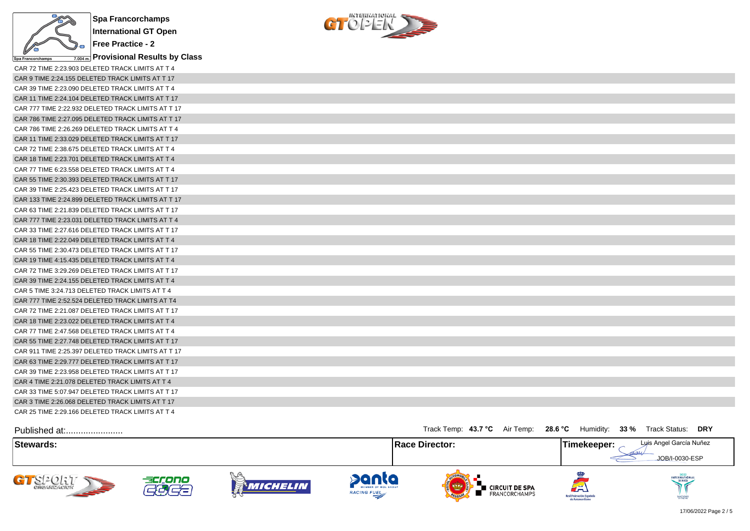

**Provisional Results by Class**



| CAR 72 TIME 2:23.903 DELETED TRACK LIMITS AT T 4   |
|----------------------------------------------------|
| CAR 9 TIME 2:24.155 DELETED TRACK LIMITS AT T 17   |
| CAR 39 TIME 2:23.090 DELETED TRACK LIMITS AT T 4   |
| CAR 11 TIME 2:24.104 DELETED TRACK LIMITS AT T 17  |
| CAR 777 TIME 2:22.932 DELETED TRACK LIMITS AT T 17 |
| CAR 786 TIME 2:27.095 DELETED TRACK LIMITS AT T 17 |
| CAR 786 TIME 2:26.269 DELETED TRACK LIMITS AT T 4  |
| CAR 11 TIME 2:33.029 DELETED TRACK LIMITS AT T 17  |
| CAR 72 TIME 2:38.675 DELETED TRACK LIMITS AT T 4   |
| CAR 18 TIME 2:23.701 DELETED TRACK LIMITS AT T 4   |
| CAR 77 TIME 6:23.558 DELETED TRACK LIMITS AT T 4   |
| CAR 55 TIME 2:30.393 DELETED TRACK LIMITS AT T 17  |
| CAR 39 TIME 2:25.423 DELETED TRACK LIMITS AT T 17  |
| CAR 133 TIME 2:24.899 DELETED TRACK LIMITS AT T 17 |
| CAR 63 TIME 2:21.839 DELETED TRACK LIMITS AT T 17  |
| CAR 777 TIME 2:23.031 DELETED TRACK LIMITS AT T 4  |
| CAR 33 TIME 2:27.616 DELETED TRACK LIMITS AT T 17  |
| CAR 18 TIME 2:22.049 DELETED TRACK LIMITS AT T 4   |
| CAR 55 TIME 2:30.473 DELETED TRACK LIMITS AT T 17  |
| CAR 19 TIME 4:15.435 DELETED TRACK LIMITS AT T 4   |
| CAR 72 TIME 3:29.269 DELETED TRACK LIMITS AT T 17  |
| CAR 39 TIME 2:24.155 DELETED TRACK LIMITS AT T 4   |
| CAR 5 TIME 3:24.713 DELETED TRACK LIMITS AT T 4    |
| CAR 777 TIME 2:52.524 DELETED TRACK LIMITS AT T4   |
| CAR 72 TIME 2:21.087 DELETED TRACK LIMITS AT T 17  |
| CAR 18 TIME 2:23.022 DELETED TRACK LIMITS AT T 4   |
| CAR 77 TIME 2:47.568 DELETED TRACK LIMITS AT T 4   |
| CAR 55 TIME 2:27.748 DELETED TRACK LIMITS AT T 17  |
| CAR 911 TIME 2:25.397 DELETED TRACK LIMITS AT T 17 |
| CAR 63 TIME 2:29.777 DELETED TRACK LIMITS AT T 17  |
| CAR 39 TIME 2:23.958 DELETED TRACK LIMITS AT T 17  |
| CAR 4 TIME 2:21.078 DELETED TRACK LIMITS AT T 4    |
| CAR 33 TIME 5:07.947 DELETED TRACK LIMITS AT T 17  |
| CAR 3 TIME 2:26.068 DELETED TRACK LIMITS AT T 17   |
| CAR 25 TIME 2:29.166 DELETED TRACK LIMITS AT T 4   |

| Published at:                         |             |                   |                                                    | Track Temp: 43.7 °C Air Temp: 28.6 °C Humidity: 33 % Track Status: |                                                                              | <b>DRY</b>                                |
|---------------------------------------|-------------|-------------------|----------------------------------------------------|--------------------------------------------------------------------|------------------------------------------------------------------------------|-------------------------------------------|
| Stewards:                             |             |                   |                                                    | <b>Race Director:</b>                                              | Timekeeper:                                                                  | Luis Angel García Nuñez<br>JOB/I-0030-ESP |
| $-78201$<br>CHEANZACION<br><b>SEP</b> | accono<br>æ | A CON<br>Michelin | <b>Panta</b><br>MEMBER OF MOL GROUP<br>RACING FUEL | <b>Exercuit DE SPA</b><br><b>E</b> FRANCORCHAMPS                   | $\left( \frac{1}{2} \right)$<br>Real Federación Española<br>de Automovilismo | INTERNATIONAL<br>SERIES<br>SANCRONED      |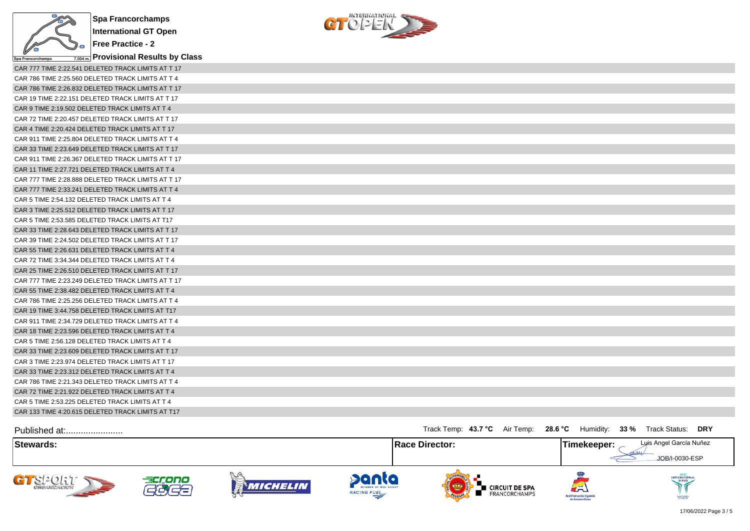



| $\frac{1}{2}$ opa rialicolonalitys $\frac{1}{2}$ . $\frac{1}{2}$ . $\frac{1}{2}$ . $\frac{1}{2}$ . $\frac{1}{2}$ . $\frac{1}{2}$ . $\frac{1}{2}$ . $\frac{1}{2}$ . $\frac{1}{2}$ . $\frac{1}{2}$ . $\frac{1}{2}$ |  |
|------------------------------------------------------------------------------------------------------------------------------------------------------------------------------------------------------------------|--|
| CAR 777 TIME 2:22.541 DELETED TRACK LIMITS AT T 17                                                                                                                                                               |  |
| CAR 786 TIME 2:25.560 DELETED TRACK LIMITS AT T 4                                                                                                                                                                |  |
| CAR 786 TIME 2:26.832 DELETED TRACK LIMITS AT T 17                                                                                                                                                               |  |
| CAR 19 TIME 2:22.151 DELETED TRACK LIMITS AT T 17                                                                                                                                                                |  |
| CAR 9 TIME 2:19.502 DELETED TRACK LIMITS AT T 4                                                                                                                                                                  |  |
| CAR 72 TIME 2:20.457 DELETED TRACK LIMITS AT T 17                                                                                                                                                                |  |
| CAR 4 TIME 2:20.424 DELETED TRACK LIMITS AT T 17                                                                                                                                                                 |  |
| CAR 911 TIME 2:25.804 DELETED TRACK LIMITS AT T 4                                                                                                                                                                |  |
| CAR 33 TIME 2:23.649 DELETED TRACK LIMITS AT T 17                                                                                                                                                                |  |
| CAR 911 TIME 2:26.367 DELETED TRACK LIMITS AT T 17                                                                                                                                                               |  |
| CAR 11 TIME 2:27.721 DELETED TRACK LIMITS AT T 4                                                                                                                                                                 |  |
| CAR 777 TIME 2:28.888 DELETED TRACK LIMITS AT T 17                                                                                                                                                               |  |
| CAR 777 TIME 2:33.241 DELETED TRACK LIMITS AT T 4                                                                                                                                                                |  |
| CAR 5 TIME 2:54.132 DELETED TRACK LIMITS AT T 4                                                                                                                                                                  |  |
| CAR 3 TIME 2:25.512 DELETED TRACK LIMITS AT T 17                                                                                                                                                                 |  |
| CAR 5 TIME 2:53.585 DELETED TRACK LIMITS AT T17                                                                                                                                                                  |  |
| CAR 33 TIME 2:28.643 DELETED TRACK LIMITS AT T 17                                                                                                                                                                |  |
| CAR 39 TIME 2:24.502 DELETED TRACK LIMITS AT T 17                                                                                                                                                                |  |
| CAR 55 TIME 2:26.631 DELETED TRACK LIMITS AT T 4                                                                                                                                                                 |  |
| CAR 72 TIME 3:34.344 DELETED TRACK LIMITS AT T 4                                                                                                                                                                 |  |
| CAR 25 TIME 2:26.510 DELETED TRACK LIMITS AT T 17                                                                                                                                                                |  |
| CAR 777 TIME 2:23.249 DELETED TRACK LIMITS AT T 17                                                                                                                                                               |  |
| CAR 55 TIME 2:38.482 DELETED TRACK LIMITS AT T 4                                                                                                                                                                 |  |
| CAR 786 TIME 2:25.256 DELETED TRACK LIMITS AT T 4                                                                                                                                                                |  |
| CAR 19 TIME 3:44.758 DELETED TRACK LIMITS AT T17                                                                                                                                                                 |  |
| CAR 911 TIME 2:34.729 DELETED TRACK LIMITS AT T 4                                                                                                                                                                |  |
| CAR 18 TIME 2:23.596 DELETED TRACK LIMITS AT T 4                                                                                                                                                                 |  |
| CAR 5 TIME 2:56.128 DELETED TRACK LIMITS AT T 4                                                                                                                                                                  |  |
| CAR 33 TIME 2:23.609 DELETED TRACK LIMITS AT T 17                                                                                                                                                                |  |
| CAR 3 TIME 2:23.974 DELETED TRACK LIMITS AT T 17                                                                                                                                                                 |  |
| CAR 33 TIME 2:23.312 DELETED TRACK LIMITS AT T 4                                                                                                                                                                 |  |
| CAR 786 TIME 2:21.343 DELETED TRACK LIMITS AT T 4                                                                                                                                                                |  |
| CAR 72 TIME 2:21.922 DELETED TRACK LIMITS AT T 4                                                                                                                                                                 |  |
| CAR 5 TIME 2:53.225 DELETED TRACK LIMITS AT T 4                                                                                                                                                                  |  |
| CAR 133 TIME 4:20.615 DELETED TRACK LIMITS AT T17                                                                                                                                                                |  |

| Published at:                                     |              |                  |                                                           | Track Temp: 43.7 °C Air Temp: 28.6 °C |                                        | Humidity:                                           | 33 % Track Status:<br>DRY  |
|---------------------------------------------------|--------------|------------------|-----------------------------------------------------------|---------------------------------------|----------------------------------------|-----------------------------------------------------|----------------------------|
| Stewards:                                         |              |                  |                                                           | <b>Race Director:</b>                 |                                        | 'Timekeeper:                                        | Luis Angel García Nuñez    |
|                                                   |              |                  |                                                           |                                       |                                        |                                                     | JOB/I-0030-ESP             |
| STS20127<br><b>CHEANIZACION</b><br><b>SEPTENT</b> | accono<br>Za | V. G<br>Michelin | <b>Panta</b><br>MEMBER OF MOL GROUP<br><b>RACING FUEL</b> | <b>OFLORID</b>                        | <b>CIRCUIT DE SPA</b><br>FRANCORCHAMPS | لظم<br>Real Federación Española<br>de Automovilismo | INTERNATIONAL<br>SANCRONED |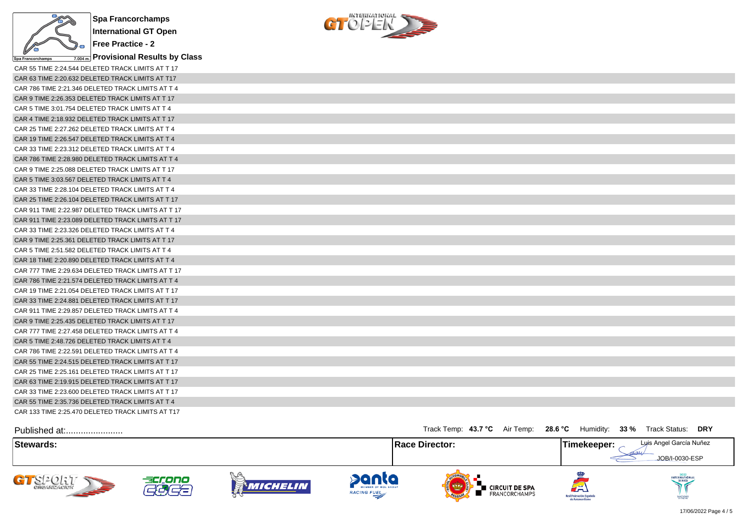

**Provisional Results by Class**



| CAR 55 TIME 2:24.544 DELETED TRACK LIMITS AT T 17  |
|----------------------------------------------------|
| CAR 63 TIME 2:20.632 DELETED TRACK LIMITS AT T17   |
| CAR 786 TIME 2:21.346 DELETED TRACK LIMITS AT T 4  |
| CAR 9 TIME 2:26.353 DELETED TRACK LIMITS AT T 17   |
| CAR 5 TIME 3:01.754 DELETED TRACK LIMITS AT T 4    |
| CAR 4 TIME 2:18.932 DELETED TRACK LIMITS AT T 17   |
| CAR 25 TIME 2:27.262 DELETED TRACK LIMITS AT T 4   |
| CAR 19 TIME 2:26.547 DELETED TRACK LIMITS AT T 4   |
| CAR 33 TIME 2:23.312 DELETED TRACK LIMITS AT T 4   |
| CAR 786 TIME 2:28.980 DELETED TRACK LIMITS AT T 4  |
| CAR 9 TIME 2:25.088 DELETED TRACK LIMITS AT T 17   |
| CAR 5 TIME 3:03.567 DELETED TRACK LIMITS AT T 4    |
| CAR 33 TIME 2:28.104 DELETED TRACK LIMITS AT T 4   |
| CAR 25 TIME 2:26.104 DELETED TRACK LIMITS AT T 17  |
| CAR 911 TIME 2:22.987 DELETED TRACK LIMITS AT T 17 |
| CAR 911 TIME 2:23.089 DELETED TRACK LIMITS AT T 17 |
| CAR 33 TIME 2:23.326 DELETED TRACK LIMITS AT T 4   |
| CAR 9 TIME 2:25.361 DELETED TRACK LIMITS AT T 17   |
| CAR 5 TIME 2:51.582 DELETED TRACK LIMITS AT T 4    |
| CAR 18 TIME 2:20.890 DELETED TRACK LIMITS AT T 4   |
| CAR 777 TIME 2:29.634 DELETED TRACK LIMITS AT T 17 |
| CAR 786 TIME 2:21.574 DELETED TRACK LIMITS AT T 4  |
| CAR 19 TIME 2:21.054 DELETED TRACK LIMITS AT T 17  |
| CAR 33 TIME 2:24.881 DELETED TRACK LIMITS AT T 17  |
| CAR 911 TIME 2:29.857 DELETED TRACK LIMITS AT T 4  |
| CAR 9 TIME 2:25.435 DELETED TRACK LIMITS AT T 17   |
| CAR 777 TIME 2:27.458 DELETED TRACK LIMITS AT T 4  |
| CAR 5 TIME 2:48.726 DELETED TRACK LIMITS AT T 4    |
| CAR 786 TIME 2:22.591 DELETED TRACK LIMITS AT T 4  |
| CAR 55 TIME 2:24.515 DELETED TRACK LIMITS AT T 17  |
| CAR 25 TIME 2:25.161 DELETED TRACK LIMITS AT T 17  |
| CAR 63 TIME 2:19.915 DELETED TRACK LIMITS AT T 17  |
| CAR 33 TIME 2:23,600 DELETED TRACK LIMITS AT T 17  |
| CAR 55 TIME 2:35.736 DELETED TRACK LIMITS AT T 4   |
| CAR 133 TIME 2:25.470 DELETED TRACK LIMITS AT T17  |

| Published at:              |              |                |                                                    | Track Temp: 43.7 °C Air Temp: 28.6 °C                    | 33 %<br>Humidity:                                   | Track Status: DRY                         |
|----------------------------|--------------|----------------|----------------------------------------------------|----------------------------------------------------------|-----------------------------------------------------|-------------------------------------------|
| Stewards:                  |              |                |                                                    | <b>Race Director:</b>                                    | Timekeeper:                                         | Luis Angel García Nuñez<br>JOB/I-0030-ESP |
| GT SPORT<br><b>SEPTENT</b> | accono<br>ŒE | Y.<br>MICHELIN | panta<br>MEMBER OF MOL GROUP<br><b>RACING FUEL</b> | I CIRCUIT DE SPA<br><b>FRANCORCHAMPS</b><br><b>OFLOW</b> | لطه<br>Real Federación Española<br>de Automovilismo | INTERNATIONAL<br>SANCTIONED               |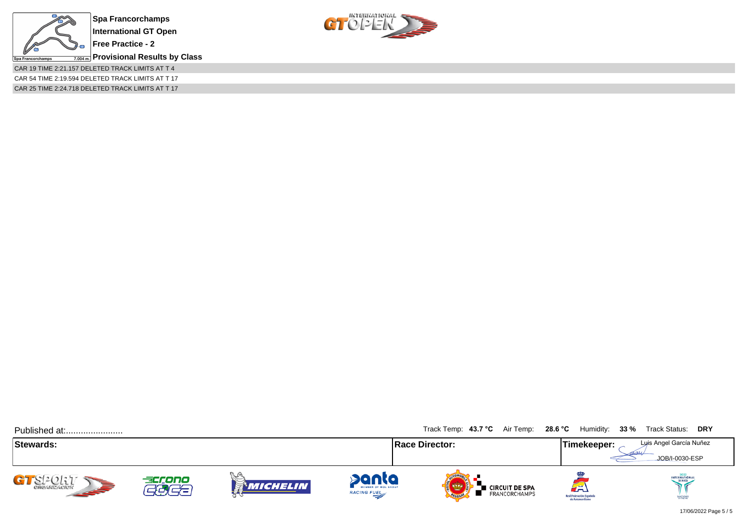

**Free Practice - 2**

**Provisional Results by Class**

CAR 19 TIME 2:21.157 DELETED TRACK LIMITS AT T 4 CAR 54 TIME 2:19.594 DELETED TRACK LIMITS AT T 17

CAR 25 TIME 2:24.718 DELETED TRACK LIMITS AT T 17



 $CT$  O  $2E$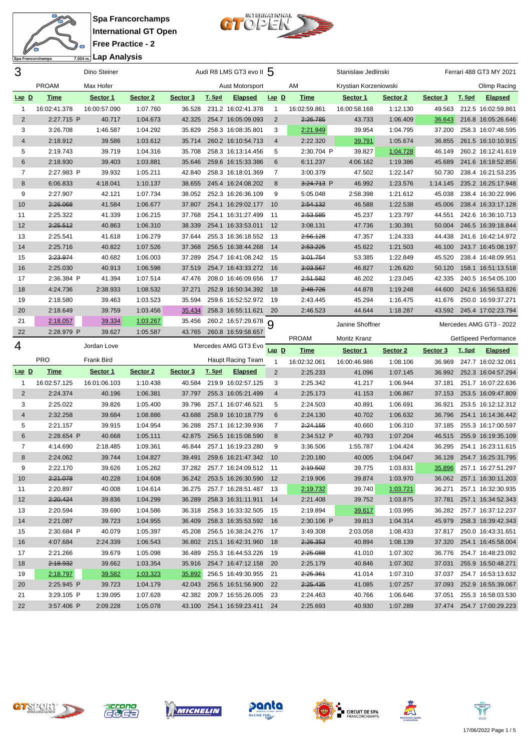

Spa Francorchamps International GT Open Free Practice - 2  $\frac{1}{7.004 \text{ m}}$ Lap Analysis



| 3              |              | Dino Steiner |          |          |        | Audi R8 LMS GT3 evo II 5     |                |              | Stanislaw Jedlinski   |          |               |        | Ferrari 488 GT3 MY 2021   |
|----------------|--------------|--------------|----------|----------|--------|------------------------------|----------------|--------------|-----------------------|----------|---------------|--------|---------------------------|
|                | <b>PROAM</b> | Max Hofer    |          |          |        | Aust Motorsport              |                | AM           | Krystian Korzeniowski |          |               |        | Olimp Racing              |
| $Lap$ $D$      | <u>Time</u>  | Sector 1     | Sector 2 | Sector 3 | T. Spd | <b>Elapsed</b>               | $Lap$ D        | <b>Time</b>  | Sector 1              | Sector 2 | Sector 3      | T. Spd | <b>Elapsed</b>            |
| $\mathbf{1}$   | 16:02:41.378 | 16:00:57.090 | 1:07.760 | 36.528   |        | 231.2 16:02:41.378           | 1              | 16:02:59.861 | 16:00:58.168          | 1:12.130 | 49.563        |        | 212.5 16:02:59.861        |
| $\overline{2}$ | 2:27.715 P   | 40.717       | 1:04.673 | 42.325   |        | 254.7 16:05:09.093           | 2              | 2:26.785     | 43.733                | 1:06.409 | 36.643        |        | 216.8 16:05:26.646        |
| 3              | 3:26.708     | 1:46.587     | 1:04.292 | 35.829   |        | 258.3 16:08:35.801           | 3              | 2:21.949     | 39.954                | 1:04.795 | 37.200        |        | 258.3 16:07:48.595        |
| 4              | 2:18.912     | 39.586       | 1:03.612 | 35.714   |        | 260.2 16:10:54.713           | $\overline{4}$ | 2:22.320     | 39.791                | 1:05.674 | 36.855        |        | 261.5 16:10:10.915        |
| 5              | 2:19.743     | 39.719       | 1:04.316 | 35.708   |        | 258.3 16:13:14.456           | 5              | 2:30.704 P   | 39.827                | 1:04.728 | 46.149        |        | 260.2 16:12:41.619        |
| 6              | 2:18.930     | 39.403       | 1:03.881 | 35.646   |        | 259.6 16:15:33.386           | 6              | 6:11.237     | 4:06.162              | 1:19.386 | 45.689        |        | 241.6 16:18:52.856        |
| $\overline{7}$ | 2:27.983 P   | 39.932       | 1:05.211 | 42.840   |        | 258.3 16:18:01.369           | 7              | 3:00.379     | 47.502                | 1:22.147 | 50.730        |        | 238.4 16:21:53.235        |
| 8              | 6:06.833     | 4:18.041     | 1:10.137 | 38.655   |        | 245.4 16:24:08.202           | 8              | 3:24.713 P   | 46.992                | 1:23.576 | 1:14.145      |        | 235.2 16:25:17.948        |
| 9              | 2:27.907     | 42.121       | 1:07.734 | 38.052   |        | 252.3 16:26:36.109           | 9              | 5:05.048     | 2:58.398              | 1:21.612 | 45.038        |        | 238.4 16:30:22.996        |
| 10             | 2:26.068     | 41.584       | 1:06.677 | 37.807   |        | 254.1 16:29:02.177           | 10             | 2:54.132     | 46.588                | 1:22.538 | 45.006        |        | 238.4 16:33:17.128        |
| 11             | 2:25.322     | 41.339       | 1:06.215 | 37.768   |        | 254.1 16:31:27.499           | -11            | 2:53.585     | 45.237                | 1:23.797 | 44.551        |        | 242.6 16:36:10.713        |
| 12             | 2:25.512     | 40.863       | 1:06.310 | 38.339   |        | 254.1 16:33:53.011           | 12             | 3:08.131     | 47.736                | 1:30.391 | 50.004        |        | 246.5 16:39:18.844        |
| 13             | 2:25.541     | 41.618       | 1:06.279 | 37.644   |        | 255.3 16:36:18.552           | -13            | 2:56.128     | 47.357                | 1:24.333 | 44.438        |        | 241.6 16:42:14.972        |
| 14             | 2:25.716     | 40.822       | 1:07.526 | 37.368   |        | 256.5 16:38:44.268           | 14             | 2:53.225     | 45.622                | 1:21.503 | 46.100        |        | 243.7 16:45:08.197        |
| 15             | 2:23.974     | 40.682       | 1:06.003 | 37.289   |        | 254.7 16:41:08.242           | 15             | 3:01.754     | 53.385                | 1:22.849 | 45.520        |        | 238.4 16:48:09.951        |
| 16             | 2:25.030     | 40.913       | 1:06.598 | 37.519   |        | 254.7 16:43:33.272           | 16             | 3:03.567     | 46.827                | 1:26.620 | 50.120        |        | 158.1 16:51:13.518        |
| 17             | 2:36.384 P   | 41.394       | 1:07.514 | 47.476   |        | 208.0 16:46:09.656           | 17             | 2:51.582     | 46.202                | 1:23.045 | 42.335        |        | 240.5 16:54:05.100        |
| 18             | 4:24.736     | 2:38.933     | 1:08.532 | 37.271   |        | 252.9 16:50:34.392           | 18             | 2:48.726     | 44.878                | 1:19.248 | 44.600        |        | 242.6 16:56:53.826        |
| 19             | 2:18.580     | 39.463       | 1:03.523 | 35.594   |        | 259.6 16:52:52.972           | 19             | 2:43.445     | 45.294                | 1:16.475 | 41.676        |        | 250.0 16:59:37.271        |
| 20             | 2:18.649     | 39.759       | 1:03.456 | 35.434   |        | 258.3 16:55:11.621           | 20             | 2:46.523     | 44.644                | 1:18.287 | 43.592        |        | 245.4 17:02:23.794        |
| 21             | 2:18.057     | 39.334       | 1:03.267 | 35.456   |        | 260.2 16:57:29.678           |                |              |                       |          |               |        |                           |
| 22             | 2:28.979 P   | 39.627       | 1:05.587 | 43.765   |        | 260.8 16:59:58.657           | 9              |              | Janine Shoffner       |          |               |        | Mercedes AMG GT3 - 2022   |
|                |              |              |          |          |        |                              |                |              |                       |          |               |        |                           |
|                |              |              |          |          |        |                              |                | PROAM        | Moritz Kranz          |          |               |        | GetSpeed Performance      |
| 4              |              | Jordan Love  |          |          |        | Mercedes AMG GT3 Evo         | $Lap$ $D$      | <b>Time</b>  | Sector 1              | Sector 2 | Sector 3      | T. Spd | <b>Elapsed</b>            |
|                | <b>PRO</b>   | Frank Bird   |          |          |        | Haupt Racing Team            | 1              | 16:02:32.061 | 16:00:46.986          | 1:08.106 | 36.969        |        | 247.7 16:02:32.061        |
| $Lap$ D        | <u>Time</u>  | Sector 1     | Sector 2 | Sector 3 | T. Spd | <b>Elapsed</b>               | $\overline{2}$ | 2:25.233     | 41.096                | 1:07.145 | 36.992        |        | 252.3 16:04:57.294        |
| $\mathbf{1}$   | 16:02:57.125 | 16:01:06.103 | 1:10.438 | 40.584   |        | 219.9 16:02:57.125           | 3              | 2:25.342     | 41.217                | 1:06.944 | 37.181        |        | 251.7 16:07:22.636        |
| $\overline{2}$ | 2:24.374     | 40.196       | 1:06.381 | 37.797   |        | 255.3 16:05:21.499           | 4              | 2:25.173     | 41.153                | 1:06.867 | 37.153        |        | 253.5 16:09:47.809        |
| 3              | 2:25.022     | 39.826       | 1:05.400 | 39.796   |        | 257.1 16:07:46.521           | 5              | 2:24.503     | 40.891                | 1:06.691 | 36.921        |        | 253.5 16:12:12.312        |
| 4              | 2:32.258     | 39.684       | 1:08.886 | 43.688   |        | 258.9 16:10:18.779           | 6              | 2:24.130     | 40.702                | 1:06.632 | 36.796        |        | 254.1 16:14:36.442        |
| 5              | 2:21.157     | 39.915       | 1:04.954 | 36.288   |        | 257.1 16:12:39.936           | 7              | 2:24.155     | 40.660                | 1:06.310 | 37.185        |        | 255.3 16:17:00.597        |
| 6              | 2:28.654 P   | 40.668       | 1:05.111 | 42.875   |        | 256.5 16:15:08.590           | 8              | 2:34.512 P   | 40.793                | 1:07.204 | 46.515        |        | 255.9 16:19:35.109        |
| $\overline{7}$ | 4:14.690     | 2:18.485     | 1:09.361 | 46.844   |        | 257.1 16:19:23.280           | 9              | 3:36.506     | 1:55.787              | 1:04.424 | 36.295        |        | 254.1 16:23:11.615        |
| 8              | 2:24.062     | 39.744       | 1:04.827 | 39.491   |        | 259.6 16:21:47.342           | 10             | 2:20.180     | 40.005                | 1:04.047 | 36.128        |        | 254.7 16:25:31.795        |
| 9              | 2:22.170     | 39.626       | 1:05.262 |          |        | 37.282 257.7 16:24:09.512 11 |                | 2:19.502     | 39.775                | 1:03.831 | <u>35.896</u> |        | 257.1 16:27:51.297        |
| 10             | 2:21.078     | 40.228       | 1:04.608 | 36.242   |        | 253.5 16:26:30.590 12        |                | 2:19.906     | 39.874                | 1:03.970 |               |        | 36.062 257.1 16:30:11.203 |
| 11             | 2:20.897     | 40.008       | 1:04.614 | 36.275   |        | 257.7 16:28:51.487           | - 13           | 2:19.732     | 39.740                | 1:03.721 | 36.271        |        | 257.1 16:32:30.935        |
| 12             | 2:20.424     | 39.836       | 1:04.299 | 36.289   |        | 258.3 16:31:11.911 14        |                | 2:21.408     | 39.752                | 1:03.875 | 37.781        |        | 257.1 16:34:52.343        |
| 13             | 2:20.594     | 39.690       | 1:04.586 | 36.318   |        | 258.3 16:33:32.505 15        |                | 2:19.894     | 39.617                | 1:03.995 | 36.282        |        | 257.7 16:37:12.237        |
| 14             | 2:21.087     | 39.723       | 1:04.955 | 36.409   |        | 258.3 16:35:53.592 16        |                | 2:30.106 P   | 39.813                | 1:04.314 | 45.979        |        | 258.3 16:39:42.343        |
| 15             | 2:30.684 P   | 40.079       | 1:05.397 | 45.208   |        | 256.5 16:38:24.276 17        |                | 3:49.308     | 2:03.058              | 1:08.433 | 37.817        |        | 250.0 16:43:31.651        |
| 16             | 4:07.684     | 2:24.339     | 1:06.543 | 36.802   |        | 215.1 16:42:31.960 18        |                | 2:26.353     | 40.894                | 1:08.139 | 37.320        |        | 254.1 16:45:58.004        |
| 17             | 2:21.266     | 39.679       | 1:05.098 | 36.489   |        | 255.3 16:44:53.226 19        |                | 2:25.088     | 41.010                | 1:07.302 |               |        | 36.776 254.7 16:48:23.092 |
| 18             | 2:18.932     | 39.662       | 1:03.354 | 35.916   |        | 254.7 16:47:12.158 20        |                | 2:25.179     | 40.846                | 1:07.302 | 37.031        |        | 255.9 16:50:48.271        |
| 19             | 2:18.797     | 39.582       | 1:03.323 | 35.892   |        | 256.5 16:49:30.955 21        |                | 2:25.361     | 41.014                | 1:07.310 |               |        | 37.037 254.7 16:53:13.632 |
| 20             | 2:25.945 P   | 39.723       | 1:04.179 | 42.043   |        | 256.5 16:51:56.900 22        |                | 2:25.435     | 41.085                | 1:07.257 |               |        | 37.093 252.9 16:55:39.067 |
| 21             | 3:29.105 P   | 1:39.095     | 1:07.628 | 42.382   |        | 209.7 16:55:26.005 23        |                | 2:24.463     | 40.766                | 1:06.646 | 37.051        |        | 255.3 16:58:03.530        |













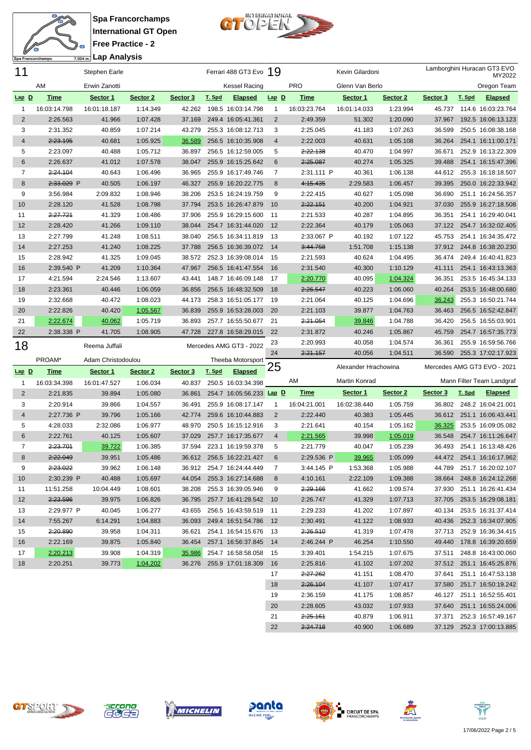



| 11             |              | <b>Stephen Earle</b> |                     |               |        | Ferrari 488 GT3 Evo 19   |                |                      | Kevin Gilardoni      |                      |          |        | Lamborghini Huracan GT3 EVO<br>MY2022                  |
|----------------|--------------|----------------------|---------------------|---------------|--------|--------------------------|----------------|----------------------|----------------------|----------------------|----------|--------|--------------------------------------------------------|
|                | ΑM           | Erwin Zanotti        |                     |               |        | <b>Kessel Racing</b>     |                | <b>PRO</b>           | Glenn Van Berlo      |                      |          |        | Oregon Team                                            |
| $Lap$ $D$      | <b>Time</b>  | Sector 1             | Sector <sub>2</sub> | Sector 3      | T. Spd | <b>Elapsed</b>           | $Lap$ $D$      | <b>Time</b>          | Sector 1             | Sector 2             | Sector 3 | T. Spd | <b>Elapsed</b>                                         |
| -1             | 16:03:14.798 | 16:01:18.187         | 1:14.349            | 42.262        |        | 198.5 16:03:14.798       | $\mathbf{1}$   | 16:03:23.764         | 16:01:14.033         | 1:23.994             | 45.737   |        | 114.6 16:03:23.764                                     |
| $\overline{c}$ | 2:26.563     | 41.966               | 1:07.428            | 37.169        |        | 249.4 16:05:41.361       | $\overline{2}$ | 2:49.359             | 51.302               | 1:20.090             | 37.967   |        | 192.5 16:06:13.123                                     |
| 3              | 2:31.352     | 40.859               | 1:07.214            | 43.279        |        | 255.3 16:08:12.713       | 3              | 2:25.045             | 41.183               | 1:07.263             | 36.599   |        | 250.5 16:08:38.168                                     |
| 4              | 2:23.195     | 40.681               | 1:05.925            | 36.589        |        | 256.5 16:10:35.908       | $\overline{4}$ | 2:22.003             | 40.631               | 1:05.108             | 36.264   |        | 254.1 16:11:00.171                                     |
| 5              | 2:23.097     | 40.488               | 1:05.712            | 36.897        |        | 256.5 16:12:59.005       | 5              | 2:22.138             | 40.470               | 1:04.997             | 36.671   |        | 252.9 16:13:22.309                                     |
| 6              | 2:26.637     | 41.012               | 1:07.578            | 38.047        |        | 255.9 16:15:25.642       | 6              | 2:25.087             | 40.274               | 1:05.325             | 39.488   |        | 254.1 16:15:47.396                                     |
| 7              | 2:24.104     | 40.643               | 1:06.496            | 36.965        |        | 255.9 16:17:49.746       | 7              | 2:31.111 P           | 40.361               | 1:06.138             |          |        | 44.612 255.3 16:18:18.507                              |
| 8              | 2:33.029 P   | 40.505               | 1:06.197            | 46.327        |        | 255.9 16:20:22.775       | 8              | 4:15.435             | 2:29.583             | 1:06.457             | 39.395   |        | 250.0 16:22:33.942                                     |
| 9              | 3:56.984     | 2:09.832             | 1:08.946            | 38.206        |        | 253.5 16:24:19.759       | 9              | 2:22.415             | 40.627               | 1:05.098             | 36.690   |        | 251.1 16:24:56.357                                     |
| 10             | 2:28.120     | 41.528               | 1:08.798            | 37.794        |        | 253.5 16:26:47.879       | 10             | 2:22.151             | 40.200               | 1:04.921             | 37.030   |        | 255.9 16:27:18.508                                     |
| 11             | 2:27.721     | 41.329               | 1:08.486            | 37.906        |        | 255.9 16:29:15.600       | -11            | 2:21.533             | 40.287               | 1:04.895             | 36.351   |        | 254.1 16:29:40.041                                     |
| 12             | 2:28.420     | 41.266               | 1:09.110            | 38.044        |        | 254.7 16:31:44.020       | 12             | 2:22.364             | 40.179               | 1:05.063             | 37.122   |        | 254.7 16:32:02.405                                     |
| 13             | 2:27.799     | 41.248               | 1:08.511            | 38.040        |        | 256.5 16:34:11.819       | -13            | 2:33.067 P           | 40.192               | 1:07.122             | 45.753   |        | 254.1 16:34:35.472                                     |
| 14             | 2:27.253     | 41.240               | 1:08.225            | 37.788        |        | 256.5 16:36:39.072       | 14             | 3:44.758             | 1:51.708             | 1:15.138             | 37.912   |        | 244.8 16:38:20.230                                     |
| 15             | 2:28.942     | 41.325               | 1:09.045            | 38.572        |        | 252.3 16:39:08.014       | 15             | 2:21.593             | 40.624               | 1:04.495             | 36.474   |        | 249.4 16:40:41.823                                     |
| 16             | 2:39.540 P   | 41.209               | 1:10.364            | 47.967        |        | 256.5 16:41:47.554       | 16             | 2:31.540             | 40.300               | 1:10.129             | 41.111   |        | 254.1 16:43:13.363                                     |
| 17             | 4:21.594     | 2:24.546             | 1:13.607            | 43.441        |        | 148.7 16:46:09.148       | -17            | 2:20.770             | 40.095               | 1:04.324             | 36.351   |        | 253.5 16:45:34.133                                     |
| 18             | 2:23.361     | 40.446               | 1:06.059            | 36.856        |        | 256.5 16:48:32.509       | 18             | 2:26.547             | 40.223               | 1:06.060             | 40.264   |        | 253.5 16:48:00.680                                     |
| 19             | 2:32.668     | 40.472               | 1:08.023            | 44.173        |        | 258.3 16:51:05.177       | 19             | 2:21.064             | 40.125               | 1:04.696             | 36.243   |        | 255.3 16:50:21.744                                     |
| 20             | 2:22.826     | 40.420               | 1:05.567            | 36.839        |        | 255.9 16:53:28.003       | 20             | 2:21.103             | 39.877               | 1:04.763             | 36.463   |        | 256.5 16:52:42.847                                     |
| 21             | 2:22.674     | 40.062               | 1:05.719            | 36.893        |        | 257.7 16:55:50.677       | 21             | 2:21.054             | 39.846               | 1:04.788             | 36.420   |        | 256.5 16:55:03.901                                     |
| 22             | 2:38.338 P   | 41.705               | 1:08.905            | 47.728        |        | 227.8 16:58:29.015       | 22             | 2:31.872             | 40.246               | 1:05.867             | 45.759   |        | 254.7 16:57:35.773                                     |
|                |              |                      |                     |               |        |                          |                |                      |                      |                      |          |        |                                                        |
|                |              |                      |                     |               |        |                          | 23             | 2:20.993             | 40.058               | 1:04.574             | 36.361   |        | 255.9 16:59:56.766                                     |
| 18             |              | Reema Juffali        |                     |               |        | Mercedes AMG GT3 - 2022  | 24             | 2:21.157             | 40.056               | 1:04.511             | 36.590   |        | 255.3 17:02:17.923                                     |
|                | PROAM*       | Adam Christodoulou   |                     |               |        | Theeba Motorsport        |                |                      |                      |                      |          |        |                                                        |
| $Lap$ D        | Time         | Sector 1             | Sector 2            | Sector 3      | T. Spd | <b>Elapsed</b>           | 25             |                      | Alexander Hrachowina |                      |          |        | Mercedes AMG GT3 EVO - 2021                            |
| 1              | 16:03:34.398 | 16:01:47.527         | 1:06.034            | 40.837        |        | 250.5 16:03:34.398       |                | ΑM                   | Martin Konrad        |                      |          |        | Mann Filter Team Landgraf                              |
| $\overline{2}$ | 2:21.835     | 39.894               | 1:05.080            | 36.861        |        | 254.7 16:05:56.233 Lap D |                | <u>Time</u>          | Sector 1             | Sector 2             | Sector 3 | T. Spd | <b>Elapsed</b>                                         |
| 3              | 2:20.914     | 39.866               | 1:04.557            | 36.491        |        | 255.9 16:08:17.147       | $\mathbf{1}$   | 16:04:21.001         | 16:02:38.440         | 1:05.759             | 36.802   |        | 248.2 16:04:21.001                                     |
| 4              | 2:27.736 P   | 39.796               | 1:05.166            | 42.774        |        | 259.6 16:10:44.883       | 2              | 2:22.440             | 40.383               | 1:05.445             | 36.612   |        | 251.1 16:06:43.441                                     |
| 5              | 4:28.033     | 2:32.086             | 1:06.977            | 48.970        |        | 250.5 16:15:12.916       | 3              | 2:21.641             | 40.154               | 1:05.162             | 36.325   |        | 253.5 16:09:05.082                                     |
| 6              | 2:22.761     | 40.125               | 1:05.607            | 37.029        |        | 257.7 16:17:35.677       | $\overline{4}$ | 2:21.565             | 39.998               | 1:05.019             | 36.548   |        | 254.7 16:11:26.647                                     |
| 7              | 2:23.701     | 39.722               | 1:06.385            | 37.594        |        | 223.1 16:19:59.378       | 5              | 2:21.779             | 40.047               | 1:05.239             | 36.493   |        | 254.1 16:13:48.426                                     |
| 8              | 2:22.049     | 39.951               | 1:05.486            | 36.612        |        | 256.5 16:22:21.427       | 6              | 2:29.536 P           | 39.965               | 1:05.099             | 44.472   |        | 254.1 16:16:17.962                                     |
| 9              | 2:23.022     | 39.962               | 1:06.148            | 36.912        |        | 254.7 16:24:44.449       | 7              | 3:44.145 P           | 1:53.368             | 1:05.988             |          |        | 44.789 251.7 16:20:02.107                              |
| 10             | 2:30.239 P   | 40.488               | 1:05.697            | 44.054        |        | 255.3 16:27:14.688       | 8              | 4:10.161             | 2:22.109             | 1:09.388             |          |        | 38.664 248.8 16:24:12.268                              |
| 11             | 11:51.258    | 10:04.449            | 1:08.601            | 38.208        |        | 255.3 16:39:05.946       | 9              | 2:29.166             | 41.662               | 1:09.574             |          |        | 37.930 251.1 16:26:41.434                              |
| 12             | 2:23.596     | 39.975               | 1:06.826            | 36.795        |        | 257.7 16:41:29.542       | 10             | 2:26.747             | 41.329               | 1:07.713             |          |        | 37.705 253.5 16:29:08.181                              |
| 13             | 2:29.977 P   | 40.045               | 1:06.277            | 43.655        |        | 256.5 16:43:59.519       | 11             | 2:29.233             | 41.202               | 1:07.897             | 40.134   |        | 253.5 16:31:37.414                                     |
| 14             | 7:55.267     | 6:14.291             | 1:04.883            | 36.093        |        | 249.4 16:51:54.786       | 12             | 2:30.491             | 41.122               | 1:08.933             |          |        | 40.436 252.3 16:34:07.905                              |
| 15             | 2:20.890     | 39.958               | 1:04.311            | 36.621        |        | 254.1 16:54:15.676       | - 13           | 2:26.510             | 41.319               | 1:07.478             |          |        | 37.713 252.9 16:36:34.415                              |
| 16             | 2:22.169     | 39.875               | 1:05.840            | 36.454        |        | 257.1 16:56:37.845       | 14             | 2:46.244 P           | 46.254               | 1:10.550             | 49.440   |        | 178.8 16:39:20.659                                     |
| 17             | 2:20.213     | 39.908               | 1:04.319            | <u>35.986</u> |        | 254.7 16:58:58.058       | 15             | 3:39.401             | 1:54.215             | 1:07.675             | 37.511   |        | 248.8 16:43:00.060                                     |
| 18             | 2:20.251     | 39.773               | 1:04.202            | 36.276        |        | 255.9 17:01:18.309       | 16             | 2:25.816             | 41.102               | 1:07.202             |          |        | 37.512 251.1 16:45:25.876                              |
|                |              |                      |                     |               |        |                          | 17             | 2:27.262             | 41.151               | 1:08.470             | 37.641   |        | 251.1 16:47:53.138                                     |
|                |              |                      |                     |               |        |                          | 18             | 2:26.104             | 41.107               | 1:07.417             |          |        | 37.580 251.7 16:50:19.242                              |
|                |              |                      |                     |               |        |                          | 19<br>20       | 2:36.159<br>2:28.605 | 41.175<br>43.032     | 1:08.857<br>1:07.933 |          |        | 46.127 251.1 16:52:55.401<br>37.640 251.1 16:55:24.006 |



2:24.718 40.900 1:06.689 37.129 252.3 17:00:13.885

**H**<br>**THE CIRCUIT DE SPA<br>IMP** FRANCORCHAMPS







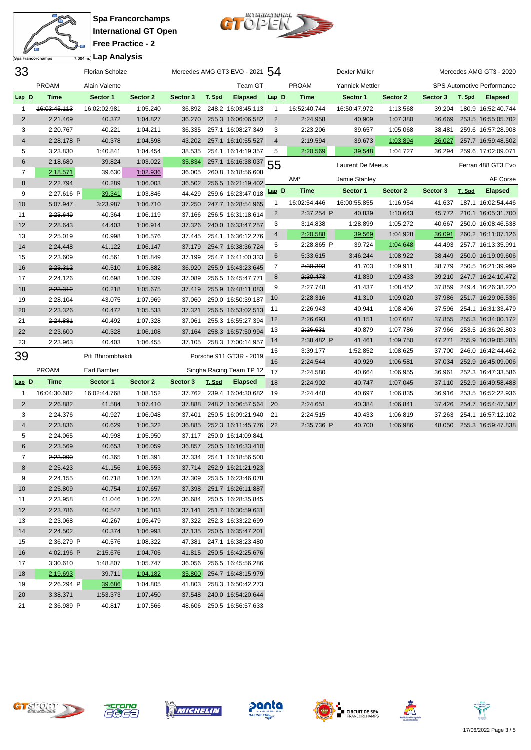



| 33             |                     | <b>Florian Scholze</b> |          |          |        | Mercedes AMG GT3 EVO - 2021 54 |                |              | Dexter Müller          |          |          |        | Mercedes AMG GT3 - 2020           |
|----------------|---------------------|------------------------|----------|----------|--------|--------------------------------|----------------|--------------|------------------------|----------|----------|--------|-----------------------------------|
|                | <b>PROAM</b>        | Alain Valente          |          |          |        | Team GT                        |                | <b>PROAM</b> | <b>Yannick Mettler</b> |          |          |        | <b>SPS Automotive Performance</b> |
| Lap D          | <u>Time</u>         | Sector 1               | Sector 2 | Sector 3 | T. Spd | <b>Elapsed</b>                 | $Lap$ $D$      | <u>Time</u>  | Sector 1               | Sector 2 | Sector 3 | T. Spd | <b>Elapsed</b>                    |
| 1              | 46:03:45.113        | 16:02:02.981           | 1:05.240 |          |        | 36.892 248.2 16:03:45.113      | $\overline{1}$ | 16:52:40.744 | 16:50:47.972           | 1:13.568 | 39.204   |        | 180.9 16:52:40.744                |
| $\overline{2}$ | 2:21.469            | 40.372                 | 1:04.827 | 36.270   |        | 255.3 16:06:06.582             | $\overline{2}$ | 2:24.958     | 40.909                 | 1:07.380 | 36.669   |        | 253.5 16:55:05.702                |
| 3              | 2:20.767            | 40.221                 | 1:04.211 | 36.335   |        | 257.1 16:08:27.349             | 3              | 2:23.206     | 39.657                 | 1:05.068 | 38.481   |        | 259.6 16:57:28.908                |
| 4              | 2:28.178 P          | 40.378                 | 1:04.598 | 43.202   |        | 257.1 16:10:55.527             | 4              | 2:19.594     | 39.673                 | 1:03.894 | 36.027   |        | 257.7 16:59:48.502                |
| 5              | 3:23.830            | 1:40.841               | 1:04.454 | 38.535   |        | 254.1 16:14:19.357             | 5              | 2:20.569     | 39.548                 | 1:04.727 | 36.294   |        | 259.6 17:02:09.071                |
| 6              | 2:18.680            | 39.824                 | 1:03.022 | 35.834   |        | 257.1 16:16:38.037             | 55             |              | Laurent De Meeus       |          |          |        | Ferrari 488 GT3 Evo               |
| 7              | 2:18.571            | 39.630                 | 1:02.936 | 36.005   |        | 260.8 16:18:56.608             |                |              |                        |          |          |        |                                   |
| 8              | 2:22.794            | 40.289                 | 1:06.003 | 36.502   |        | 256.5 16:21:19.402             |                | AM'          | Jamie Stanley          |          |          |        | AF Corse                          |
| 9              | 2:27.616 P          | 39.341                 | 1:03.846 | 44.429   |        | 259.6 16:23:47.018             | $Lap$ $D$      | <b>Time</b>  | Sector 1               | Sector 2 | Sector 3 | T. Spd | <b>Elapsed</b>                    |
| 10             | 5:07.947            | 3:23.987               | 1:06.710 | 37.250   |        | 247.7 16:28:54.965             | 1              | 16:02:54.446 | 16:00:55.855           | 1:16.954 |          |        | 41.637 187.1 16:02:54.446         |
| 11             | 2:23.649            | 40.364                 | 1:06.119 | 37.166   |        | 256.5 16:31:18.614             | $\overline{2}$ | 2:37.254 P   | 40.839                 | 1:10.643 |          |        | 45.772 210.1 16:05:31.700         |
| 12             | 2:28.643            | 44.403                 | 1:06.914 | 37.326   |        | 240.0 16:33:47.257             | 3              | 3:14.838     | 1:28.899               | 1:05.272 | 40.667   |        | 250.0 16:08:46.538                |
| 13             | 2:25.019            | 40.998                 | 1:06.576 | 37.445   |        | 254.1 16:36:12.276             | 4              | 2:20.588     | 39.569                 | 1:04.928 | 36.091   |        | 260.2 16:11:07.126                |
| 14             | 2:24.448            | 41.122                 | 1:06.147 | 37.179   |        | 254.7 16:38:36.724             | 5              | 2:28.865 P   | 39.724                 | 1:04.648 | 44.493   |        | 257.7 16:13:35.991                |
| 15             | 2:23.609            | 40.561                 | 1:05.849 | 37.199   |        | 254.7 16:41:00.333             | 6              | 5:33.615     | 3:46.244               | 1:08.922 | 38.449   |        | 250.0 16:19:09.606                |
| 16             | 2:23.312            | 40.510                 | 1:05.882 | 36.920   |        | 255.9 16:43:23.645             | 7              | 2:30.393     | 41.703                 | 1:09.911 | 38.779   |        | 250.5 16:21:39.999                |
| 17             | 2:24.126            | 40.698                 | 1:06.339 | 37.089   |        | 256.5 16:45:47.771             | 8              | 2:30.473     | 41.830                 | 1:09.433 | 39.210   |        | 247.7 16:24:10.472                |
| 18             | 2:23.312            | 40.218                 | 1:05.675 | 37.419   |        | 255.9 16:48:11.083             | 9              | 2:27.748     | 41.437                 | 1:08.452 | 37.859   |        | 249.4 16:26:38.220                |
| 19             | 2:28.104            | 43.075                 | 1:07.969 | 37.060   |        | 250.0 16:50:39.187             | 10             | 2:28.316     | 41.310                 | 1:09.020 | 37.986   |        | 251.7 16:29:06.536                |
| 20             | 2:23.326            | 40.472                 | 1:05.533 | 37.321   |        | 256.5 16:53:02.513             | 11             | 2:26.943     | 40.941                 | 1:08.406 | 37.596   |        | 254.1 16:31:33.479                |
| 21             | 2:24.881            | 40.492                 | 1:07.328 | 37.061   |        | 255.3 16:55:27.394             | 12             | 2:26.693     | 41.151                 | 1:07.687 | 37.855   |        | 255.3 16:34:00.172                |
| 22             | 2:23.600            | 40.328                 | 1:06.108 | 37.164   |        | 258.3 16:57:50.994             | 13             | 2:26.631     | 40.879                 | 1:07.786 | 37.966   |        | 253.5 16:36:26.803                |
| 23             | 2:23.963            | 40.403                 | 1:06.455 | 37.105   |        | 258.3 17:00:14.957             | 14             | 2:38.482 P   | 41.461                 | 1:09.750 | 47.271   |        | 255.9 16:39:05.285                |
| 39             |                     | Piti Bhirombhakdi      |          |          |        | Porsche 911 GT3R - 2019        | 15             | 3:39.177     | 1:52.852               | 1:08.625 | 37.700   |        | 246.0 16:42:44.462                |
|                |                     |                        |          |          |        |                                | 16             | 2:24.544     | 40.929                 | 1:06.581 | 37.034   |        | 252.9 16:45:09.006                |
|                | <b>PROAM</b>        | Earl Bamber            |          |          |        | Singha Racing Team TP 12       | 17             | 2:24.580     | 40.664                 | 1:06.955 | 36.961   |        | 252.3 16:47:33.586                |
| $Lap$ $D$      | <b>Time</b>         | Sector 1               | Sector 2 | Sector 3 | T. Spd | <b>Elapsed</b>                 | 18             | 2:24.902     | 40.747                 | 1:07.045 | 37.110   |        | 252.9 16:49:58.488                |
| $\mathbf{1}$   | 16:04:30.682        | 16:02:44.768           | 1:08.152 | 37.762   |        | 239.4 16:04:30.682             | 19             | 2:24.448     | 40.697                 | 1:06.835 | 36.916   |        | 253.5 16:52:22.936                |
| $\overline{2}$ | 2:26.882            | 41.584                 | 1:07.410 | 37.888   |        | 248.2 16:06:57.564             | 20             | 2:24.651     | 40.384                 | 1:06.841 | 37.426   |        | 254.7 16:54:47.587                |
| 3              | 2:24.376            | 40.927                 | 1:06.048 | 37.401   |        | 250.5 16:09:21.940             | 21             | 2:24.515     | 40.433                 | 1:06.819 | 37.263   |        | 254.1 16:57:12.102                |
| 4              | 2:23.836            | 40.629                 | 1:06.322 | 36.885   |        | 252.3 16:11:45.776             | 22             | 2:35.736 P   | 40.700                 | 1:06.986 |          |        | 48.050 255.3 16:59:47.838         |
| 5              | 2:24.065            | 40.998                 | 1:05.950 | 37.117   |        | 250.0 16:14:09.841             |                |              |                        |          |          |        |                                   |
| 6              | 2:23.569            | 40.653                 | 1:06.059 | 36.857   |        | 250.5 16:16:33.410             |                |              |                        |          |          |        |                                   |
| 7              | 2:23.090            | 40.365                 | 1:05.391 | 37.334   |        | 254.1 16:18:56.500             |                |              |                        |          |          |        |                                   |
| 8              | <del>2:25.423</del> | 41.156                 | 1:06.553 |          |        | 37.714 252.9 16:21:21.923      |                |              |                        |          |          |        |                                   |
| 9              | 2:24.155            | 40.718                 | 1:06.128 | 37.309   |        | 253.5 16:23:46.078             |                |              |                        |          |          |        |                                   |
| 10             | 2:25.809            | 40.754                 | 1:07.657 | 37.398   |        | 251.7 16:26:11.887             |                |              |                        |          |          |        |                                   |
| 11             | 2:23.958            | 41.046                 | 1:06.228 | 36.684   |        | 250.5 16:28:35.845             |                |              |                        |          |          |        |                                   |
| 12             | 2:23.786            | 40.542                 | 1:06.103 | 37.141   |        | 251.7 16:30:59.631             |                |              |                        |          |          |        |                                   |
| 13             | 2:23.068            | 40.267                 | 1:05.479 | 37.322   |        | 252.3 16:33:22.699             |                |              |                        |          |          |        |                                   |
| 14             | 2:24.502            | 40.374                 | 1:06.993 | 37.135   |        | 250.5 16:35:47.201             |                |              |                        |          |          |        |                                   |
| 15             | 2:36.279 P          | 40.576                 | 1:08.322 | 47.381   |        | 247.1 16:38:23.480             |                |              |                        |          |          |        |                                   |
| 16             | 4:02.196 P          | 2:15.676               | 1:04.705 |          |        | 41.815 250.5 16:42:25.676      |                |              |                        |          |          |        |                                   |
| 17             | 3:30.610            | 1:48.807               | 1:05.747 | 36.056   |        | 256.5 16:45:56.286             |                |              |                        |          |          |        |                                   |
| 18             | 2:19.693            | 39.711                 | 1:04.182 |          |        | 35.800 254.7 16:48:15.979      |                |              |                        |          |          |        |                                   |





 2:26.294 P 39.686 1:04.805 41.803 258.3 16:50:42.273 3:38.371 1:53.373 1:07.450 37.548 240.0 16:54:20.644 2:36.989 P 40.817 1:07.566 48.606 250.5 16:56:57.633









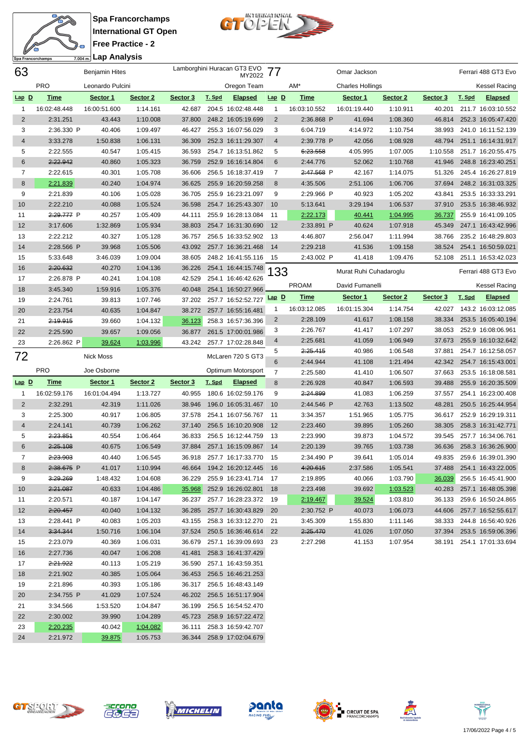



| 63             |                      | <b>Benjamin Hites</b> |                      |                  |        | Lamborghini Huracan GT3 EVO<br>MY2022    | 77             |                        | Omar Jackson            |                      |                  |        | Ferrari 488 GT3 Evo                      |
|----------------|----------------------|-----------------------|----------------------|------------------|--------|------------------------------------------|----------------|------------------------|-------------------------|----------------------|------------------|--------|------------------------------------------|
|                | <b>PRO</b>           | Leonardo Pulcini      |                      |                  |        | Oregon Team                              |                | AM*                    | <b>Charles Hollings</b> |                      |                  |        | <b>Kessel Racing</b>                     |
| $Lap$ $D$      | <b>Time</b>          | Sector 1              | Sector 2             | Sector 3         | T. Spd | <b>Elapsed</b>                           | $Lap$ $D$      | <b>Time</b>            | Sector 1                | Sector 2             | Sector 3         | T. Spd | <b>Elapsed</b>                           |
| 1              | 16:02:48.448         | 16:00:51.600          | 1:14.161             | 42.687           |        | 204.5 16:02:48.448                       | $\mathbf 1$    | 16:03:10.552           | 16:01:19.440            | 1:10.911             | 40.201           |        | 211.7 16:03:10.552                       |
| $\sqrt{2}$     | 2:31.251             | 43.443                | 1:10.008             | 37.800           |        | 248.2 16:05:19.699                       | $\overline{2}$ | 2:36.868 P             | 41.694                  | 1:08.360             | 46.814           |        | 252.3 16:05:47.420                       |
| 3              | 2:36.330 P           | 40.406                | 1:09.497             | 46.427           |        | 255.3 16:07:56.029                       | 3              | 6:04.719               | 4:14.972                | 1:10.754             | 38.993           |        | 241.0 16:11:52.139                       |
| $\overline{4}$ | 3:33.278             | 1:50.838              | 1:06.131             | 36.309           |        | 252.3 16:11:29.307                       | 4              | 2:39.778 P             | 42.056                  | 1:08.928             | 48.794           |        | 251.1 16:14:31.917                       |
| 5              | 2:22.555             | 40.547                | 1:05.415             | 36.593           |        | 254.7 16:13:51.862                       | 5              | 6:23.558               | 4:05.995                | 1:07.005             | 1:10.558         |        | 251.7 16:20:55.475                       |
| 6              | 2:22.942             | 40.860                | 1:05.323             | 36.759           |        | 252.9 16:16:14.804                       | 6              | 2:44.776               | 52.062                  | 1:10.768             | 41.946           |        | 248.8 16:23:40.251                       |
| 7              | 2:22.615             | 40.301                | 1:05.708             | 36.606           |        | 256.5 16:18:37.419                       | 7              | 2:47.568 P             | 42.167                  | 1:14.075             | 51.326           |        | 245.4 16:26:27.819                       |
| 8              | 2:21.839             | 40.240                | 1:04.974             | 36.625           |        | 255.9 16:20:59.258                       | 8              | 4:35.506               | 2:51.106                | 1:06.706             | 37.694           |        | 248.2 16:31:03.325                       |
| 9              | 2:21.839             | 40.106                | 1:05.028             | 36.705           |        | 255.9 16:23:21.097                       | 9              | 2:29.966 P             | 40.923                  | 1:05.202             | 43.841           |        | 253.5 16:33:33.291                       |
| 10             | 2:22.210             | 40.088                | 1:05.524             | 36.598           |        | 254.7 16:25:43.307                       | 10             | 5:13.641               | 3:29.194                | 1:06.537             | 37.910           |        | 253.5 16:38:46.932                       |
| 11             | 2:29.777 P           | 40.257                | 1:05.409             | 44.111           |        | 255.9 16:28:13.084                       | - 11           | 2:22.173               | <u>40.441</u>           | 1:04.995             | 36.737           |        | 255.9 16:41:09.105                       |
| 12             | 3:17.606             | 1:32.869              | 1:05.934             | 38.803           |        | 254.7 16:31:30.690                       | 12             | 2:33.891 P             | 40.624                  | 1:07.918             | 45.349           |        | 247.1 16:43:42.996                       |
| 13             | 2:22.212             | 40.327                | 1:05.128             | 36.757           |        | 256.5 16:33:52.902                       | - 13           | 4:46.807               | 2:56.047                | 1:11.994             | 38.766           |        | 235.2 16:48:29.803                       |
| 14             | 2:28.566 P           | 39.968                | 1:05.506             | 43.092           |        | 257.7 16:36:21.468                       | 14             | 2:29.218               | 41.536                  | 1:09.158             | 38.524           |        | 254.1 16:50:59.021                       |
| 15             | 5:33.648             | 3:46.039              | 1:09.004             | 38.605           |        | 248.2 16:41:55.116                       | 15             | 2:43.002 P             | 41.418                  | 1:09.476             | 52.108           |        | 251.1 16:53:42.023                       |
| 16             | 2:20.632             | 40.270                | 1:04.136             | 36.226           |        | 254.1 16:44:15.748                       | 33             |                        | Murat Ruhi Cuhadaroglu  |                      |                  |        | Ferrari 488 GT3 Evo                      |
| 17             | 2:26.878 P           | 40.241                | 1:04.108             | 42.529           |        | 254.1 16:46:42.626                       |                | <b>PROAM</b>           | David Fumanelli         |                      |                  |        | Kessel Racing                            |
| 18             | 3:45.340             | 1:59.916              | 1:05.376             | 40.048           |        | 254.1 16:50:27.966                       |                |                        |                         |                      |                  |        |                                          |
| 19             | 2:24.761             | 39.813                | 1:07.746             | 37.202           |        | 257.7 16:52:52.727                       | $Lap$ $D$      | <b>Time</b>            | Sector 1                | Sector 2             | Sector 3         | T. Spd | <b>Elapsed</b>                           |
| 20             | 2:23.754             | 40.635                | 1:04.847             | 38.272           |        | 257.7 16:55:16.481                       | $\mathbf{1}$   | 16:03:12.085           | 16:01:15.304            | 1:14.754             | 42.027           |        | 143.2 16:03:12.085                       |
| 21             | 2:19.915             | 39.660                | 1:04.132             | 36.123           |        | 258.3 16:57:36.396                       | $\overline{2}$ | 2:28.109               | 41.617                  | 1:08.158             | 38.334           |        | 253.5 16:05:40.194                       |
| 22             | 2:25.590             | 39.657                | 1:09.056             | 36.877           |        | 261.5 17:00:01.986                       | 3              | 2:26.767               | 41.417                  | 1:07.297             | 38.053           |        | 252.9 16:08:06.961                       |
| 23             | 2:26.862 P           | 39.624                | 1:03.996             | 43.242           |        | 257.7 17:02:28.848                       | 4              | 2:25.681               | 41.059                  | 1:06.949             | 37.673           |        | 255.9 16:10:32.642                       |
| 72             |                      | Nick Moss             |                      |                  |        | McLaren 720 S GT3                        | 5              | 2:25.415               | 40.986                  | 1:06.548             | 37.881           |        | 254.7 16:12:58.057                       |
|                |                      |                       |                      |                  |        |                                          |                |                        |                         |                      |                  |        |                                          |
|                |                      |                       |                      |                  |        |                                          | 6              | 2:44.944               | 41.108                  | 1:21.494             | 42.342           |        | 254.7 16:15:43.001                       |
|                | <b>PRO</b>           | Joe Osborne           |                      |                  |        | Optimum Motorsport                       | $\overline{7}$ | 2:25.580               | 41.410                  | 1:06.507             | 37.663           |        | 253.5 16:18:08.581                       |
| $Lap$ $D$      | <b>Time</b>          | Sector 1              | Sector 2             | Sector 3         | T. Spd | <b>Elapsed</b>                           | 8              | 2:26.928               | 40.847                  | 1:06.593             | 39.488           |        | 255.9 16:20:35.509                       |
| 1              | 16:02:59.176         | 16:01:04.494          | 1:13.727             | 40.955           |        | 180.6 16:02:59.176                       | 9              | 2:24.899               | 41.083                  | 1:06.259             | 37.557           |        | 254.1 16:23:00.408                       |
| $\overline{2}$ | 2:32.291             | 42.319                | 1:11.026             | 38.946           |        | 196.0 16:05:31.467                       | 10             | 2:44.546 P             | 42.763                  | 1:13.502             | 48.281           |        | 250.5 16:25:44.954                       |
| 3              | 2:25.300             | 40.917                | 1:06.805             | 37.578           |        | 254.1 16:07:56.767                       | - 11           | 3:34.357               | 1:51.965                | 1:05.775             | 36.617           |        | 252.9 16:29:19.311                       |
| 4              | 2:24.141             | 40.739                | 1:06.262             | 37.140           |        | 256.5 16:10:20.908                       | 12             | 2:23.460               | 39.895                  | 1:05.260             | 38.305           |        | 258.3 16:31:42.771                       |
| 5<br>6         | 2:23.851             | 40.554                | 1:06.464             | 36.833           |        | 256.5 16:12:44.759                       | -13<br>14      | 2:23.990<br>2:20.139   | 39.873                  | 1:04.572             | 39.545           |        | 257.7 16:34:06.761                       |
| 7              | 2:25.108<br>2:23.903 | 40.675                | 1:06.549             | 37.884<br>36.918 |        | 257.1 16:15:09.867                       | - 15           |                        | 39.765                  | 1:03.738             | 36.636<br>49.835 |        | 258.3 16:36:26.900                       |
| 8              |                      | 40.440                | 1:06.545<br>1:10.994 |                  |        | 257.7 16:17:33.770                       | - 16           | 2:34.490 P<br>4:20.615 | 39.641                  | 1:05.014             |                  |        | 259.6 16:39:01.390                       |
|                | 2:38.675 P           | 41.017                |                      | 46.664           |        | 194.2 16:20:12.445                       |                | 2:19.895               | 2:37.586                | 1:05.541<br>1:03.790 | 37.488           |        | 254.1 16:43:22.005                       |
| 9              | 3:29.269<br>2:21.087 | 1:48.432<br>40.633    | 1:04.608<br>1:04.486 | 36.229           |        | 255.9 16:23:41.714<br>252.9 16:26:02.801 | - 17<br>18     |                        | 40.066<br>39.692        |                      | 36.039<br>40.283 |        | 256.5 16:45:41.900<br>257.1 16:48:05.398 |
| 10<br>11       | 2:20.571             | 40.187                | 1:04.147             | 35.968<br>36.237 |        | 257.7 16:28:23.372                       | - 19           | 2:23.498<br>2:19.467   | 39.524                  | 1:03.523<br>1:03.810 | 36.133           |        | 259.6 16:50:24.865                       |
| 12             | 2:20.457             | 40.040                | 1:04.132             | 36.285           |        | 257.7 16:30:43.829                       | 20             | 2:30.752 P             | 40.073                  | 1:06.073             | 44.606           |        | 257.7 16:52:55.617                       |
| 13             | 2:28.441 P           | 40.083                | 1:05.203             | 43.155           |        | 258.3 16:33:12.270                       | 21             | 3:45.309               | 1:55.830                | 1:11.146             | 38.333           |        | 244.8 16:56:40.926                       |
| 14             | 3:34.344             | 1:50.716              | 1:06.104             | 37.524           |        | 250.5 16:36:46.614                       | 22             | 2:25.470               | 41.026                  | 1:07.050             | 37.394           |        | 253.5 16:59:06.396                       |
| 15             | 2:23.079             | 40.369                | 1:06.031             | 36.679           |        | 257.1 16:39:09.693                       | 23             | 2:27.298               | 41.153                  | 1:07.954             | 38.191           |        | 254.1 17:01:33.694                       |
| 16             | 2:27.736             | 40.047                | 1:06.208             | 41.481           |        | 258.3 16:41:37.429                       |                |                        |                         |                      |                  |        |                                          |
| 17             | 2:21.922             | 40.113                | 1:05.219             | 36.590           |        | 257.1 16:43:59.351                       |                |                        |                         |                      |                  |        |                                          |
| 18             | 2:21.902             | 40.385                | 1:05.064             | 36.453           |        | 256.5 16:46:21.253                       |                |                        |                         |                      |                  |        |                                          |
| 19             | 2:21.896             | 40.393                | 1:05.186             | 36.317           |        | 256.5 16:48:43.149                       |                |                        |                         |                      |                  |        |                                          |
| 20             | 2:34.755 P           | 41.029                | 1:07.524             | 46.202           |        | 256.5 16:51:17.904                       |                |                        |                         |                      |                  |        |                                          |
| 21             | 3:34.566             | 1:53.520              | 1:04.847             | 36.199           |        | 256.5 16:54:52.470                       |                |                        |                         |                      |                  |        |                                          |
| 22             | 2:30.002             | 39.990                | 1:04.289             | 45.723           |        | 258.9 16:57:22.472                       |                |                        |                         |                      |                  |        |                                          |
| 23             | 2:20.235             | 40.042                | 1:04.082             | 36.111           |        | 258.3 16:59:42.707                       |                |                        |                         |                      |                  |        |                                          |













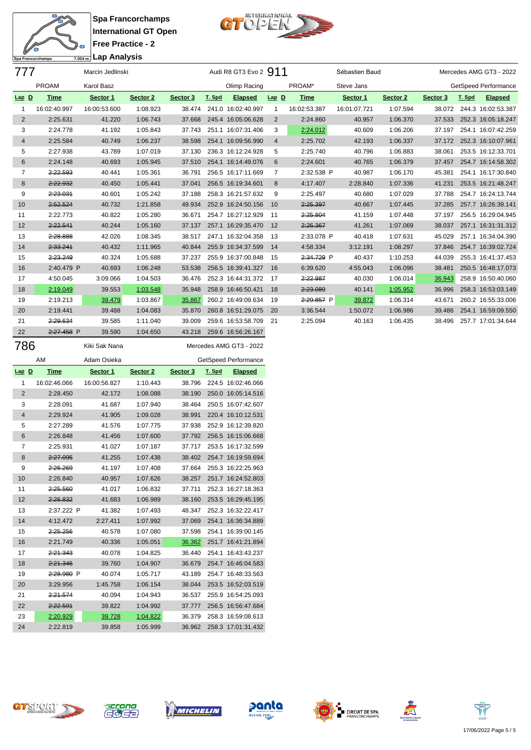



| 777     |              | Marcin Jedlinski |          |          |        | Audi R8 GT3 Evo 2 911   |                |              | Sébastien Baud |          |          |        | Mercedes AMG GT3 - 2022 |
|---------|--------------|------------------|----------|----------|--------|-------------------------|----------------|--------------|----------------|----------|----------|--------|-------------------------|
|         | <b>PROAM</b> | Karol Basz       |          |          |        | Olimp Racing            |                | PROAM*       | Steve Jans     |          |          |        | GetSpeed Performance    |
| $Lap$ D | <b>Time</b>  | Sector 1         | Sector 2 | Sector 3 | T. Spd | <b>Elapsed</b>          | $Lap$ D        | <b>Time</b>  | Sector 1       | Sector 2 | Sector 3 | T. Spd | <b>Elapsed</b>          |
| -1      | 16:02:40.997 | 16:00:53.600     | 1:08.923 | 38.474   |        | 241.0 16:02:40.997      | -1             | 16:02:53.387 | 16:01:07.721   | 1:07.594 | 38.072   |        | 244.3 16:02:53.387      |
| 2       | 2:25.631     | 41.220           | 1:06.743 | 37.668   |        | 245.4 16:05:06.628      | $\overline{2}$ | 2:24.860     | 40.957         | 1:06.370 | 37.533   |        | 252.3 16:05:18.247      |
| 3       | 2:24.778     | 41.192           | 1:05.843 | 37.743   |        | 251.1 16:07:31.406      | 3              | 2:24.012     | 40.609         | 1:06.206 | 37.197   |        | 254.1 16:07:42.259      |
| 4       | 2:25.584     | 40.749           | 1:06.237 | 38.598   |        | 254.1 16:09:56.990      | $\overline{4}$ | 2:25.702     | 42.193         | 1:06.337 | 37.172   |        | 252.3 16:10:07.961      |
| 5       | 2:27.938     | 43.789           | 1:07.019 | 37.130   |        | 236.3 16:12:24.928      | 5              | 2:25.740     | 40.796         | 1:06.883 | 38.061   |        | 253.5 16:12:33.701      |
| 6       | 2:24.148     | 40.693           | 1:05.945 | 37.510   |        | 254.1 16:14:49.076      | 6              | 2:24.601     | 40.765         | 1:06.379 | 37.457   |        | 254.7 16:14:58.302      |
| 7       | 2:22.593     | 40.441           | 1:05.361 | 36.791   |        | 256.5 16:17:11.669      | 7              | 2:32.538 P   | 40.987         | 1:06.170 | 45.381   |        | 254.1 16:17:30.840      |
| 8       | 2:22.932     | 40.450           | 1:05.441 | 37.041   |        | 256.5 16:19:34.601      | 8              | 4:17.407     | 2:28.840       | 1:07.336 | 41.231   |        | 253.5 16:21:48.247      |
| 9       | 2:23.031     | 40.601           | 1:05.242 | 37.188   |        | 258.3 16:21:57.632      | 9              | 2:25.497     | 40.680         | 1:07.029 | 37.788   |        | 254.7 16:24:13.744      |
| 10      | 2:52.524     | 40.732           | 1:21.858 | 49.934   |        | 252.9 16:24:50.156      | 10             | 2:25.397     | 40.667         | 1:07.445 | 37.285   |        | 257.7 16:26:39.141      |
| 11      | 2:22.773     | 40.822           | 1:05.280 | 36.671   |        | 254.7 16:27:12.929      | 11             | 2:25.804     | 41.159         | 1:07.448 | 37.197   |        | 256.5 16:29:04.945      |
| 12      | 2:22.541     | 40.244           | 1:05.160 | 37.137   |        | 257.1 16:29:35.470      | 12             | 2:26.367     | 41.261         | 1:07.069 | 38.037   |        | 257.1 16:31:31.312      |
| 13      | 2:28.888     | 42.026           | 1:08.345 | 38.517   |        | 247.1 16:32:04.358      | -13            | 2:33.078 P   | 40.418         | 1:07.631 | 45.029   |        | 257.1 16:34:04.390      |
| 14      | 2:33.241     | 40.432           | 1:11.965 | 40.844   |        | 255.9 16:34:37.599      | 14             | 4:58.334     | 3:12.191       | 1:08.297 | 37.846   |        | 254.7 16:39:02.724      |
| 15      | 2:23.249     | 40.324           | 1:05.688 | 37.237   |        | 255.9 16:37:00.848      | 15             | 2:34.729 P   | 40.437         | 1:10.253 | 44.039   |        | 255.3 16:41:37.453      |
| 16      | 2:40.479 P   | 40.693           | 1:06.248 | 53.538   |        | 256.5 16:39:41.327      | 16             | 6:39.620     | 4:55.043       | 1:06.096 | 38.481   |        | 250.5 16:48:17.073      |
| 17      | 4:50.045     | 3:09.066         | 1:04.503 | 36.476   |        | 252.3 16:44:31.372      | -17            | 2:22.987     | 40.030         | 1:06.014 | 36.943   |        | 258.9 16:50:40.060      |
| 18      | 2:19.049     | 39.553           | 1:03.548 | 35.948   |        | 258.9 16:46:50.421      | 18             | 2:23.089     | 40.141         | 1:05.952 | 36.996   |        | 258.3 16:53:03.149      |
| 19      | 2:19.213     | 39.479           | 1:03.867 | 35.867   |        | 260.2 16:49:09.634      | 19             | $2:29.857$ P | 39.872         | 1:06.314 | 43.671   |        | 260.2 16:55:33.006      |
| 20      | 2:19.441     | 39.488           | 1:04.083 | 35.870   |        | 260.8 16:51:29.075      | 20             | 3:36.544     | 1:50.072       | 1:06.986 | 39.486   |        | 254.1 16:59:09.550      |
| 21      | 2:29.634     | 39.585           | 1:11.040 | 39.009   |        | 259.6 16:53:58.709      | 21             | 2:25.094     | 40.163         | 1:06.435 | 38.496   |        | 257.7 17:01:34.644      |
| 22      | 2:27.458 P   | 39.590           | 1:04.650 | 43.218   |        | 259.6 16:56:26.167      |                |              |                |          |          |        |                         |
| 786     |              | Kiki Sak Nana    |          |          |        | Mercedes AMG GT3 - 2022 |                |              |                |          |          |        |                         |

|                | AM           | Adam Osieka  |          |          |        | GetSpeed Performance |
|----------------|--------------|--------------|----------|----------|--------|----------------------|
| $Lap$ D        | Time         | Sector 1     | Sector 2 | Sector 3 | T. Spd | <b>Elapsed</b>       |
| 1              | 16:02:46.066 | 16:00:56.827 | 1:10.443 | 38.796   | 224.5  | 16:02:46.066         |
| $\overline{2}$ | 2:28.450     | 42.172       | 1:08.088 | 38.190   | 250.0  | 16:05:14.516         |
| 3              | 2:28.091     | 41.687       | 1:07.940 | 38.464   | 250.5  | 16:07:42.607         |
| $\overline{4}$ | 2:29.924     | 41.905       | 1:09.028 | 38.991   |        | 220.4 16:10:12.531   |
| 5              | 2:27.289     | 41.576       | 1:07.775 | 37.938   | 252.9  | 16:12:39.820         |
| 6              | 2:26.848     | 41.456       | 1:07.600 | 37.792   | 256.5  | 16:15:06.668         |
| 7              | 2:25.931     | 41.027       | 1:07.187 | 37.717   | 253.5  | 16:17:32.599         |
| 8              | 2:27.095     | 41.255       | 1:07.438 | 38.402   | 254.7  | 16:19:59.694         |
| 9              | 2:26.269     | 41.197       | 1:07.408 | 37.664   | 255.3  | 16:22:25.963         |
| 10             | 2:26.840     | 40.957       | 1:07.626 | 38.257   | 251.7  | 16:24:52.803         |
| 11             | 2:25.560     | 41.017       | 1:06.832 | 37.711   | 252.3  | 16:27:18.363         |
| 12             | 2:26.832     | 41.683       | 1:06.989 | 38.160   | 253.5  | 16:29:45.195         |
| 13             | 2:37.222 P   | 41.382       | 1:07.493 | 48.347   | 252.3  | 16:32:22.417         |
| 14             | 4:12.472     | 2:27.411     | 1:07.992 | 37.069   | 254.1  | 16:36:34.889         |
| 15             | 2:25.256     | 40.578       | 1:07.080 | 37.598   | 254.1  | 16:39:00.145         |
| 16             | 2:21.749     | 40.336       | 1:05.051 | 36.362   | 251.7  | 16:41:21.894         |
| 17             | 2:21.343     | 40.078       | 1:04.825 | 36.440   | 254.1  | 16:43:43.237         |
| 18             | 2:21.346     | 39.760       | 1:04.907 | 36.679   | 254.7  | 16:46:04.583         |
| 19             | 2:28.980 P   | 40.074       | 1:05.717 | 43.189   | 254.7  | 16:48:33.563         |
| 20             | 3:29.956     | 1:45.758     | 1:06.154 | 38.044   | 253.5  | 16:52:03.519         |
| 21             | 2:21.574     | 40.094       | 1:04.943 | 36.537   | 255.9  | 16:54:25.093         |
| 22             | 2:22.591     | 39.822       | 1:04.992 | 37.777   | 256.5  | 16:56:47.684         |
| 23             | 2:20.929     | 39.728       | 1:04.822 | 36.379   | 258.3  | 16:59:08.613         |
| 24             | 2:22.819     | 39.858       | 1:05.999 | 36.962   | 258.3  | 17:01:31.432         |











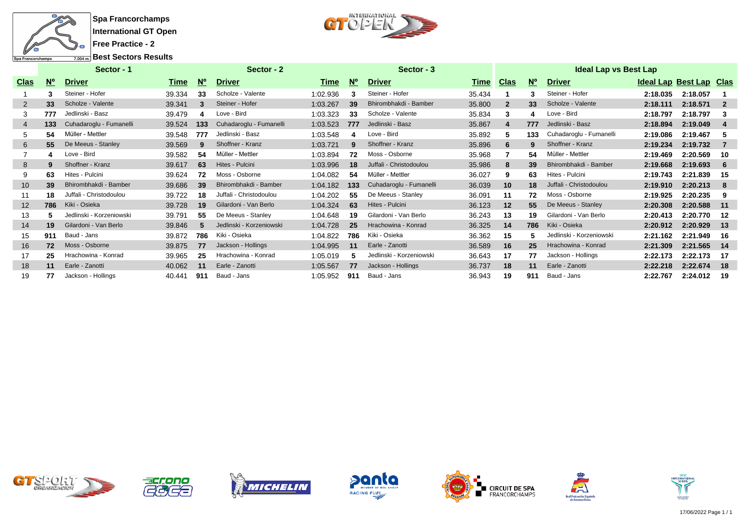



**Best Sectors Results**

|                 |                                  | Sector - 1               |        |             | Sector - 2               |          |            | Sector - 3               |             |                |             | <b>Ideal Lap vs Best Lap</b> |                                |          |                |
|-----------------|----------------------------------|--------------------------|--------|-------------|--------------------------|----------|------------|--------------------------|-------------|----------------|-------------|------------------------------|--------------------------------|----------|----------------|
| <b>Clas</b>     | $\underline{\mathsf{N}^{\circ}}$ | <b>Driver</b>            | Time   | $N^{\circ}$ | <b>Driver</b>            | Time     | <b>N</b> ° | <b>Driver</b>            | <b>Time</b> | Clas           | $N^{\circ}$ | <b>Driver</b>                | <b>Ideal Lap Best Lap Clas</b> |          |                |
|                 |                                  | Steiner - Hofer          | 39.334 | 33          | Scholze - Valente        | 1:02.936 | 3          | Steiner - Hofer          | 35.434      |                | з           | Steiner - Hofer              | 2:18.035                       | 2:18.057 |                |
| 2               | 33                               | Scholze - Valente        | 39.341 | 3           | Steiner - Hofer          | 1:03.267 | 39         | Bhirombhakdi - Bamber    | 35.800      | $\overline{2}$ | 33          | Scholze - Valente            | 2:18.111                       | 2:18.571 | $\overline{2}$ |
| 3               | 777                              | Jedlinski - Basz         | 39.479 |             | Love - Bird              | 1:03.323 | 33         | Scholze - Valente        | 35.834      | 3              |             | Love - Bird                  | 2:18.797                       | 2:18.797 | 3              |
| $\overline{4}$  | 133                              | Cuhadaroglu - Fumanelli  | 39.524 | 133         | Cuhadaroglu - Fumanelli  | 1:03.523 | 777        | Jedlinski - Basz         | 35.867      | 4              | 777         | Jedlinski - Basz             | 2:18.894                       | 2:19.049 | 4              |
| 5               | 54                               | Müller - Mettler         | 39.548 | 777         | Jedlinski - Basz         | 1:03.548 | 4          | Love - Bird              | 35.892      | 5.             | 133         | Cuhadaroglu - Fumanelli      | 2:19.086                       | 2:19.467 | 5              |
| 6               | 55                               | De Meeus - Stanley       | 39.569 | 9           | Shoffner - Kranz         | 1:03.721 | 9          | Shoffner - Kranz         | 35.896      | 6              | 9           | Shoffner - Kranz             | 2:19.234                       | 2:19.732 | - 7            |
|                 |                                  | Love - Bird              | 39.582 | 54          | Müller - Mettler         | 1:03.894 | 72         | Moss - Osborne           | 35.968      |                | 54          | Müller - Mettler             | 2:19.469                       | 2:20.569 | 10             |
| 8               |                                  | Shoffner - Kranz         | 39.617 | 63          | Hites - Pulcini          | 1:03.996 | 18         | Juffali - Christodoulou  | 35.986      | 8              | 39          | Bhirombhakdi - Bamber        | 2:19.668                       | 2:19.693 | -6             |
| 9               | 63                               | Hites - Pulcini          | 39.624 | 72          | Moss - Osborne           | 1:04.082 | 54         | Müller - Mettler         | 36.027      | 9              | 63          | Hites - Pulcini              | 2:19.743                       | 2:21.839 | -15            |
| 10 <sup>°</sup> | 39                               | Bhirombhakdi - Bamber    | 39.686 | 39          | Bhirombhakdi - Bamber    | 1:04.182 | 133        | Cuhadaroglu - Fumanelli  | 36.039      | 10             | 18          | Juffali - Christodoulou      | 2:19.910                       | 2:20.213 | -8             |
| 11              | 18                               | Juffali - Christodoulou  | 39.722 | 18          | Juffali - Christodoulou  | 1:04.202 | 55         | De Meeus - Stanley       | 36.091      | 11             | 72          | Moss - Osborne               | 2:19.925                       | 2:20.235 | 9              |
| 12              | 786                              | Kiki - Osieka            | 39.728 | 19          | Gilardoni - Van Berlo    | 1:04.324 | 63         | Hites - Pulcini          | 36.123      | 12             | 55          | De Meeus - Stanley           | 2:20.308                       | 2:20.588 | 11             |
| 13              |                                  | Jedlinski - Korzeniowski | 39.791 | 55          | De Meeus - Stanley       | 1:04.648 | 19         | Gilardoni - Van Berlo    | 36.243      | 13             | 19          | Gilardoni - Van Berlo        | 2:20.413                       | 2:20.770 | -12            |
| 14              | 19                               | Gilardoni - Van Berlo    | 39.846 | 5           | Jedlinski - Korzeniowski | 1:04.728 | 25         | Hrachowina - Konrad      | 36.325      | 14             | 786         | Kiki - Osieka                | 2:20.912                       | 2:20.929 | $-13$          |
| 15              | 911                              | Baud - Jans              | 39.872 | 786         | Kiki - Osieka            | 1:04.822 | 786        | Kiki - Osieka            | 36.362      | 15             |             | Jedlinski - Korzeniowski     | 2:21.162                       | 2:21.949 | 16             |
| 16              | 72                               | Moss - Osborne           | 39.875 | 77          | Jackson - Hollings       | 1:04.995 | 11         | Earle - Zanotti          | 36.589      | 16             | 25          | Hrachowina - Konrad          | 2:21.309                       | 2:21.565 | 14             |
| 17              | 25                               | Hrachowina - Konrad      | 39.965 | 25          | Hrachowina - Konrad      | 1:05.019 | 5          | Jedlinski - Korzeniowski | 36.643      | 17             | 77          | Jackson - Hollings           | 2:22.173                       | 2:22.173 | -17            |
| 18              | 11                               | Earle - Zanotti          | 40.062 | 11          | Earle - Zanotti          | 1:05.567 | 77         | Jackson - Hollings       | 36.737      | 18             | 11          | Earle - Zanotti              | 2:22.218                       | 2:22.674 | -18            |
| 19              | 77                               | Jackson - Hollings       | 40.441 | 911         | Baud - Jans              | 1:05.952 | 911        | Baud - Jans              | 36.943      | 19             | 911         | Baud - Jans                  | 2:22.767                       | 2:24.012 | -19            |













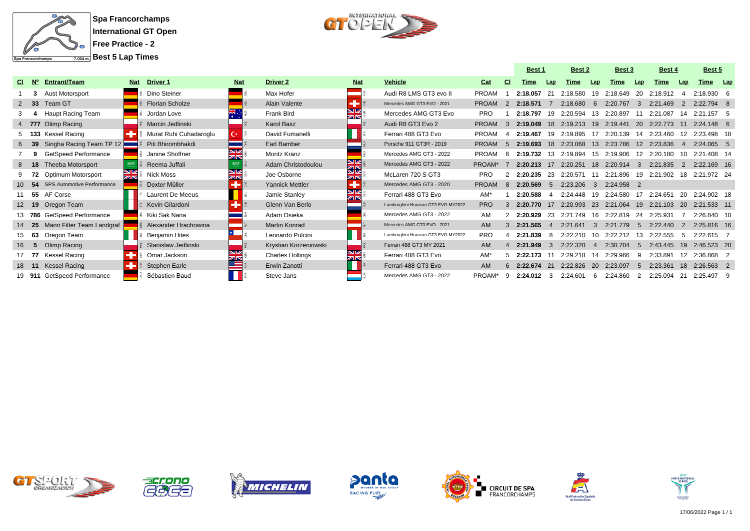

**Best 5 Lap Times**



|    |              |                                   |            |                        |            |                         |                         |                                    |              |               | <b>Best 1</b> |     | Best 2      |                         | <b>Best 3</b>        |              | <b>Best 4</b>              |                | <b>Best 5</b> |  |
|----|--------------|-----------------------------------|------------|------------------------|------------|-------------------------|-------------------------|------------------------------------|--------------|---------------|---------------|-----|-------------|-------------------------|----------------------|--------------|----------------------------|----------------|---------------|--|
|    | $N^{\circ}$  | <b>Entrant/Team</b>               | <b>Nat</b> | <b>Driver 1</b>        | <b>Nat</b> | <b>Driver 2</b>         | <b>Nat</b>              | <b>Vehicle</b>                     | Cat          | <b>CI</b>     | Time          | Lap | <b>Time</b> | Lap                     | Time                 | Lap          | Time                       | Lap            | Time Lap      |  |
|    |              | Aust Motorsport                   |            | Dino Steiner           |            | Max Hofer               |                         | Audi R8 LMS GT3 evo II             | <b>PROAM</b> |               | 2:18.057      |     | 2:18.580    | 19                      | 2:18.649             | -20          | 2:18.912                   |                | $2:18.930$ 6  |  |
|    | $2 \quad 33$ | Team GT                           |            | <b>Florian Scholze</b> |            | Alain Valente           |                         | Mercedes AMG GT3 EVO - 2021        | <b>PROAM</b> |               | 2:18.571      |     | 2:18.680    | -6                      | 2:20.767             | 3            | 2:21.469                   | 2              | $2.22794$ 8   |  |
|    |              | Haupt Racing Team                 |            | Jordan Love            |            | Frank Bird              | $\overline{\mathbb{Z}}$ | Mercedes AMG GT3 Evo               | <b>PRO</b>   |               | 2:18.797      | 19  | 2:20.594    |                         | 13 2:20.897          | 11           | 2:21.087                   | 14             | 2:21.157 5    |  |
|    |              | 4 777 Olimp Racing                |            | Marcin Jedlinski       |            | Karol Basz              |                         | Audi R8 GT3 Evo 2                  | <b>PROAM</b> |               | 2:19.049 18   |     | 2:19.213 19 |                         | 2:19.441             | - 20         | 2:22.773                   | 11             | $2:24.148$ 6  |  |
|    |              | 5 133 Kessel Racing               |            | Murat Ruhi Cuhadaroglu | C∗∃        | David Fumanelli         |                         | Ferrari 488 GT3 Evo                | <b>PROAM</b> | $\mathbf{A}$  | 2:19.467      | 19  |             |                         | 2:19.895 17 2:20.139 |              | 14 2:23.460                | 12             | 2:23.498 18   |  |
|    |              | Singha Racing Team TP 12          |            | Piti Bhirombhakdi      |            | Earl Bamber             |                         | Porsche 911 GT3R - 2019            | <b>PROAM</b> |               | 2:19.693 18   |     |             |                         | 2:23.068 13 2:23.786 |              | 12 2:23.836                | $\overline{4}$ | $2:24.065$ 5  |  |
|    |              | GetSpeed Performance              |            | Janine Shoffner        |            | Moritz Kranz            |                         | Mercedes AMG GT3 - 2022            | <b>PROAM</b> |               | 2:19.732      | 13  | 2:19.894    | 15                      | 2:19.906             |              | 12 2:20.180                | 10             | 2:21.408 14   |  |
|    | $8$ 18       | <b>Theeba Motorsport</b>          |            | Reema Juffali          |            | Adam Christodoulou      | e<br>Kr                 | Mercedes AMG GT3 - 2022            | PROAM*       |               | 2:20.213      | 17  | 2:20.251    | 18                      | 2:20.914             | $\mathbf{3}$ | 2:21.835                   | $\overline{2}$ | 2:22.169 16   |  |
|    | 72           | Optimum Motorsport                | NK<br>AR   | Nick Moss              | ZK         | Joe Osborne             | ZN                      | McLaren 720 S GT3                  | <b>PRO</b>   |               | 2:20.235      | 23  | 2:20.571    | 11                      | 2:21.896             |              | 19 2:21.902 18 2:21.972 24 |                |               |  |
|    | -54          | <b>SPS Automotive Performance</b> |            | Dexter Müller          |            | <b>Yannick Mettler</b>  | ۰                       | Mercedes AMG GT3 - 2020            | <b>PROAM</b> | <b>8</b>      | 2:20.569      |     | 2:23.206    | $\overline{\mathbf{3}}$ | 2:24.958 2           |              |                            |                |               |  |
|    |              | 11 55 AF Corse                    |            | Laurent De Meeus       |            | Jamie Stanley           | שע<br>ZIN               | Ferrari 488 GT3 Evo                | AM*          |               | 2:20.588      |     | 2:24.448    | 19                      | 2:24.580 17 2:24.651 |              |                            | 20             | 2:24.902 18   |  |
|    | 12 19        | Oregon Team                       |            | Kevin Gilardoni        |            | Glenn Van Berlo         |                         | Lamborghini Huracan GT3 EVO MY2022 | <b>PRO</b>   | $\mathcal{R}$ | 2:20.770      | 17  | 2:20.993    | 23                      | 2:21.064             |              | 19 2:21.103                | 20             | 2:21.533 11   |  |
|    |              | 13 786 GetSpeed Performance       |            | Kiki Sak Nana          |            | Adam Osieka             |                         | Mercedes AMG GT3 - 2022            | AM           |               | 2:20.929      | 23  | 2:21.749    | 16                      | 2:22.819             | 24           | 2:25.931                   |                | 2:26.840 10   |  |
|    | 25           | Mann Filter Team Landgraf         |            | Alexander Hrachowina   |            | <b>Martin Konrad</b>    |                         | Mercedes AMG GT3 EVO - 2021        | AM           |               | 2:21.565      |     | 2:21.641    | $\mathbf{3}$            | 2:21.779             | $5 -$        | 2:22.440                   | $\mathcal{P}$  | 2:25.816 16   |  |
|    | 63           | Oregon Team                       |            | Benjamin Hites         |            | Leonardo Pulcini        |                         | Lamborghini Huracan GT3 EVO MY2022 | <b>PRO</b>   |               | 2:21.839      |     | 2.22210     | 10                      | 2:22.212             | 13           | 2:22.555                   | -5             | $2:22.615$ 7  |  |
| 16 | 5            | Olimp Racing                      |            | Stanislaw Jedlinski    |            | Krystian Korzeniowski   |                         | Ferrari 488 GT3 MY 2021            | AM           |               | 2:21.949      |     | 2:22.320    | $\mathbf{A}$            | 2:30.704             | $5^{\circ}$  | 2:43.445                   | 19             | 2:46.523 20   |  |
|    | - 77         | Kessel Racing                     |            | Omar Jackson           | <b>ZIN</b> | <b>Charles Hollings</b> | שע<br><b>ZIN</b>        | Ferrari 488 GT3 Evo                | AM*          |               | 2:22.173      |     | 2:29.218    | -14                     | 2:29.966             | 9            | 2:33.891                   | 12             | 2:36.868 2    |  |
|    | 18 11        | Kessel Racing                     |            | Stephen Earle          |            | Erwin Zanotti           |                         | Ferrari 488 GT3 Evo                | AM           |               | 2:22.674      | 21  | 2:22.826    | - 20                    | 2:23.097             | $5^{\circ}$  | 2:23.361                   | 18             | 2:26.563 2    |  |
|    |              | 19 911 GetSpeed Performance       |            | Sébastien Baud         |            | Steve Jans              |                         | Mercedes AMG GT3 - 2022            | PROAM*       |               | 2:24.012      |     | 2:24.601    | -6                      | 2:24.860             |              | 2:25.094                   | 21             | 2:25.497 9    |  |













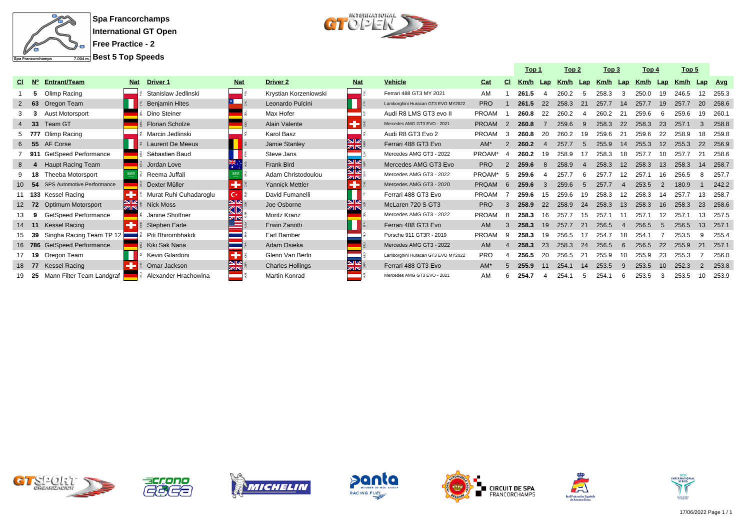

**Best 5 Top Speeds**



|     |           |                             |                |                         |             |                         |            |                                    |              |                | Top 1 |    | Top 2        |                          | Top 3                  |     | Top 4 |     | Top 5 |    |         |
|-----|-----------|-----------------------------|----------------|-------------------------|-------------|-------------------------|------------|------------------------------------|--------------|----------------|-------|----|--------------|--------------------------|------------------------|-----|-------|-----|-------|----|---------|
| CI. | <b>N°</b> | <b>Entrant/Team</b>         | <b>Nat</b>     | <b>Driver 1</b>         | <b>Nat</b>  | Driver <sub>2</sub>     | <b>Nat</b> | <b>Vehicle</b>                     | Cat          | <b>CI</b>      | Km/h  |    | Lap Km/h Lap |                          | Km/h Lap Km/h Lap Km/h |     |       |     |       |    | Lap Avg |
|     | 5.        | Olimp Racing                |                | Stanislaw Jedlinski     |             | Krystian Korzeniowski   |            | Ferrari 488 GT3 MY 2021            | AM           |                | 261.5 |    | 260.2        |                          | 258.3                  |     | 250.0 |     | 246.5 |    | 255.3   |
|     | 63        | Oregon Team                 |                | <b>Benjamin Hites</b>   |             | Leonardo Pulcini        |            | Lamborghini Huracan GT3 EVO MY2022 | <b>PRO</b>   |                | 261.5 | 22 | 258.3        | 21                       | 257.7                  | -14 | 257.7 |     | 257.7 | 20 | 258.6   |
|     | 3         | <b>Aust Motorsport</b>      |                | Dino Steiner            |             | Max Hofer               |            | Audi R8 LMS GT3 evo II             | <b>PROAM</b> |                | 260.8 | 22 | 260.2        |                          | 260.2                  | 21  | 259.6 | - 6 | 259.6 | 19 | 260.7   |
|     | $4$ 33    | Team GT                     |                | <b>Florian Scholze</b>  |             | Alain Valente           |            | Mercedes AMG GT3 EVO - 2021        | <b>PROAM</b> | $\overline{2}$ | 260.8 |    | 259.6        | 9                        | 258.3                  | 22  | 258.3 | 23  | 257.1 |    | 258.8   |
|     |           | 5 777 Olimp Racing          |                | Marcin Jedlinski        |             | Karol Basz              |            | Audi R8 GT3 Evo 2                  | PROAM        |                | 260.8 | 20 | 260.2        | 19                       | 259.6                  |     | 259.6 |     | 258.9 |    | 259.8   |
| 6   | 55        | AF Corse                    |                | <b>Laurent De Meeus</b> |             | Jamie Stanley           | NK<br>AR   | Ferrari 488 GT3 Evo                | $AM*$        |                | 260.2 |    | 257.7        | $\overline{5}$           | 255.9                  | 14  | 255.3 |     | 255.3 | 22 | 256.9   |
|     | 911       | <b>GetSpeed Performance</b> |                | Sébastien Baud          |             | Steve Jans              |            | Mercedes AMG GT3 - 2022            | PROAM*       | - 4            | 260.2 | 19 | 258.9        |                          | 258.3                  |     | 257.7 |     | 257.7 |    | 258.6   |
| 8   |           | <b>Haupt Racing Team</b>    |                | Jordan Love             |             | Frank Bird              | 92<br>ØD   | Mercedes AMG GT3 Evo               | <b>PRO</b>   | 2              | 259.6 | 8  | 258.9        | $\boldsymbol{\varDelta}$ | 258.3                  | 12  | 258.3 | 13  | 258.3 | 14 | 258.7   |
|     | - 18      | Theeba Motorsport           |                | Reema Juffali           |             | Adam Christodoulou      | K          | Mercedes AMG GT3 - 2022            | PROAM*       | -5             | 259.6 |    | 257.7        |                          | 257.7                  |     | 257.1 |     | 256.5 |    | 257.7   |
|     | 10, 54    | SPS Automotive Performance  |                | Dexter Müller           | حزيته       | <b>Yannick Mettler</b>  | e          | Mercedes AMG GT3 - 2020            | <b>PROAM</b> | -6             | 259.6 |    | 259.6        |                          | 257.7                  |     | 253.5 |     | 180.9 |    | 242.2   |
|     |           | 11 133 Kessel Racing        |                | Murat Ruhi Cuhadaroglu  | $C \cdot E$ | David Fumanelli         |            | Ferrari 488 GT3 Evo                | <b>PROAM</b> |                | 259.6 | 15 | 259.6        | 19                       | 258.3                  |     | 258.3 |     | 257.7 |    | 258.7   |
|     | 12 72     | <b>Optimum Motorsport</b>   | z <sub>0</sub> | <b>Nick Moss</b>        | ସ⊠          | Joe Osborne             | zirs       | McLaren 720 S GT3                  | <b>PRO</b>   |                | 258.9 | 22 | 258.9        | 24                       | 258.3                  | 13  | 258.3 | 16  | 258.3 | 23 | 258.6   |
|     | 9         | GetSpeed Performance        |                | Janine Shoffner         | <b>ZIN</b>  | Moritz Kranz            |            | Mercedes AMG GT3 - 2022            | <b>PROAM</b> |                | 258.3 | 16 | 257.7        | 15                       | 257.1                  |     | 257.1 |     | 257.1 |    | 257.5   |
|     | 14 11     | Kessel Racing               |                | Stephen Earle           |             | Erwin Zanotti           |            | Ferrari 488 GT3 Evo                | AM.          |                | 258.3 | 19 | 257.7        | 21                       | 256.5                  |     | 256.5 |     | 256.5 |    | 257.    |
|     | - 39      | Singha Racing Team TP 12    |                | Piti Bhirombhakdi       |             | Earl Bamber             |            | Porsche 911 GT3R - 2019            | <b>PROAM</b> |                | 258.3 | 19 | 256.5        |                          | 254.7                  |     | 254.1 |     | 253.5 |    | 255.4   |
|     |           | 16 786 GetSpeed Performance |                | Kiki Sak Nana           |             | Adam Osieka             |            | Mercedes AMG GT3 - 2022            | <b>AM</b>    |                | 258.3 | 23 | 258.3        | 24                       | 256.5                  | 6   | 256.5 | 22  | 255.9 |    | 257.    |
|     | 17 19     | Oregon Team                 |                | Kevin Gilardoni         |             | Glenn Van Berlo         |            | Lamborghini Huracan GT3 EVO MY2022 | <b>PRO</b>   |                | 256.5 | 20 | 256.5        | 21                       | 255.9                  |     | 255.9 | 23  | 255.3 |    | 256.0   |
|     | 18 77     | <b>Kessel Racing</b>        |                | Omar Jackson            | $rac{N}{N}$ | <b>Charles Hollings</b> | NK<br>AR   | Ferrari 488 GT3 Evo                | $AM^*$       |                | 255.9 |    | 254.1        | 14                       | 253.5                  |     | 253.5 |     | 252.3 |    | 253.8   |
|     | - 25      | Mann Filter Team Landgraf   |                | Alexander Hrachowina    |             | Martin Konrad           |            | Mercedes AMG GT3 EVO - 2021        | AM           | 6              | 254.7 |    | 254.1        |                          | 254.1                  | 6   | 253.5 |     | 253.5 | 10 | 253.9   |















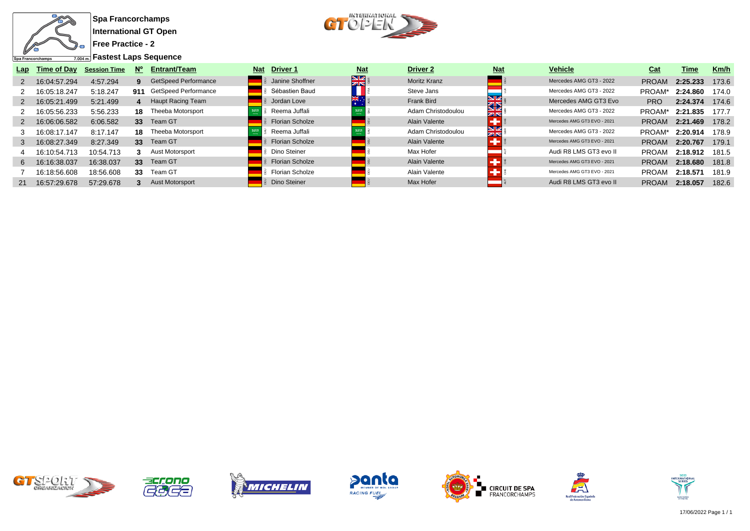

**Free Practice - 2**

**Fastest Laps Sequence**



| Lap           | Time of Day  | <b>Session Time</b> | $N^{\circ}$ | <b>Entrant/Team</b>         | <b>Nat</b> | <b>Driver 1</b>        | <b>Nat</b>    | <b>Driver 2</b>     | <b>Nat</b>         | <b>Vehicle</b>              | Cat          | Time     | Km/h  |
|---------------|--------------|---------------------|-------------|-----------------------------|------------|------------------------|---------------|---------------------|--------------------|-----------------------------|--------------|----------|-------|
| 2             | 16:04:57.294 | 4:57.294            | 9.          | <b>GetSpeed Performance</b> |            | Janine Shoffner        | $\frac{N}{N}$ | <b>Moritz Kranz</b> |                    | Mercedes AMG GT3 - 2022     | <b>PROAM</b> | 2:25.233 | 173.6 |
|               | 16:05:18.247 | 5:18.247            | 911         | GetSpeed Performance        |            | Sébastien Baud         |               | Steve Jans          |                    | Mercedes AMG GT3 - 2022     | PROAM*       | 2:24.860 | 174.0 |
| 2             | 16:05:21.499 | 5:21.499            |             | <b>Haupt Racing Team</b>    |            | Jordan Love            |               | Frank Bird          | ∕الا<br><b>KID</b> | Mercedes AMG GT3 Evo        | <b>PRO</b>   | 2:24.374 | 174.6 |
|               | 16:05:56.233 | 5:56.233            | 18          | Theeba Motorsport           |            | Reema Juffali          |               | Adam Christodoulou  | ZK                 | Mercedes AMG GT3 - 2022     | PROAM*       | 2:21.835 | 177.7 |
| $\mathcal{P}$ | 16:06:06.582 | 6:06.582            | 33          | Team GT                     |            | <b>Florian Scholze</b> |               | Alain Valente       |                    | Mercedes AMG GT3 EVO - 2021 | <b>PROAM</b> | 2:21.469 | 178.2 |
|               | 16:08:17.147 | 8:17.147            | 18          | Theeba Motorsport           |            | Reema Juffali          |               | Adam Christodoulou  | VZ<br>ZK           | Mercedes AMG GT3 - 2022     | PROAM*       | 2:20.914 | 178.9 |
| 3             | 16:08:27.349 | 8:27.349            | 33          | Team GT                     |            | Florian Scholze        |               | Alain Valente       |                    | Mercedes AMG GT3 EVO - 2021 | <b>PROAM</b> | 2:20.767 | 179.1 |
|               | 16:10:54.713 | 10:54.713           |             | Aust Motorsport             |            | Dino Steiner           |               | Max Hofer           |                    | Audi R8 LMS GT3 evo II      | <b>PROAM</b> | 2:18.912 | 181.5 |
| 6             | 16:16:38.037 | 16:38.037           | 33          | Team GT                     |            | <b>Florian Scholze</b> |               | Alain Valente       |                    | Mercedes AMG GT3 EVO - 2021 | <b>PROAM</b> | 2:18.680 | 181.8 |
|               | 16:18:56.608 | 18:56.608           | 33          | Team GT                     |            | <b>Florian Scholze</b> |               | Alain Valente       |                    | Mercedes AMG GT3 EVO - 2021 | <b>PROAM</b> | 2:18.571 | 181.9 |
| 21            | 16:57:29.678 | 57:29.678           |             | <b>Aust Motorsport</b>      |            | Dino Steiner           |               | Max Hofer           |                    | Audi R8 LMS GT3 evo II      | <b>PROAM</b> | 2:18.057 | 182.6 |
|               |              |                     |             |                             |            |                        |               |                     |                    |                             |              |          |       |













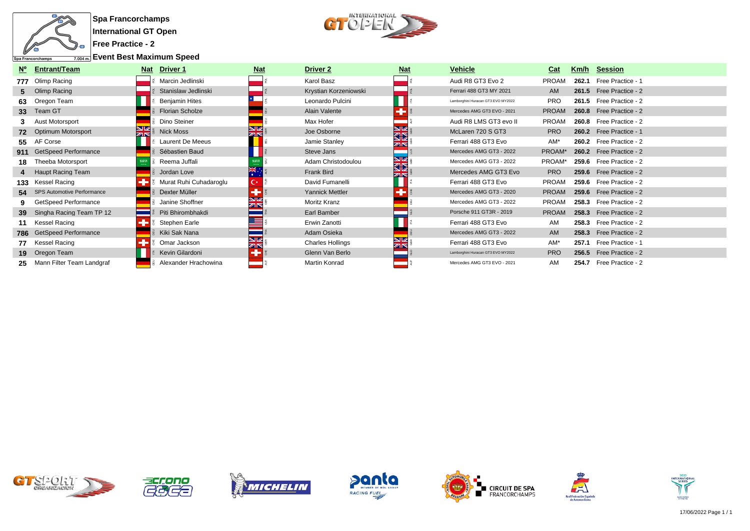

**Free Practice - 2**

**Event Best Maximum Speed**



| $N^{\circ}$     | <b>Entrant/Team</b>           | <b>Nat</b> | Driver 1               | <b>Nat</b>       | Driver 2                | <b>Nat</b>               | <b>Vehicle</b>                     | Cat          |       | Km/h Session            |
|-----------------|-------------------------------|------------|------------------------|------------------|-------------------------|--------------------------|------------------------------------|--------------|-------|-------------------------|
|                 | 777 Olimp Racing              |            | Marcin Jedlinski       |                  | Karol Basz              |                          | Audi R8 GT3 Evo 2                  | <b>PROAM</b> | 262.1 | Free Practice - 1       |
|                 | 5 Olimp Racing                |            | Stanislaw Jedlinski    |                  | Krystian Korzeniowski   |                          | Ferrari 488 GT3 MY 2021            | AM           |       | 261.5 Free Practice - 2 |
|                 | 63 Oregon Team                |            | <b>Benjamin Hites</b>  |                  | Leonardo Pulcini        |                          | Lamborghini Huracan GT3 EVO MY2022 | <b>PRO</b>   |       | 261.5 Free Practice - 2 |
| 33 <sup>°</sup> | Team GT                       |            | <b>Florian Scholze</b> |                  | Alain Valente           |                          | Mercedes AMG GT3 EVO - 2021        | <b>PROAM</b> |       | 260.8 Free Practice - 2 |
|                 | Aust Motorsport               |            | Dino Steiner           |                  | Max Hofer               |                          | Audi R8 LMS GT3 evo II             | <b>PROAM</b> |       | 260.8 Free Practice - 2 |
|                 | 72 Optimum Motorsport         | X          | Nick Moss              | SB<br>ar         | Joe Osborne             | NØ<br>ØΣ                 | McLaren 720 S GT3                  | <b>PRO</b>   |       | 260.2 Free Practice - 1 |
|                 | 55 AF Corse                   |            | Laurent De Meeus       |                  | Jamie Stanley           | ZК                       | Ferrari 488 GT3 Evo                | AM*          |       | 260.2 Free Practice - 2 |
|                 | 911 GetSpeed Performance      |            | Sébastien Baud         |                  | Steve Jans              |                          | Mercedes AMG GT3 - 2022            | PROAM*       |       | 260.2 Free Practice - 2 |
| 18              | Theeba Motorsport             |            | Reema Juffali          |                  | Adam Christodoulou      | NØ<br>32                 | Mercedes AMG GT3 - 2022            | PROAM*       |       | 259.6 Free Practice - 2 |
|                 | 4 Haupt Racing Team           |            | Jordan Love            | ж.               | Frank Bird              | $\overline{\mathbb{Z}}$  | Mercedes AMG GT3 Evo               | <b>PRO</b>   |       | 259.6 Free Practice - 2 |
|                 | 133 Kessel Racing             |            | Murat Ruhi Cuhadaroglu | С×               | David Fumanelli         |                          | Ferrari 488 GT3 Evo                | <b>PROAM</b> |       | 259.6 Free Practice - 2 |
|                 | 54 SPS Automotive Performance |            | Dexter Müller          |                  | <b>Yannick Mettler</b>  |                          | Mercedes AMG GT3 - 2020            | <b>PROAM</b> |       | 259.6 Free Practice - 2 |
|                 | GetSpeed Performance          |            | Janine Shoffner        |                  | Moritz Kranz            |                          | Mercedes AMG GT3 - 2022            | <b>PROAM</b> |       | 258.3 Free Practice - 2 |
|                 | 39 Singha Racing Team TP 12   |            | Piti Bhirombhakdi      |                  | Earl Bamber             |                          | Porsche 911 GT3R - 2019            | <b>PROAM</b> |       | 258.3 Free Practice - 2 |
|                 | Kessel Racing                 |            | Stephen Earle          |                  | Erwin Zanotti           |                          | Ferrari 488 GT3 Evo                | AM           |       | 258.3 Free Practice - 2 |
|                 | 786 GetSpeed Performance      |            | Kiki Sak Nana          |                  | Adam Osieka             |                          | Mercedes AMG GT3 - 2022            | AM           |       | 258.3 Free Practice - 2 |
|                 | 77 Kessel Racing              |            | Omar Jackson           | NØ<br><b>ZIN</b> | <b>Charles Hollings</b> | <b>NIZ</b><br><b>ZIN</b> | Ferrari 488 GT3 Evo                | AM*          |       | 257.1 Free Practice - 1 |
|                 | 19 Oregon Team                |            | Kevin Gilardoni        |                  | Glenn Van Berlo         |                          | Lamborghini Huracan GT3 EVO MY2022 | <b>PRO</b>   |       | 256.5 Free Practice - 2 |
| 25              | Mann Filter Team Landgraf     |            | Alexander Hrachowina   |                  | Martin Konrad           |                          | Mercedes AMG GT3 EVO - 2021        | AM           |       | 254.7 Free Practice - 2 |













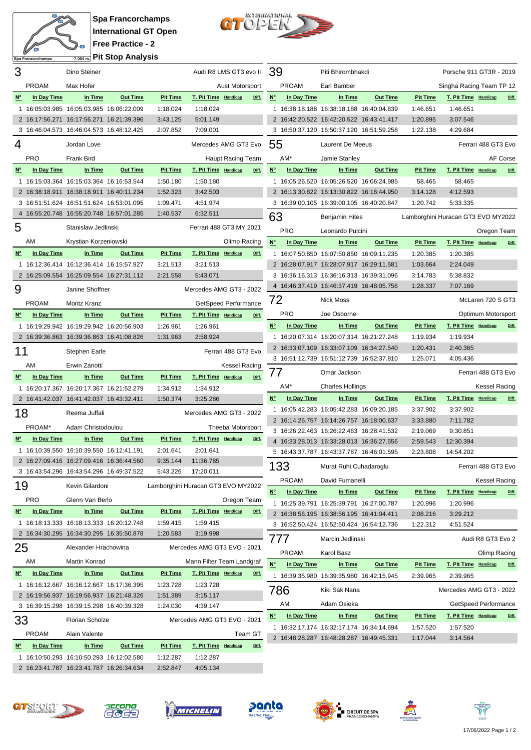



| 3                                |                                                                                      | Dino Steiner           |                 |                      |                             | Audi R8 LMS GT3 evo II             | -39                     |              | Piti Bhirombhakdi                        |                 |                                    | Porsche 911 GT3R - 2019     |                      |          |
|----------------------------------|--------------------------------------------------------------------------------------|------------------------|-----------------|----------------------|-----------------------------|------------------------------------|-------------------------|--------------|------------------------------------------|-----------------|------------------------------------|-----------------------------|----------------------|----------|
|                                  | <b>PROAM</b>                                                                         | Max Hofer              |                 |                      |                             | Aust Motorsport                    |                         | <b>PROAM</b> | Earl Bamber                              |                 |                                    | Singha Racing Team TP 12    |                      |          |
| $N^{\circ}$                      | In Day Time                                                                          | In Time                | <b>Out Time</b> | <b>Pit Time</b>      | T. Pit Time Handicap        | Diff.                              | $N^{\circ}$             | In Day Time  | In Time                                  | <b>Out Time</b> | <b>Pit Time</b>                    | T. Pit Time Handicap        |                      | Diff.    |
|                                  | 1 16:05:03.985 16:05:03.985 16:06:22.009                                             |                        |                 | 1:18.024             | 1:18.024                    |                                    |                         |              | 1 16:38:18.188 16:38:18.188 16:40:04.839 |                 | 1:46.651                           | 1:46.651                    |                      |          |
|                                  | 2 16:17:56.271 16:17:56.271 16:21:39.396                                             |                        |                 | 3:43.125             | 5:01.149                    |                                    |                         |              | 2 16:42:20.522 16:42:20.522 16:43:41.417 |                 | 1:20.895                           | 3:07.546                    |                      |          |
|                                  | 3 16:46:04.573 16:46:04.573 16:48:12.425                                             |                        |                 | 2:07.852             | 7:09.001                    |                                    |                         |              | 3 16:50:37.120 16:50:37.120 16:51:59.258 |                 | 1:22.138                           | 4:29.684                    |                      |          |
| 4                                |                                                                                      | Jordan Love            |                 |                      |                             | Mercedes AMG GT3 Evo               | 55                      |              | Laurent De Meeus                         |                 |                                    |                             | Ferrari 488 GT3 Evo  |          |
|                                  | <b>PRO</b>                                                                           | <b>Frank Bird</b>      |                 |                      |                             | Haupt Racing Team                  |                         | AM*          | Jamie Stanley                            |                 |                                    |                             |                      | AF Corse |
| $N^{\circ}$                      | In Day Time                                                                          | In Time                | <b>Out Time</b> | <b>Pit Time</b>      | T. Pit Time Handicap        | Diff.                              | $N^{\circ}$             | In Day Time  | In Time                                  | <b>Out Time</b> | <b>Pit Time</b>                    | T. Pit Time Handicap        |                      | Diff.    |
|                                  | 1 16:15:03.364 16:15:03.364 16:16:53.544                                             |                        |                 | 1:50.180             | 1:50.180                    |                                    |                         |              | 1 16:05:26.520 16:05:26.520 16:06:24.985 |                 | 58.465                             | 58.465                      |                      |          |
|                                  | 2 16:38:18.911 16:38:18.911 16:40:11.234                                             |                        |                 | 1:52.323             | 3:42.503                    |                                    |                         |              | 2 16:13:30.822 16:13:30.822 16:16:44.950 |                 | 3:14.128                           | 4:12.593                    |                      |          |
|                                  | 3 16:51:51.624 16:51:51.624 16:53:01.095                                             |                        |                 | 1:09.471             | 4:51.974                    |                                    |                         |              | 3 16:39:00.105 16:39:00.105 16:40:20.847 |                 | 1:20.742                           | 5:33.335                    |                      |          |
|                                  | 4 16:55:20.748 16:55:20.748 16:57:01.285                                             |                        |                 | 1:40.537             | 6:32.511                    |                                    | 63                      |              | <b>Benjamin Hites</b>                    |                 | Lamborghini Huracan GT3 EVO MY2022 |                             |                      |          |
| 5                                |                                                                                      | Stanislaw Jedlinski    |                 |                      |                             | Ferrari 488 GT3 MY 2021            |                         |              |                                          |                 |                                    |                             |                      |          |
|                                  |                                                                                      |                        |                 |                      |                             |                                    |                         | <b>PRO</b>   | Leonardo Pulcini                         |                 |                                    |                             | Oregon Team          |          |
|                                  | AM                                                                                   | Krystian Korzeniowski  |                 |                      |                             | Olimp Racing                       | $N^{\circ}$             | In Day Time  | In Time                                  | <b>Out Time</b> | <b>Pit Time</b>                    | T. Pit Time Handicap        |                      | Diff.    |
| $N^{\circ}$                      | In Day Time                                                                          | In Time                | <b>Out Time</b> | <b>Pit Time</b>      | T. Pit Time Handicap        | Diff.                              |                         |              | 1 16:07:50.850 16:07:50.850 16:09:11.235 |                 | 1:20.385                           | 1:20.385                    |                      |          |
|                                  | 1 16:12:36.414 16:12:36.414 16:15:57.927                                             |                        |                 | 3:21.513             | 3:21.513                    |                                    |                         |              | 2 16:28:07.917 16:28:07.917 16:29:11.581 |                 | 1:03.664                           | 2:24.049                    |                      |          |
|                                  | 2 16:25:09.554 16:25:09.554 16:27:31.112                                             |                        |                 | 2:21.558             | 5:43.071                    |                                    |                         |              | 3 16:36:16.313 16:36:16.313 16:39:31.096 |                 | 3:14.783                           | 5:38.832                    |                      |          |
| 9                                |                                                                                      | Janine Shoffner        |                 |                      |                             | Mercedes AMG GT3 - 2022            |                         |              | 4 16:46:37.419 16:46:37.419 16:48:05.756 |                 | 1:28.337                           | 7:07.169                    |                      |          |
|                                  | <b>PROAM</b>                                                                         | Moritz Kranz           |                 |                      |                             | GetSpeed Performance               | 72                      |              | <b>Nick Moss</b>                         |                 |                                    |                             | McLaren 720 S GT3    |          |
| $N^{\circ}$                      | In Day Time                                                                          | In Time                | <b>Out Time</b> | <b>Pit Time</b>      | <b>T. Pit Time Handicap</b> | Diff.                              |                         | <b>PRO</b>   | Joe Osborne                              |                 |                                    |                             | Optimum Motorsport   |          |
|                                  | 1 16:19:29.942 16:19:29.942 16:20:56.903                                             |                        |                 | 1:26.961             | 1:26.961                    |                                    | $\underline{N}^{\circ}$ | In Day Time  | In Time                                  | <b>Out Time</b> | <b>Pit Time</b>                    | <b>T. Pit Time Handicap</b> |                      | Diff.    |
|                                  | 2 16:39:36.863 16:39:36.863 16:41:08.826                                             |                        |                 | 1:31.963             | 2:58.924                    |                                    |                         |              | 1 16:20:07.314 16:20:07.314 16:21:27.248 |                 | 1:19.934                           | 1:19.934                    |                      |          |
| 11                               |                                                                                      | Stephen Earle          |                 |                      |                             | Ferrari 488 GT3 Evo                |                         |              | 2 16:33:07.109 16:33:07.109 16:34:27.540 |                 | 1:20.431                           | 2:40.365                    |                      |          |
|                                  |                                                                                      |                        |                 |                      |                             |                                    |                         |              | 3 16:51:12.739 16:51:12.739 16:52:37.810 |                 | 1:25.071                           | 4:05.436                    |                      |          |
|                                  | AM                                                                                   | Erwin Zanotti          |                 |                      |                             | Kessel Racing                      |                         |              |                                          |                 |                                    |                             |                      |          |
|                                  |                                                                                      |                        |                 |                      |                             |                                    |                         |              | Omar Jackson                             |                 |                                    |                             | Ferrari 488 GT3 Evo  |          |
| $N^{\circ}$                      | In Day Time                                                                          | In Time                | <b>Out Time</b> | <b>Pit Time</b>      | T. Pit Time Handicap        | Diff.                              | 77                      |              |                                          |                 |                                    |                             |                      |          |
|                                  | 1 16:20:17.367 16:20:17.367 16:21:52.279                                             |                        |                 | 1:34.912             | 1:34.912                    |                                    |                         | AM*          | <b>Charles Hollings</b>                  |                 |                                    |                             | <b>Kessel Racing</b> |          |
|                                  | 2 16:41:42.037 16:41:42.037 16:43:32.411                                             |                        |                 | 1:50.374             | 3:25.286                    |                                    | $N^{\circ}$             | In Day Time  | In Time                                  | <b>Out Time</b> | <b>Pit Time</b>                    | T. Pit Time Handicap        |                      | Diff.    |
| 18                               |                                                                                      | Reema Juffali          |                 |                      |                             | Mercedes AMG GT3 - 2022            |                         |              | 1 16:05:42.283 16:05:42.283 16:09:20.185 |                 | 3:37.902                           | 3:37.902                    |                      |          |
|                                  | PROAM*                                                                               | Adam Christodoulou     |                 |                      |                             | Theeba Motorsport                  |                         |              | 2 16:14:26.757 16:14:26.757 16:18:00.637 |                 | 3:33.880                           | 7:11.782                    |                      |          |
| $N^{\circ}$                      | In Day Time                                                                          | In Time                | <b>Out Time</b> | <b>Pit Time</b>      | T. Pit Time Handicap        | Diff.                              |                         |              | 3 16:26:22.463 16:26:22.463 16:28:41.532 |                 | 2:19.069                           | 9:30.851                    |                      |          |
|                                  | 1 16:10:39.550 16:10:39.550 16:12:41.191                                             |                        |                 | 2:01.641             | 2:01.641                    |                                    |                         |              | 4 16:33:28.013 16:33:28.013 16:36:27.556 |                 | 2:59.543                           | 12:30.394                   |                      |          |
|                                  | 2 16:27:09.416 16:27:09.416 16:36:44.560                                             |                        |                 | 9:35.144             | 11:36.785                   |                                    |                         |              | 5 16:43:37.787 16:43:37.787 16:46:01.595 |                 | 2:23.808                           | 14:54.202                   |                      |          |
|                                  | 3 16:43:54.296 16:43:54.296 16:49:37.522                                             |                        |                 | 5:43.226             | 17:20.011                   |                                    | 133                     |              | Murat Ruhi Cuhadaroglu                   |                 |                                    |                             | Ferrari 488 GT3 Evo  |          |
|                                  |                                                                                      |                        |                 |                      |                             |                                    |                         | <b>PROAM</b> | David Fumanelli                          |                 |                                    |                             | <b>Kessel Racing</b> |          |
| 19                               |                                                                                      | Kevin Gilardoni        |                 |                      |                             | Lamborghini Huracan GT3 EVO MY2022 | $N^{\circ}$             | In Day Time  | In Time                                  | <b>Out Time</b> | <b>Pit Time</b>                    | T. Pit Time Handicap        |                      | Diff.    |
|                                  | <b>PRO</b>                                                                           | Glenn Van Berlo        |                 |                      |                             | Oregon Team                        |                         |              | 1 16:25:39.791 16:25:39.791 16:27:00.787 |                 | 1:20.996                           | 1:20.996                    |                      |          |
| $\underline{\mathsf{N}^{\circ}}$ | In Day Time                                                                          | In Time                | <b>Out Time</b> | <b>Pit Time</b>      | T. Pit Time Handicap        | Diff.                              |                         |              | 2 16:38:56.195 16:38:56.195 16:41:04.411 |                 | 2:08.216                           | 3:29.212                    |                      |          |
|                                  | 1 16:18:13.333 16:18:13.333 16:20:12.748                                             |                        |                 | 1:59.415             | 1:59.415                    |                                    |                         |              | 3 16:52:50.424 16:52:50.424 16:54:12.736 |                 | 1:22.312                           | 4:51.524                    |                      |          |
|                                  | 2 16:34:30.295 16:34:30.295 16:35:50.878                                             |                        |                 | 1:20.583             | 3:19.998                    |                                    |                         |              | Marcin Jedlinski                         |                 |                                    |                             | Audi R8 GT3 Evo 2    |          |
| 25                               |                                                                                      | Alexander Hrachowina   |                 |                      |                             | Mercedes AMG GT3 EVO - 2021        | 777                     |              |                                          |                 |                                    |                             |                      |          |
|                                  | AM                                                                                   | Martin Konrad          |                 |                      |                             | Mann Filter Team Landgraf          |                         | <b>PROAM</b> | Karol Basz                               |                 |                                    |                             | Olimp Racing         |          |
|                                  |                                                                                      |                        |                 |                      |                             | Diff.                              | $N^{\circ}$             | In Day Time  | In Time                                  | <b>Out Time</b> | <b>Pit Time</b>                    | T. Pit Time Handicap        |                      | Diff.    |
| $N^{\circ}$                      | In Day Time                                                                          | In Time                | <b>Out Time</b> | <b>Pit Time</b>      | T. Pit Time Handicap        |                                    |                         |              | 1 16:39:35.980 16:39:35.980 16:42:15.945 |                 | 2:39.965                           | 2:39.965                    |                      |          |
|                                  | 1 16:16:12.667 16:16:12.667 16:17:36.395                                             |                        |                 | 1:23.728             | 1:23.728                    |                                    | 786                     |              | Kiki Sak Nana                            |                 |                                    | Mercedes AMG GT3 - 2022     |                      |          |
|                                  | 2 16:19:56.937 16:19:56.937 16:21:48.326<br>3 16:39:15.298 16:39:15.298 16:40:39.328 |                        |                 | 1:51.389<br>1:24.030 | 3:15.117<br>4:39.147        |                                    |                         | AM           | Adam Osieka                              |                 |                                    | GetSpeed Performance        |                      |          |
|                                  |                                                                                      |                        |                 |                      |                             |                                    | <u>N°</u>               | In Day Time  | In Time                                  | <b>Out Time</b> | <b>Pit Time</b>                    | T. Pit Time Handicap        |                      | Diff.    |
| 33                               |                                                                                      | <b>Florian Scholze</b> |                 |                      |                             | Mercedes AMG GT3 EVO - 2021        |                         |              | 1 16:32:17.174 16:32:17.174 16:34:14.694 |                 | 1:57.520                           | 1:57.520                    |                      |          |
|                                  | <b>PROAM</b>                                                                         | Alain Valente          |                 |                      |                             | Team GT                            |                         |              | 2 16:48:28.287 16:48:28.287 16:49:45.331 |                 | 1:17.044                           | 3:14.564                    |                      |          |
| $N^{\circ}$                      | In Day Time                                                                          | In Time                | <b>Out Time</b> | <b>Pit Time</b>      | T. Pit Time Handicap        | Diff.                              |                         |              |                                          |                 |                                    |                             |                      |          |
|                                  | 1 16:10:50.293 16:10:50.293 16:12:02.580<br>2 16:23:41.787 16:23:41.787 16:26:34.634 |                        |                 | 1:12.287             | 1:12.287<br>4:05.134        |                                    |                         |              |                                          |                 |                                    |                             |                      |          |













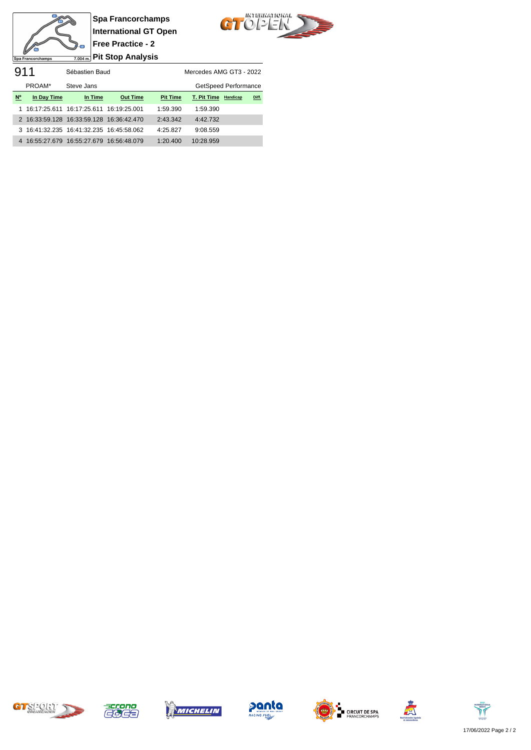



911 Sébastien Baud Mercedes AMG GT3 - 2022 PROAM\* Steve Jans GetSpeed Performance **Nº In Day Time In Time Out Time Pit Time T. Pit Time Handicap Diff.** 1 16:17:25.611 16:17:25.611 16:19:25.001 1:59.390 1:59.390 2 16:33:59.128 16:33:59.128 16:36:42.470 2:43.342 4:42.732 3 16:41:32.235 16:41:32.235 16:45:58.062 4:25.827 9:08.559 4 16:55:27.679 16:55:27.679 16:56:48.079 1:20.400 10:28.959













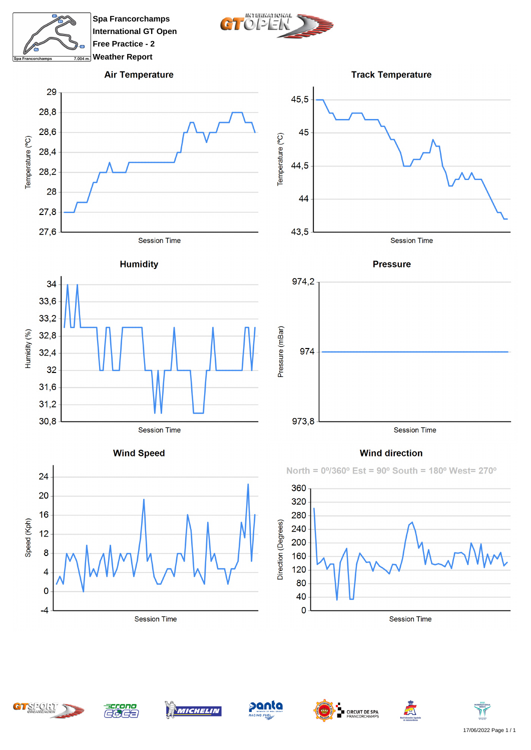

**Spa Francorchamps International GT Open Free Practice - 2 Weather Report**



45,5

## **Air Temperature**





**Track Temperature** 





**Wind Speed** 





## **Wind direction**